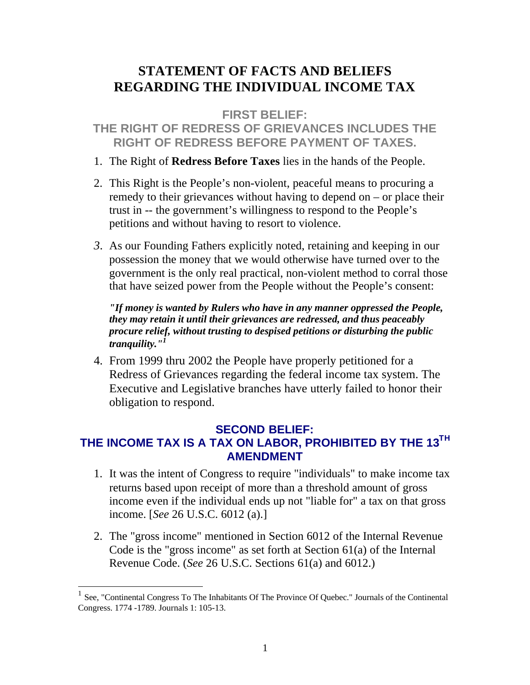# **STATEMENT OF FACTS AND BELIEFS REGARDING THE INDIVIDUAL INCOME TAX**

**FIRST BELIEF:**

**THE RIGHT OF REDRESS OF GRIEVANCES INCLUDES THE RIGHT OF REDRESS BEFORE PAYMENT OF TAXES.**

- 1. The Right of **Redress Before Taxes** lies in the hands of the People.
- 2. This Right is the People's non-violent, peaceful means to procuring a remedy to their grievances without having to depend on – or place their trust in -- the government's willingness to respond to the People's petitions and without having to resort to violence.
- *3.* As our Founding Fathers explicitly noted, retaining and keeping in our possession the money that we would otherwise have turned over to the government is the only real practical, non-violent method to corral those that have seized power from the People without the People's consent:

*"If money is wanted by Rulers who have in any manner oppressed the People, they may retain it until their grievances are redressed, and thus peaceably procure relief, without trusting to despised petitions or disturbing the public tranquility."<sup>1</sup>*

4. From 1999 thru 2002 the People have properly petitioned for a Redress of Grievances regarding the federal income tax system. The Executive and Legislative branches have utterly failed to honor their obligation to respond.

# **SECOND BELIEF: THE INCOME TAX IS A TAX ON LABOR, PROHIBITED BY THE 13TH AMENDMENT**

- 1. It was the intent of Congress to require "individuals" to make income tax returns based upon receipt of more than a threshold amount of gross income even if the individual ends up not "liable for" a tax on that gross income. [*See* 26 U.S.C. 6012 (a).]
- 2. The "gross income" mentioned in Section 6012 of the Internal Revenue Code is the "gross income" as set forth at Section 61(a) of the Internal Revenue Code. (*See* 26 U.S.C. Sections 61(a) and 6012.)

1

<sup>1</sup> See, "Continental Congress To The Inhabitants Of The Province Of Quebec." Journals of the Continental Congress. 1774 -1789. Journals 1: 105-13.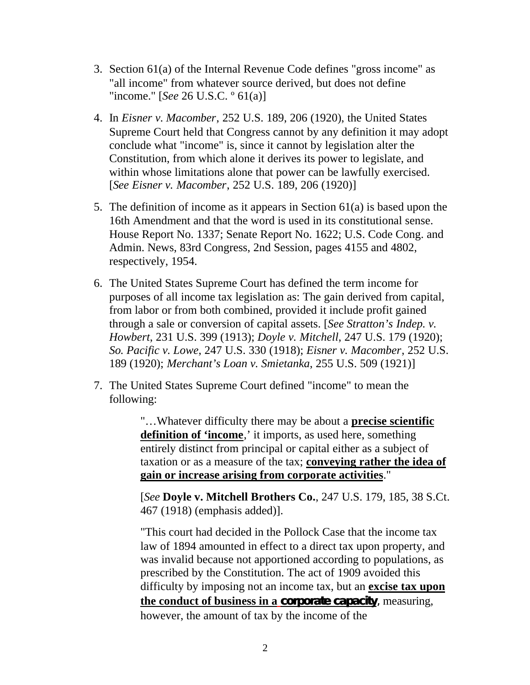- 3. Section 61(a) of the Internal Revenue Code defines "gross income" as "all income" from whatever source derived, but does not define "income." [*See* 26 U.S.C. º 61(a)]
- 4. In *Eisner v. Macomber*, 252 U.S. 189, 206 (1920), the United States Supreme Court held that Congress cannot by any definition it may adopt conclude what "income" is, since it cannot by legislation alter the Constitution, from which alone it derives its power to legislate, and within whose limitations alone that power can be lawfully exercised. [*See Eisner v. Macomber*, 252 U.S. 189, 206 (1920)]
- 5. The definition of income as it appears in Section 61(a) is based upon the 16th Amendment and that the word is used in its constitutional sense. House Report No. 1337; Senate Report No. 1622; U.S. Code Cong. and Admin. News, 83rd Congress, 2nd Session, pages 4155 and 4802, respectively, 1954.
- 6. The United States Supreme Court has defined the term income for purposes of all income tax legislation as: The gain derived from capital, from labor or from both combined, provided it include profit gained through a sale or conversion of capital assets. [*See Stratton's Indep. v. Howbert*, 231 U.S. 399 (1913); *Doyle v. Mitchell*, 247 U.S. 179 (1920); *So. Pacific v. Lowe*, 247 U.S. 330 (1918); *Eisner v. Macomber*, 252 U.S. 189 (1920); *Merchant's Loan v. Smietanka*, 255 U.S. 509 (1921)]
- 7. The United States Supreme Court defined "income" to mean the following:

"…Whatever difficulty there may be about a **precise scientific definition of 'income**,' it imports, as used here, something entirely distinct from principal or capital either as a subject of taxation or as a measure of the tax; **conveying rather the idea of gain or increase arising from corporate activities**."

[*See* **Doyle v. Mitchell Brothers Co.**, 247 U.S. 179, 185, 38 S.Ct. 467 (1918) (emphasis added)].

"This court had decided in the Pollock Case that the income tax law of 1894 amounted in effect to a direct tax upon property, and was invalid because not apportioned according to populations, as prescribed by the Constitution. The act of 1909 avoided this difficulty by imposing not an income tax, but an **excise tax upon the conduct of business in a corporate capacity**, measuring, however, the amount of tax by the income of the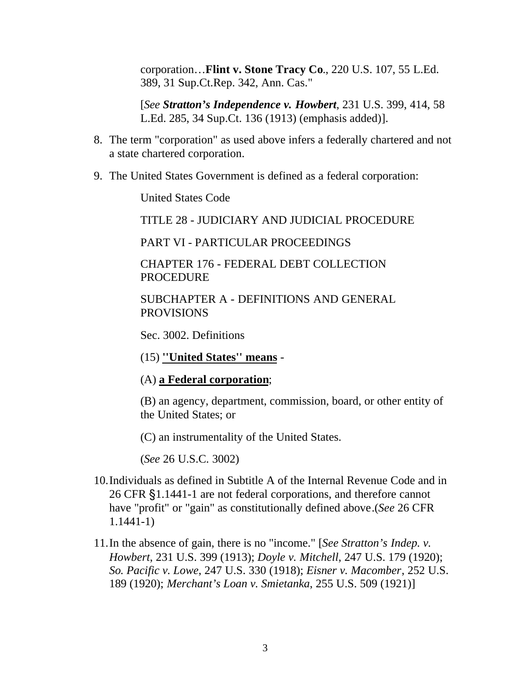corporation…**Flint v. Stone Tracy Co**., 220 U.S. 107, 55 L.Ed. 389, 31 Sup.Ct.Rep. 342, Ann. Cas."

[*See Stratton's Independence v. Howbert*, 231 U.S. 399, 414, 58 L.Ed. 285, 34 Sup.Ct. 136 (1913) (emphasis added)].

- 8. The term "corporation" as used above infers a federally chartered and not a state chartered corporation.
- 9. The United States Government is defined as a federal corporation:

United States Code

TITLE 28 - JUDICIARY AND JUDICIAL PROCEDURE

PART VI - PARTICULAR PROCEEDINGS

CHAPTER 176 - FEDERAL DEBT COLLECTION PROCEDURE

SUBCHAPTER A - DEFINITIONS AND GENERAL PROVISIONS

Sec. 3002. Definitions

- (15) **''United States'' means** -
- (A) **a Federal corporation**;

(B) an agency, department, commission, board, or other entity of the United States; or

(C) an instrumentality of the United States.

(*See* 26 U.S.C. 3002)

- 10.Individuals as defined in Subtitle A of the Internal Revenue Code and in 26 CFR §1.1441-1 are not federal corporations, and therefore cannot have "profit" or "gain" as constitutionally defined above.(*See* 26 CFR 1.1441-1)
- 11.In the absence of gain, there is no "income." [*See Stratton's Indep. v. Howbert*, 231 U.S. 399 (1913); *Doyle v. Mitchell*, 247 U.S. 179 (1920); *So. Pacific v. Lowe*, 247 U.S. 330 (1918); *Eisner v. Macomber*, 252 U.S. 189 (1920); *Merchant's Loan v. Smietanka*, 255 U.S. 509 (1921)]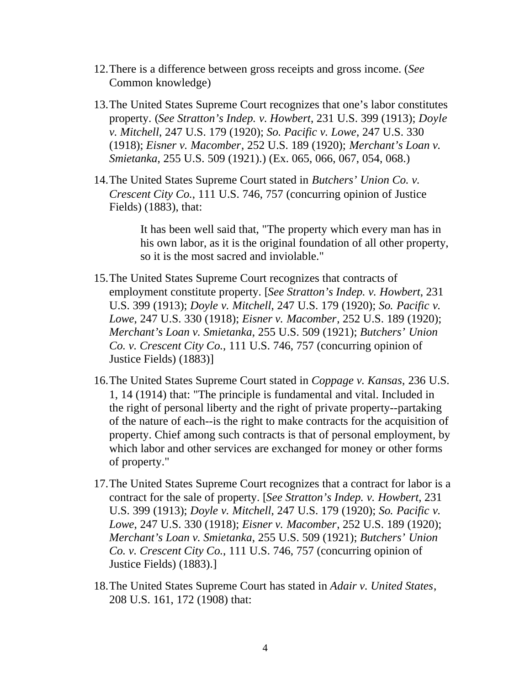- 12.There is a difference between gross receipts and gross income. (*See* Common knowledge)
- 13.The United States Supreme Court recognizes that one's labor constitutes property. (*See Stratton's Indep. v. Howbert*, 231 U.S. 399 (1913); *Doyle v. Mitchell*, 247 U.S. 179 (1920); *So. Pacific v. Lowe*, 247 U.S. 330 (1918); *Eisner v. Macomber*, 252 U.S. 189 (1920); *Merchant's Loan v. Smietanka*, 255 U.S. 509 (1921).) (Ex. 065, 066, 067, 054, 068.)
- 14.The United States Supreme Court stated in *Butchers' Union Co. v. Crescent City Co.*, 111 U.S. 746, 757 (concurring opinion of Justice Fields) (1883), that:

It has been well said that, "The property which every man has in his own labor, as it is the original foundation of all other property, so it is the most sacred and inviolable."

- 15.The United States Supreme Court recognizes that contracts of employment constitute property. [*See Stratton's Indep. v. Howbert*, 231 U.S. 399 (1913); *Doyle v. Mitchell*, 247 U.S. 179 (1920); *So. Pacific v. Lowe*, 247 U.S. 330 (1918); *Eisner v. Macomber*, 252 U.S. 189 (1920); *Merchant's Loan v. Smietanka*, 255 U.S. 509 (1921); *Butchers' Union Co. v. Crescent City Co.*, 111 U.S. 746, 757 (concurring opinion of Justice Fields) (1883)]
- 16.The United States Supreme Court stated in *Coppage v. Kansas*, 236 U.S. 1, 14 (1914) that: "The principle is fundamental and vital. Included in the right of personal liberty and the right of private property--partaking of the nature of each--is the right to make contracts for the acquisition of property. Chief among such contracts is that of personal employment, by which labor and other services are exchanged for money or other forms of property."
- 17.The United States Supreme Court recognizes that a contract for labor is a contract for the sale of property. [*See Stratton's Indep. v. Howbert*, 231 U.S. 399 (1913); *Doyle v. Mitchell*, 247 U.S. 179 (1920); *So. Pacific v. Lowe*, 247 U.S. 330 (1918); *Eisner v. Macomber*, 252 U.S. 189 (1920); *Merchant's Loan v. Smietanka*, 255 U.S. 509 (1921); *Butchers' Union Co. v. Crescent City Co.*, 111 U.S. 746, 757 (concurring opinion of Justice Fields) (1883).]
- 18.The United States Supreme Court has stated in *Adair v. United States*, 208 U.S. 161, 172 (1908) that: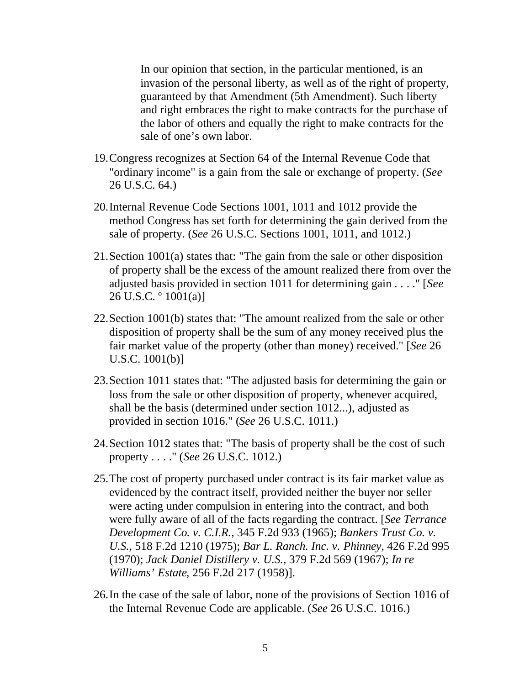In our opinion that section, in the particular mentioned, is an invasion of the personal liberty, as well as of the right of property, guaranteed by that Amendment (5th Amendment). Such liberty and right embraces the right to make contracts for the purchase of the labor of others and equally the right to make contracts for the sale of one's own labor.

- 19.Congress recognizes at Section 64 of the Internal Revenue Code that "ordinary income" is a gain from the sale or exchange of property. (*See* 26 U.S.C. 64.)
- 20.Internal Revenue Code Sections 1001, 1011 and 1012 provide the method Congress has set forth for determining the gain derived from the sale of property. (*See* 26 U.S.C. Sections 1001, 1011, and 1012.)
- 21.Section 1001(a) states that: "The gain from the sale or other disposition of property shall be the excess of the amount realized there from over the adjusted basis provided in section 1011 for determining gain . . . ." [*See* 26 U.S.C. º 1001(a)]
- 22.Section 1001(b) states that: "The amount realized from the sale or other disposition of property shall be the sum of any money received plus the fair market value of the property (other than money) received." [*See* 26 U.S.C. 1001(b)]
- 23.Section 1011 states that: "The adjusted basis for determining the gain or loss from the sale or other disposition of property, whenever acquired, shall be the basis (determined under section 1012...), adjusted as provided in section 1016." (*See* 26 U.S.C. 1011.)
- 24.Section 1012 states that: "The basis of property shall be the cost of such property . . . ." (*See* 26 U.S.C. 1012.)
- 25.The cost of property purchased under contract is its fair market value as evidenced by the contract itself, provided neither the buyer nor seller were acting under compulsion in entering into the contract, and both were fully aware of all of the facts regarding the contract. [*See Terrance Development Co. v. C.I.R.*, 345 F.2d 933 (1965); *Bankers Trust Co. v. U.S.*, 518 F.2d 1210 (1975); *Bar L. Ranch. Inc. v. Phinney*, 426 F.2d 995 (1970); *Jack Daniel Distillery v. U.S.*, 379 F.2d 569 (1967); *In re Williams' Estate*, 256 F.2d 217 (1958)].
- 26.In the case of the sale of labor, none of the provisions of Section 1016 of the Internal Revenue Code are applicable. (*See* 26 U.S.C. 1016.)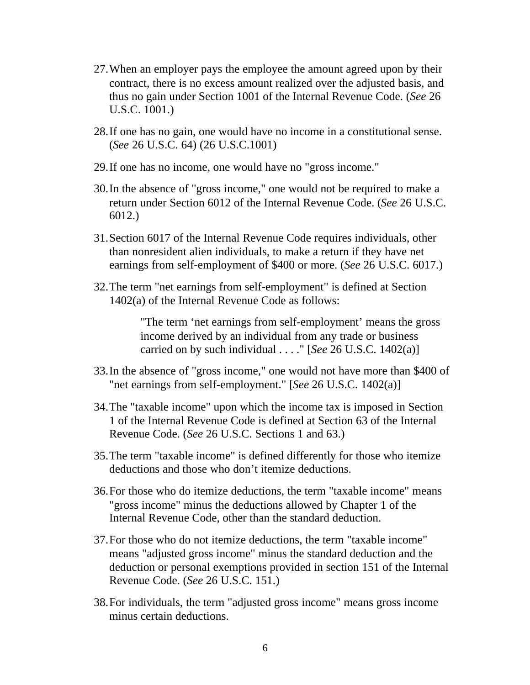- 27.When an employer pays the employee the amount agreed upon by their contract, there is no excess amount realized over the adjusted basis, and thus no gain under Section 1001 of the Internal Revenue Code. (*See* 26 U.S.C. 1001.)
- 28.If one has no gain, one would have no income in a constitutional sense. (*See* 26 U.S.C. 64) (26 U.S.C.1001)
- 29.If one has no income, one would have no "gross income."
- 30.In the absence of "gross income," one would not be required to make a return under Section 6012 of the Internal Revenue Code. (*See* 26 U.S.C. 6012.)
- 31.Section 6017 of the Internal Revenue Code requires individuals, other than nonresident alien individuals, to make a return if they have net earnings from self-employment of \$400 or more. (*See* 26 U.S.C. 6017.)
- 32.The term "net earnings from self-employment" is defined at Section 1402(a) of the Internal Revenue Code as follows:

"The term 'net earnings from self-employment' means the gross income derived by an individual from any trade or business carried on by such individual . . . ." [*See* 26 U.S.C. 1402(a)]

- 33.In the absence of "gross income," one would not have more than \$400 of "net earnings from self-employment." [*See* 26 U.S.C. 1402(a)]
- 34.The "taxable income" upon which the income tax is imposed in Section 1 of the Internal Revenue Code is defined at Section 63 of the Internal Revenue Code. (*See* 26 U.S.C. Sections 1 and 63.)
- 35.The term "taxable income" is defined differently for those who itemize deductions and those who don't itemize deductions.
- 36.For those who do itemize deductions, the term "taxable income" means "gross income" minus the deductions allowed by Chapter 1 of the Internal Revenue Code, other than the standard deduction.
- 37.For those who do not itemize deductions, the term "taxable income" means "adjusted gross income" minus the standard deduction and the deduction or personal exemptions provided in section 151 of the Internal Revenue Code. (*See* 26 U.S.C. 151.)
- 38.For individuals, the term "adjusted gross income" means gross income minus certain deductions.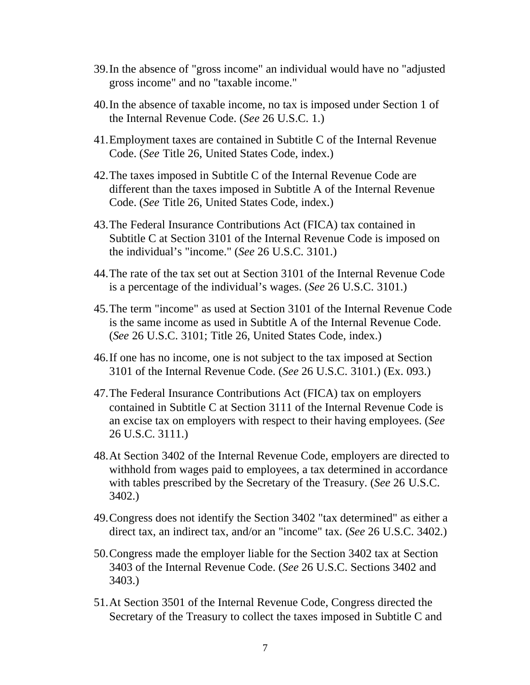- 39.In the absence of "gross income" an individual would have no "adjusted gross income" and no "taxable income."
- 40.In the absence of taxable income, no tax is imposed under Section 1 of the Internal Revenue Code. (*See* 26 U.S.C. 1.)
- 41.Employment taxes are contained in Subtitle C of the Internal Revenue Code. (*See* Title 26, United States Code, index.)
- 42.The taxes imposed in Subtitle C of the Internal Revenue Code are different than the taxes imposed in Subtitle A of the Internal Revenue Code. (*See* Title 26, United States Code, index.)
- 43.The Federal Insurance Contributions Act (FICA) tax contained in Subtitle C at Section 3101 of the Internal Revenue Code is imposed on the individual's "income." (*See* 26 U.S.C. 3101.)
- 44.The rate of the tax set out at Section 3101 of the Internal Revenue Code is a percentage of the individual's wages. (*See* 26 U.S.C. 3101.)
- 45.The term "income" as used at Section 3101 of the Internal Revenue Code is the same income as used in Subtitle A of the Internal Revenue Code. (*See* 26 U.S.C. 3101; Title 26, United States Code, index.)
- 46.If one has no income, one is not subject to the tax imposed at Section 3101 of the Internal Revenue Code. (*See* 26 U.S.C. 3101.) (Ex. 093.)
- 47.The Federal Insurance Contributions Act (FICA) tax on employers contained in Subtitle C at Section 3111 of the Internal Revenue Code is an excise tax on employers with respect to their having employees. (*See* 26 U.S.C. 3111.)
- 48.At Section 3402 of the Internal Revenue Code, employers are directed to withhold from wages paid to employees, a tax determined in accordance with tables prescribed by the Secretary of the Treasury. (*See* 26 U.S.C. 3402.)
- 49.Congress does not identify the Section 3402 "tax determined" as either a direct tax, an indirect tax, and/or an "income" tax. (*See* 26 U.S.C. 3402.)
- 50.Congress made the employer liable for the Section 3402 tax at Section 3403 of the Internal Revenue Code. (*See* 26 U.S.C. Sections 3402 and 3403.)
- 51.At Section 3501 of the Internal Revenue Code, Congress directed the Secretary of the Treasury to collect the taxes imposed in Subtitle C and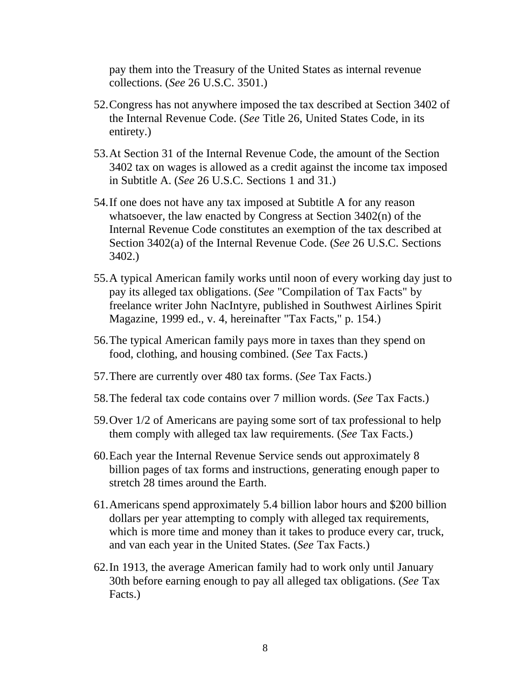pay them into the Treasury of the United States as internal revenue collections. (*See* 26 U.S.C. 3501.)

- 52.Congress has not anywhere imposed the tax described at Section 3402 of the Internal Revenue Code. (*See* Title 26, United States Code, in its entirety.)
- 53.At Section 31 of the Internal Revenue Code, the amount of the Section 3402 tax on wages is allowed as a credit against the income tax imposed in Subtitle A. (*See* 26 U.S.C. Sections 1 and 31.)
- 54.If one does not have any tax imposed at Subtitle A for any reason whatsoever, the law enacted by Congress at Section 3402(n) of the Internal Revenue Code constitutes an exemption of the tax described at Section 3402(a) of the Internal Revenue Code. (*See* 26 U.S.C. Sections 3402.)
- 55.A typical American family works until noon of every working day just to pay its alleged tax obligations. (*See* "Compilation of Tax Facts" by freelance writer John NacIntyre, published in Southwest Airlines Spirit Magazine, 1999 ed., v. 4, hereinafter "Tax Facts," p. 154.)
- 56.The typical American family pays more in taxes than they spend on food, clothing, and housing combined. (*See* Tax Facts.)
- 57.There are currently over 480 tax forms. (*See* Tax Facts.)
- 58.The federal tax code contains over 7 million words. (*See* Tax Facts.)
- 59.Over 1/2 of Americans are paying some sort of tax professional to help them comply with alleged tax law requirements. (*See* Tax Facts.)
- 60.Each year the Internal Revenue Service sends out approximately 8 billion pages of tax forms and instructions, generating enough paper to stretch 28 times around the Earth.
- 61.Americans spend approximately 5.4 billion labor hours and \$200 billion dollars per year attempting to comply with alleged tax requirements, which is more time and money than it takes to produce every car, truck, and van each year in the United States. (*See* Tax Facts.)
- 62.In 1913, the average American family had to work only until January 30th before earning enough to pay all alleged tax obligations. (*See* Tax Facts.)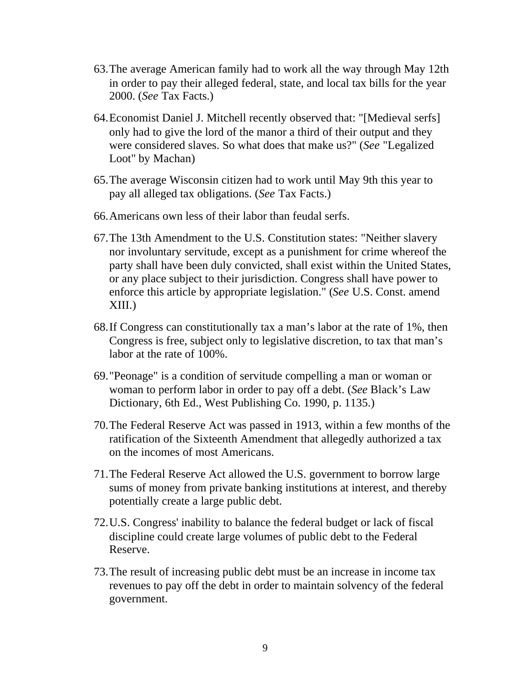- 63.The average American family had to work all the way through May 12th in order to pay their alleged federal, state, and local tax bills for the year 2000. (*See* Tax Facts.)
- 64.Economist Daniel J. Mitchell recently observed that: "[Medieval serfs] only had to give the lord of the manor a third of their output and they were considered slaves. So what does that make us?" (*See* "Legalized Loot" by Machan)
- 65.The average Wisconsin citizen had to work until May 9th this year to pay all alleged tax obligations. (*See* Tax Facts.)
- 66.Americans own less of their labor than feudal serfs.
- 67.The 13th Amendment to the U.S. Constitution states: "Neither slavery nor involuntary servitude, except as a punishment for crime whereof the party shall have been duly convicted, shall exist within the United States, or any place subject to their jurisdiction. Congress shall have power to enforce this article by appropriate legislation." (*See* U.S. Const. amend XIII.)
- 68.If Congress can constitutionally tax a man's labor at the rate of 1%, then Congress is free, subject only to legislative discretion, to tax that man's labor at the rate of 100%.
- 69."Peonage" is a condition of servitude compelling a man or woman or woman to perform labor in order to pay off a debt. (*See* Black's Law Dictionary, 6th Ed., West Publishing Co. 1990, p. 1135.)
- 70.The Federal Reserve Act was passed in 1913, within a few months of the ratification of the Sixteenth Amendment that allegedly authorized a tax on the incomes of most Americans.
- 71.The Federal Reserve Act allowed the U.S. government to borrow large sums of money from private banking institutions at interest, and thereby potentially create a large public debt.
- 72.U.S. Congress' inability to balance the federal budget or lack of fiscal discipline could create large volumes of public debt to the Federal Reserve.
- 73.The result of increasing public debt must be an increase in income tax revenues to pay off the debt in order to maintain solvency of the federal government.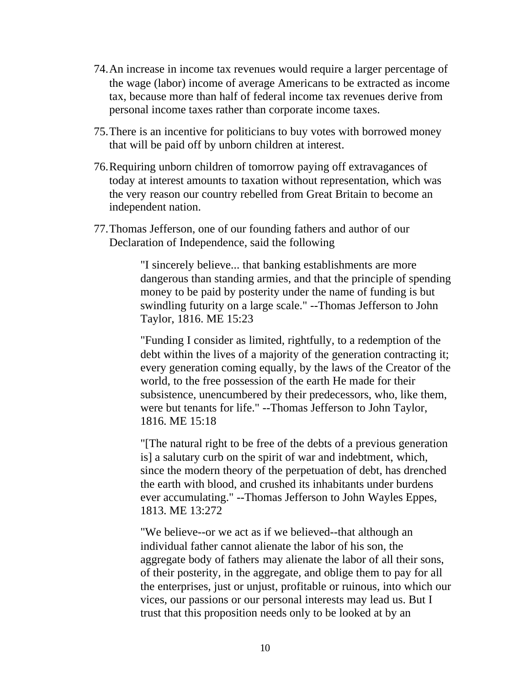- 74.An increase in income tax revenues would require a larger percentage of the wage (labor) income of average Americans to be extracted as income tax, because more than half of federal income tax revenues derive from personal income taxes rather than corporate income taxes.
- 75.There is an incentive for politicians to buy votes with borrowed money that will be paid off by unborn children at interest.
- 76.Requiring unborn children of tomorrow paying off extravagances of today at interest amounts to taxation without representation, which was the very reason our country rebelled from Great Britain to become an independent nation.
- 77.Thomas Jefferson, one of our founding fathers and author of our Declaration of Independence, said the following

"I sincerely believe... that banking establishments are more dangerous than standing armies, and that the principle of spending money to be paid by posterity under the name of funding is but swindling futurity on a large scale." --Thomas Jefferson to John Taylor, 1816. ME 15:23

"Funding I consider as limited, rightfully, to a redemption of the debt within the lives of a majority of the generation contracting it; every generation coming equally, by the laws of the Creator of the world, to the free possession of the earth He made for their subsistence, unencumbered by their predecessors, who, like them, were but tenants for life." --Thomas Jefferson to John Taylor, 1816. ME 15:18

"[The natural right to be free of the debts of a previous generation is] a salutary curb on the spirit of war and indebtment, which, since the modern theory of the perpetuation of debt, has drenched the earth with blood, and crushed its inhabitants under burdens ever accumulating." --Thomas Jefferson to John Wayles Eppes, 1813. ME 13:272

"We believe--or we act as if we believed--that although an individual father cannot alienate the labor of his son, the aggregate body of fathers may alienate the labor of all their sons, of their posterity, in the aggregate, and oblige them to pay for all the enterprises, just or unjust, profitable or ruinous, into which our vices, our passions or our personal interests may lead us. But I trust that this proposition needs only to be looked at by an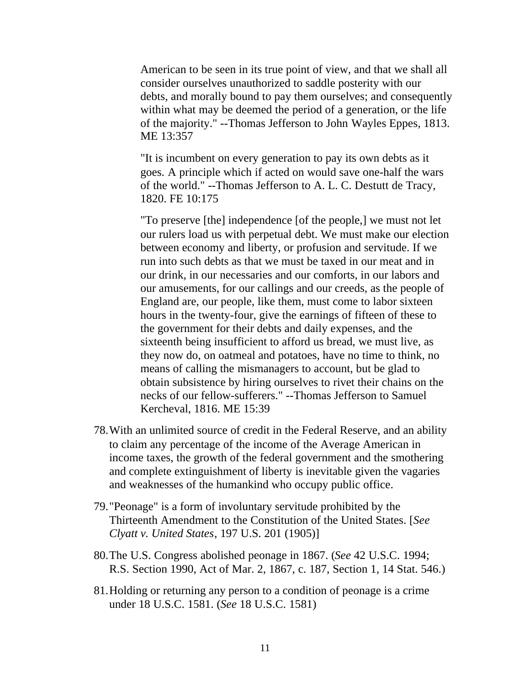American to be seen in its true point of view, and that we shall all consider ourselves unauthorized to saddle posterity with our debts, and morally bound to pay them ourselves; and consequently within what may be deemed the period of a generation, or the life of the majority." --Thomas Jefferson to John Wayles Eppes, 1813. ME 13:357

"It is incumbent on every generation to pay its own debts as it goes. A principle which if acted on would save one-half the wars of the world." --Thomas Jefferson to A. L. C. Destutt de Tracy, 1820. FE 10:175

"To preserve [the] independence [of the people,] we must not let our rulers load us with perpetual debt. We must make our election between economy and liberty, or profusion and servitude. If we run into such debts as that we must be taxed in our meat and in our drink, in our necessaries and our comforts, in our labors and our amusements, for our callings and our creeds, as the people of England are, our people, like them, must come to labor sixteen hours in the twenty-four, give the earnings of fifteen of these to the government for their debts and daily expenses, and the sixteenth being insufficient to afford us bread, we must live, as they now do, on oatmeal and potatoes, have no time to think, no means of calling the mismanagers to account, but be glad to obtain subsistence by hiring ourselves to rivet their chains on the necks of our fellow-sufferers." --Thomas Jefferson to Samuel Kercheval, 1816. ME 15:39

- 78.With an unlimited source of credit in the Federal Reserve, and an ability to claim any percentage of the income of the Average American in income taxes, the growth of the federal government and the smothering and complete extinguishment of liberty is inevitable given the vagaries and weaknesses of the humankind who occupy public office.
- 79."Peonage" is a form of involuntary servitude prohibited by the Thirteenth Amendment to the Constitution of the United States. [*See Clyatt v. United States*, 197 U.S. 201 (1905)]
- 80.The U.S. Congress abolished peonage in 1867. (*See* 42 U.S.C. 1994; R.S. Section 1990, Act of Mar. 2, 1867, c. 187, Section 1, 14 Stat. 546.)
- 81.Holding or returning any person to a condition of peonage is a crime under 18 U.S.C. 1581. (*See* 18 U.S.C. 1581)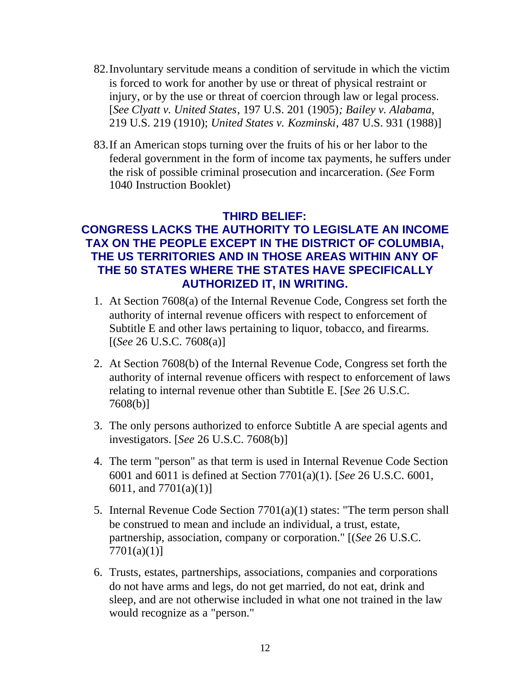- 82.Involuntary servitude means a condition of servitude in which the victim is forced to work for another by use or threat of physical restraint or injury, or by the use or threat of coercion through law or legal process. [*See Clyatt v. United States*, 197 U.S. 201 (1905)*; Bailey v. Alabama*, 219 U.S. 219 (1910); *United States v. Kozminski*, 487 U.S. 931 (1988)]
- 83.If an American stops turning over the fruits of his or her labor to the federal government in the form of income tax payments, he suffers under the risk of possible criminal prosecution and incarceration. (*See* Form 1040 Instruction Booklet)

#### **THIRD BELIEF:**

# **CONGRESS LACKS THE AUTHORITY TO LEGISLATE AN INCOME TAX ON THE PEOPLE EXCEPT IN THE DISTRICT OF COLUMBIA, THE US TERRITORIES AND IN THOSE AREAS WITHIN ANY OF THE 50 STATES WHERE THE STATES HAVE SPECIFICALLY AUTHORIZED IT, IN WRITING.**

- 1. At Section 7608(a) of the Internal Revenue Code, Congress set forth the authority of internal revenue officers with respect to enforcement of Subtitle E and other laws pertaining to liquor, tobacco, and firearms. [(*See* 26 U.S.C. 7608(a)]
- 2. At Section 7608(b) of the Internal Revenue Code, Congress set forth the authority of internal revenue officers with respect to enforcement of laws relating to internal revenue other than Subtitle E. [*See* 26 U.S.C. 7608(b)]
- 3. The only persons authorized to enforce Subtitle A are special agents and investigators. [*See* 26 U.S.C. 7608(b)]
- 4. The term "person" as that term is used in Internal Revenue Code Section 6001 and 6011 is defined at Section 7701(a)(1). [*See* 26 U.S.C. 6001, 6011, and 7701(a)(1)]
- 5. Internal Revenue Code Section 7701(a)(1) states: "The term person shall be construed to mean and include an individual, a trust, estate, partnership, association, company or corporation." [(*See* 26 U.S.C. 7701(a)(1)]
- 6. Trusts, estates, partnerships, associations, companies and corporations do not have arms and legs, do not get married, do not eat, drink and sleep, and are not otherwise included in what one not trained in the law would recognize as a "person."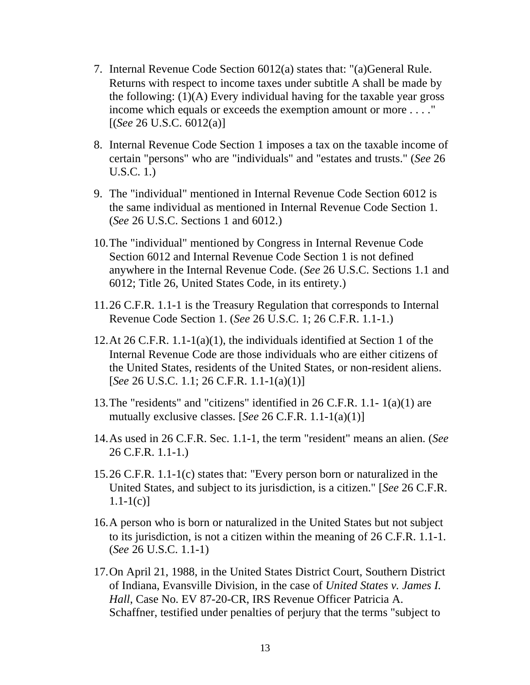- 7. Internal Revenue Code Section 6012(a) states that: "(a)General Rule. Returns with respect to income taxes under subtitle A shall be made by the following: (1)(A) Every individual having for the taxable year gross income which equals or exceeds the exemption amount or more . . . ." [(*See* 26 U.S.C. 6012(a)]
- 8. Internal Revenue Code Section 1 imposes a tax on the taxable income of certain "persons" who are "individuals" and "estates and trusts." (*See* 26 U.S.C. 1.)
- 9. The "individual" mentioned in Internal Revenue Code Section 6012 is the same individual as mentioned in Internal Revenue Code Section 1. (*See* 26 U.S.C. Sections 1 and 6012.)
- 10.The "individual" mentioned by Congress in Internal Revenue Code Section 6012 and Internal Revenue Code Section 1 is not defined anywhere in the Internal Revenue Code. (*See* 26 U.S.C. Sections 1.1 and 6012; Title 26, United States Code, in its entirety.)
- 11.26 C.F.R. 1.1-1 is the Treasury Regulation that corresponds to Internal Revenue Code Section 1. (*See* 26 U.S.C. 1; 26 C.F.R. 1.1-1.)
- 12.At 26 C.F.R. 1.1-1(a)(1), the individuals identified at Section 1 of the Internal Revenue Code are those individuals who are either citizens of the United States, residents of the United States, or non-resident aliens. [*See* 26 U.S.C. 1.1; 26 C.F.R. 1.1-1(a)(1)]
- 13.The "residents" and "citizens" identified in 26 C.F.R. 1.1- 1(a)(1) are mutually exclusive classes. [*See* 26 C.F.R. 1.1-1(a)(1)]
- 14.As used in 26 C.F.R. Sec. 1.1-1, the term "resident" means an alien. (*See* 26 C.F.R. 1.1-1.)
- 15.26 C.F.R. 1.1-1(c) states that: "Every person born or naturalized in the United States, and subject to its jurisdiction, is a citizen." [*See* 26 C.F.R.  $1.1 - 1(c)$ ]
- 16.A person who is born or naturalized in the United States but not subject to its jurisdiction, is not a citizen within the meaning of 26 C.F.R. 1.1-1. (*See* 26 U.S.C. 1.1-1)
- 17.On April 21, 1988, in the United States District Court, Southern District of Indiana, Evansville Division, in the case of *United States v. James I. Hall*, Case No. EV 87-20-CR, IRS Revenue Officer Patricia A. Schaffner, testified under penalties of perjury that the terms "subject to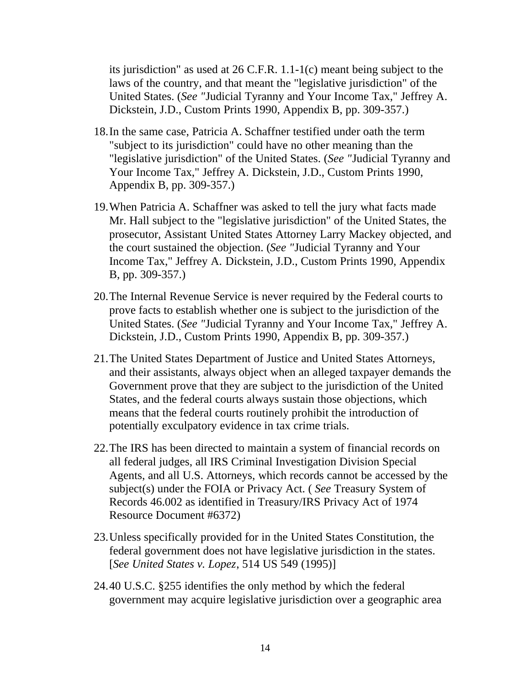its jurisdiction" as used at 26 C.F.R. 1.1-1(c) meant being subject to the laws of the country, and that meant the "legislative jurisdiction" of the United States. (*See "*Judicial Tyranny and Your Income Tax," Jeffrey A. Dickstein, J.D., Custom Prints 1990, Appendix B, pp. 309-357.)

- 18.In the same case, Patricia A. Schaffner testified under oath the term "subject to its jurisdiction" could have no other meaning than the "legislative jurisdiction" of the United States. (*See "*Judicial Tyranny and Your Income Tax," Jeffrey A. Dickstein, J.D., Custom Prints 1990, Appendix B, pp. 309-357.)
- 19.When Patricia A. Schaffner was asked to tell the jury what facts made Mr. Hall subject to the "legislative jurisdiction" of the United States, the prosecutor, Assistant United States Attorney Larry Mackey objected, and the court sustained the objection. (*See "*Judicial Tyranny and Your Income Tax," Jeffrey A. Dickstein, J.D., Custom Prints 1990, Appendix B, pp. 309-357.)
- 20.The Internal Revenue Service is never required by the Federal courts to prove facts to establish whether one is subject to the jurisdiction of the United States. (*See "*Judicial Tyranny and Your Income Tax," Jeffrey A. Dickstein, J.D., Custom Prints 1990, Appendix B, pp. 309-357.)
- 21.The United States Department of Justice and United States Attorneys, and their assistants, always object when an alleged taxpayer demands the Government prove that they are subject to the jurisdiction of the United States, and the federal courts always sustain those objections, which means that the federal courts routinely prohibit the introduction of potentially exculpatory evidence in tax crime trials.
- 22.The IRS has been directed to maintain a system of financial records on all federal judges, all IRS Criminal Investigation Division Special Agents, and all U.S. Attorneys, which records cannot be accessed by the subject(s) under the FOIA or Privacy Act. ( *See* Treasury System of Records 46.002 as identified in Treasury/IRS Privacy Act of 1974 Resource Document #6372)
- 23.Unless specifically provided for in the United States Constitution, the federal government does not have legislative jurisdiction in the states. [*See United States v. Lopez*, 514 US 549 (1995)]
- 24.40 U.S.C. §255 identifies the only method by which the federal government may acquire legislative jurisdiction over a geographic area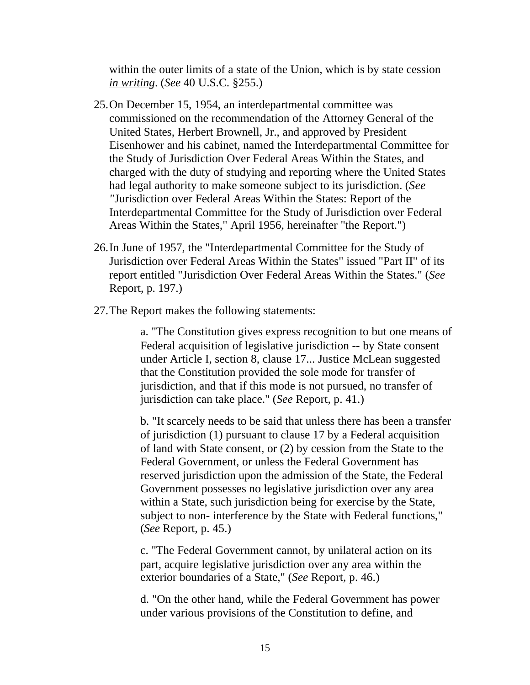within the outer limits of a state of the Union, which is by state cession *in writing*. (*See* 40 U.S.C. §255.)

- 25.On December 15, 1954, an interdepartmental committee was commissioned on the recommendation of the Attorney General of the United States, Herbert Brownell, Jr., and approved by President Eisenhower and his cabinet, named the Interdepartmental Committee for the Study of Jurisdiction Over Federal Areas Within the States, and charged with the duty of studying and reporting where the United States had legal authority to make someone subject to its jurisdiction. (*See "*Jurisdiction over Federal Areas Within the States: Report of the Interdepartmental Committee for the Study of Jurisdiction over Federal Areas Within the States," April 1956, hereinafter "the Report.")
- 26.In June of 1957, the "Interdepartmental Committee for the Study of Jurisdiction over Federal Areas Within the States" issued "Part II" of its report entitled "Jurisdiction Over Federal Areas Within the States." (*See* Report, p. 197.)
- 27.The Report makes the following statements:

a. "The Constitution gives express recognition to but one means of Federal acquisition of legislative jurisdiction -- by State consent under Article I, section 8, clause 17... Justice McLean suggested that the Constitution provided the sole mode for transfer of jurisdiction, and that if this mode is not pursued, no transfer of jurisdiction can take place." (*See* Report, p. 41.)

b. "It scarcely needs to be said that unless there has been a transfer of jurisdiction (1) pursuant to clause 17 by a Federal acquisition of land with State consent, or (2) by cession from the State to the Federal Government, or unless the Federal Government has reserved jurisdiction upon the admission of the State, the Federal Government possesses no legislative jurisdiction over any area within a State, such jurisdiction being for exercise by the State, subject to non- interference by the State with Federal functions," (*See* Report, p. 45.)

c. "The Federal Government cannot, by unilateral action on its part, acquire legislative jurisdiction over any area within the exterior boundaries of a State," (*See* Report, p. 46.)

d. "On the other hand, while the Federal Government has power under various provisions of the Constitution to define, and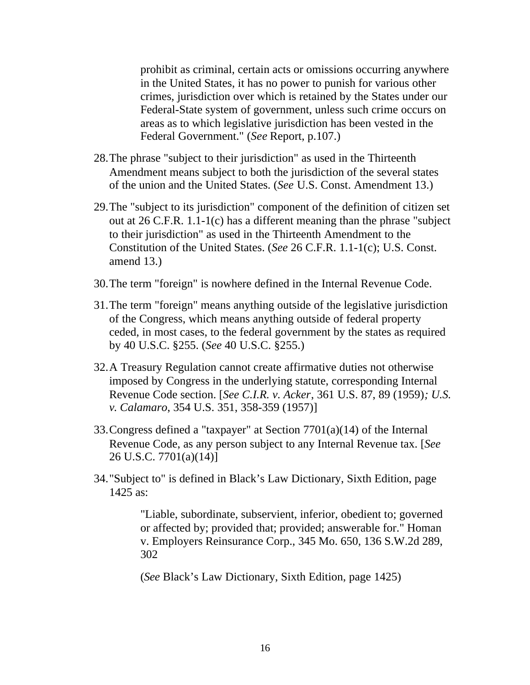prohibit as criminal, certain acts or omissions occurring anywhere in the United States, it has no power to punish for various other crimes, jurisdiction over which is retained by the States under our Federal-State system of government, unless such crime occurs on areas as to which legislative jurisdiction has been vested in the Federal Government." (*See* Report, p.107.)

- 28.The phrase "subject to their jurisdiction" as used in the Thirteenth Amendment means subject to both the jurisdiction of the several states of the union and the United States. (*See* U.S. Const. Amendment 13.)
- 29.The "subject to its jurisdiction" component of the definition of citizen set out at 26 C.F.R. 1.1-1(c) has a different meaning than the phrase "subject to their jurisdiction" as used in the Thirteenth Amendment to the Constitution of the United States. (*See* 26 C.F.R. 1.1-1(c); U.S. Const. amend 13.)
- 30.The term "foreign" is nowhere defined in the Internal Revenue Code.
- 31.The term "foreign" means anything outside of the legislative jurisdiction of the Congress, which means anything outside of federal property ceded, in most cases, to the federal government by the states as required by 40 U.S.C. §255. (*See* 40 U.S.C. §255.)
- 32.A Treasury Regulation cannot create affirmative duties not otherwise imposed by Congress in the underlying statute, corresponding Internal Revenue Code section. [*See C.I.R. v. Acker*, 361 U.S. 87, 89 (1959)*; U.S. v. Calamaro*, 354 U.S. 351, 358-359 (1957)]
- 33.Congress defined a "taxpayer" at Section 7701(a)(14) of the Internal Revenue Code, as any person subject to any Internal Revenue tax. [*See* 26 U.S.C. 7701(a)(14)]
- 34."Subject to" is defined in Black's Law Dictionary, Sixth Edition, page 1425 as:

"Liable, subordinate, subservient, inferior, obedient to; governed or affected by; provided that; provided; answerable for." Homan v. Employers Reinsurance Corp., 345 Mo. 650, 136 S.W.2d 289, 302

(*See* Black's Law Dictionary, Sixth Edition, page 1425)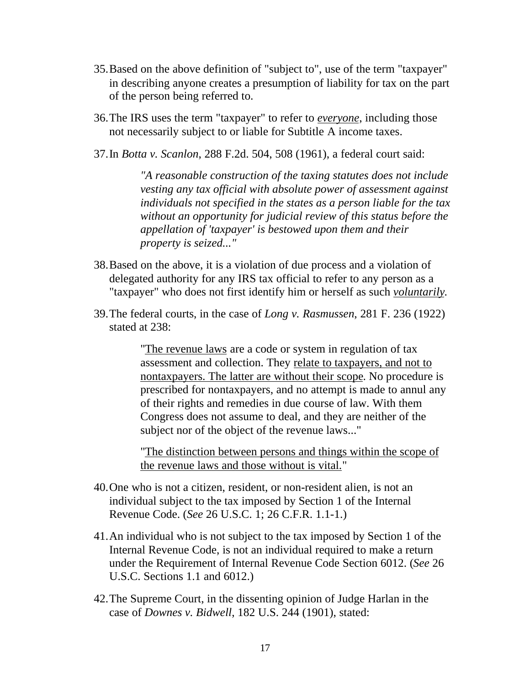- 35.Based on the above definition of "subject to", use of the term "taxpayer" in describing anyone creates a presumption of liability for tax on the part of the person being referred to.
- 36.The IRS uses the term "taxpayer" to refer to *everyone*, including those not necessarily subject to or liable for Subtitle A income taxes.
- 37.In *Botta v. Scanlon*, 288 F.2d. 504, 508 (1961), a federal court said:

*"A reasonable construction of the taxing statutes does not include vesting any tax official with absolute power of assessment against individuals not specified in the states as a person liable for the tax without an opportunity for judicial review of this status before the appellation of 'taxpayer' is bestowed upon them and their property is seized..."*

- 38.Based on the above, it is a violation of due process and a violation of delegated authority for any IRS tax official to refer to any person as a "taxpayer" who does not first identify him or herself as such *voluntarily*.
- 39.The federal courts, in the case of *Long v. Rasmussen*, 281 F. 236 (1922) stated at 238:

"The revenue laws are a code or system in regulation of tax assessment and collection. They relate to taxpayers, and not to nontaxpayers. The latter are without their scope. No procedure is prescribed for nontaxpayers, and no attempt is made to annul any of their rights and remedies in due course of law. With them Congress does not assume to deal, and they are neither of the subject nor of the object of the revenue laws..."

"The distinction between persons and things within the scope of the revenue laws and those without is vital."

- 40.One who is not a citizen, resident, or non-resident alien, is not an individual subject to the tax imposed by Section 1 of the Internal Revenue Code. (*See* 26 U.S.C. 1; 26 C.F.R. 1.1-1.)
- 41.An individual who is not subject to the tax imposed by Section 1 of the Internal Revenue Code, is not an individual required to make a return under the Requirement of Internal Revenue Code Section 6012. (*See* 26 U.S.C. Sections 1.1 and 6012.)
- 42.The Supreme Court, in the dissenting opinion of Judge Harlan in the case of *Downes v. Bidwell*, 182 U.S. 244 (1901), stated: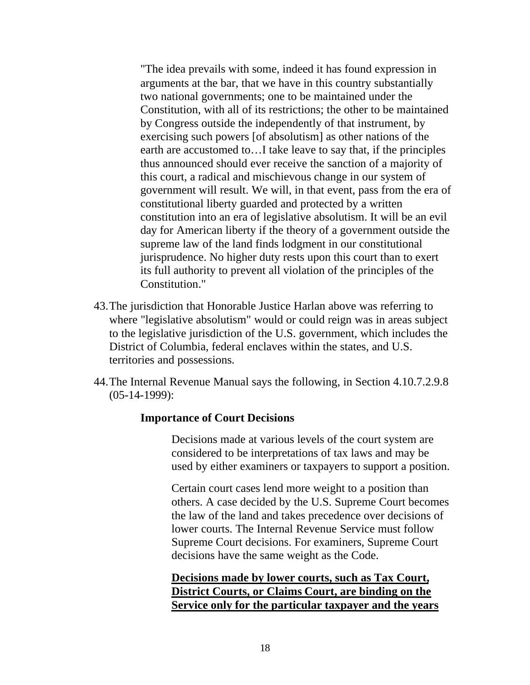"The idea prevails with some, indeed it has found expression in arguments at the bar, that we have in this country substantially two national governments; one to be maintained under the Constitution, with all of its restrictions; the other to be maintained by Congress outside the independently of that instrument, by exercising such powers [of absolutism] as other nations of the earth are accustomed to…I take leave to say that, if the principles thus announced should ever receive the sanction of a majority of this court, a radical and mischievous change in our system of government will result. We will, in that event, pass from the era of constitutional liberty guarded and protected by a written constitution into an era of legislative absolutism. It will be an evil day for American liberty if the theory of a government outside the supreme law of the land finds lodgment in our constitutional jurisprudence. No higher duty rests upon this court than to exert its full authority to prevent all violation of the principles of the Constitution."

- 43.The jurisdiction that Honorable Justice Harlan above was referring to where "legislative absolutism" would or could reign was in areas subject to the legislative jurisdiction of the U.S. government, which includes the District of Columbia, federal enclaves within the states, and U.S. territories and possessions.
- 44.The Internal Revenue Manual says the following, in Section 4.10.7.2.9.8 (05-14-1999):

#### **Importance of Court Decisions**

Decisions made at various levels of the court system are considered to be interpretations of tax laws and may be used by either examiners or taxpayers to support a position.

Certain court cases lend more weight to a position than others. A case decided by the U.S. Supreme Court becomes the law of the land and takes precedence over decisions of lower courts. The Internal Revenue Service must follow Supreme Court decisions. For examiners, Supreme Court decisions have the same weight as the Code.

## **Decisions made by lower courts, such as Tax Court, District Courts, or Claims Court, are binding on the Service only for the particular taxpayer and the years**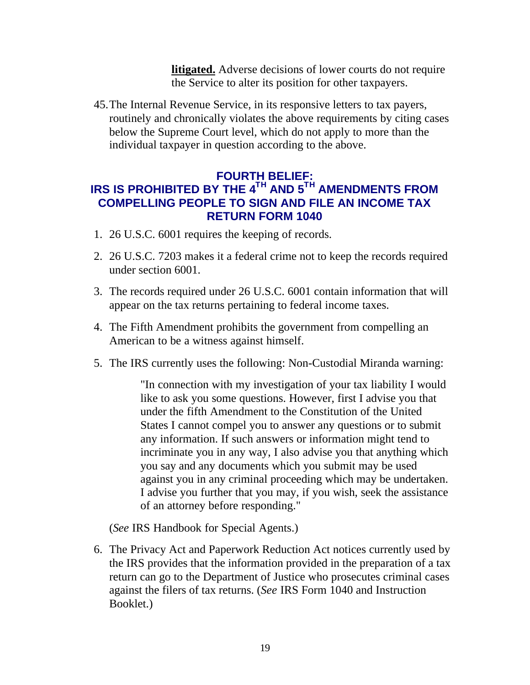**litigated.** Adverse decisions of lower courts do not require the Service to alter its position for other taxpayers.

45.The Internal Revenue Service, in its responsive letters to tax payers, routinely and chronically violates the above requirements by citing cases below the Supreme Court level, which do not apply to more than the individual taxpayer in question according to the above.

## **FOURTH BELIEF: IRS IS PROHIBITED BY THE 4TH AND 5TH AMENDMENTS FROM COMPELLING PEOPLE TO SIGN AND FILE AN INCOME TAX RETURN FORM 1040**

- 1. 26 U.S.C. 6001 requires the keeping of records.
- 2. 26 U.S.C. 7203 makes it a federal crime not to keep the records required under section 6001.
- 3. The records required under 26 U.S.C. 6001 contain information that will appear on the tax returns pertaining to federal income taxes.
- 4. The Fifth Amendment prohibits the government from compelling an American to be a witness against himself.
- 5. The IRS currently uses the following: Non-Custodial Miranda warning:

"In connection with my investigation of your tax liability I would like to ask you some questions. However, first I advise you that under the fifth Amendment to the Constitution of the United States I cannot compel you to answer any questions or to submit any information. If such answers or information might tend to incriminate you in any way, I also advise you that anything which you say and any documents which you submit may be used against you in any criminal proceeding which may be undertaken. I advise you further that you may, if you wish, seek the assistance of an attorney before responding."

(*See* IRS Handbook for Special Agents.)

6. The Privacy Act and Paperwork Reduction Act notices currently used by the IRS provides that the information provided in the preparation of a tax return can go to the Department of Justice who prosecutes criminal cases against the filers of tax returns. (*See* IRS Form 1040 and Instruction Booklet.)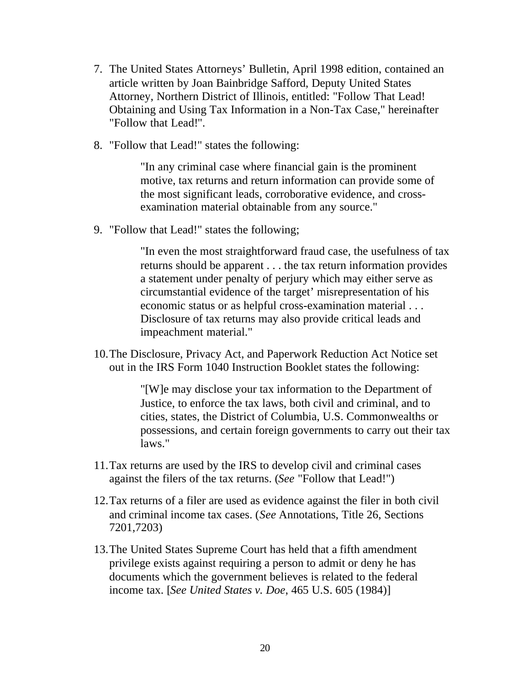- 7. The United States Attorneys' Bulletin, April 1998 edition, contained an article written by Joan Bainbridge Safford, Deputy United States Attorney, Northern District of Illinois, entitled: "Follow That Lead! Obtaining and Using Tax Information in a Non-Tax Case," hereinafter "Follow that Lead!".
- 8. "Follow that Lead!" states the following:

"In any criminal case where financial gain is the prominent motive, tax returns and return information can provide some of the most significant leads, corroborative evidence, and crossexamination material obtainable from any source."

9. "Follow that Lead!" states the following;

"In even the most straightforward fraud case, the usefulness of tax returns should be apparent . . . the tax return information provides a statement under penalty of perjury which may either serve as circumstantial evidence of the target' misrepresentation of his economic status or as helpful cross-examination material . . . Disclosure of tax returns may also provide critical leads and impeachment material."

10.The Disclosure, Privacy Act, and Paperwork Reduction Act Notice set out in the IRS Form 1040 Instruction Booklet states the following:

> "[W]e may disclose your tax information to the Department of Justice, to enforce the tax laws, both civil and criminal, and to cities, states, the District of Columbia, U.S. Commonwealths or possessions, and certain foreign governments to carry out their tax laws."

- 11.Tax returns are used by the IRS to develop civil and criminal cases against the filers of the tax returns. (*See* "Follow that Lead!")
- 12.Tax returns of a filer are used as evidence against the filer in both civil and criminal income tax cases. (*See* Annotations, Title 26, Sections 7201,7203)
- 13.The United States Supreme Court has held that a fifth amendment privilege exists against requiring a person to admit or deny he has documents which the government believes is related to the federal income tax. [*See United States v. Doe*, 465 U.S. 605 (1984)]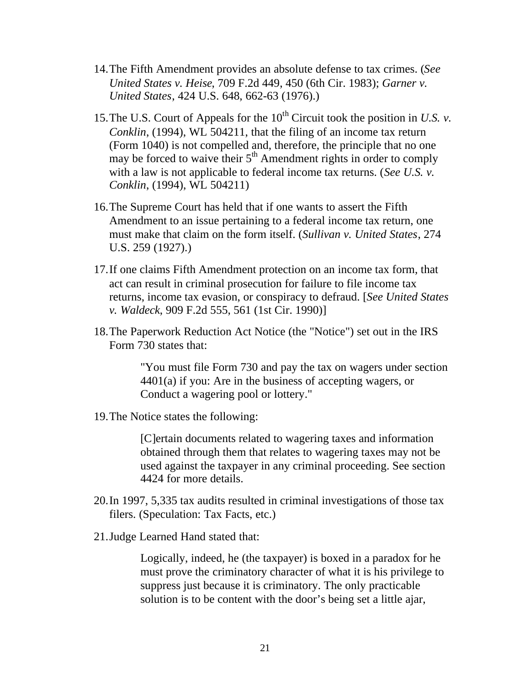- 14.The Fifth Amendment provides an absolute defense to tax crimes. (*See United States v. Heise*, 709 F.2d 449, 450 (6th Cir. 1983); *Garner v. United States*, 424 U.S. 648, 662-63 (1976).)
- 15. The U.S. Court of Appeals for the  $10^{th}$  Circuit took the position in *U.S. v. Conklin*, (1994), WL 504211, that the filing of an income tax return (Form 1040) is not compelled and, therefore, the principle that no one may be forced to waive their  $5<sup>th</sup>$  Amendment rights in order to comply with a law is not applicable to federal income tax returns. (*See U.S. v. Conklin*, (1994), WL 504211)
- 16.The Supreme Court has held that if one wants to assert the Fifth Amendment to an issue pertaining to a federal income tax return, one must make that claim on the form itself. (*Sullivan v. United States*, 274 U.S. 259 (1927).)
- 17.If one claims Fifth Amendment protection on an income tax form, that act can result in criminal prosecution for failure to file income tax returns, income tax evasion, or conspiracy to defraud. [*See United States v. Waldeck*, 909 F.2d 555, 561 (1st Cir. 1990)]
- 18.The Paperwork Reduction Act Notice (the "Notice") set out in the IRS Form 730 states that:

"You must file Form 730 and pay the tax on wagers under section 4401(a) if you: Are in the business of accepting wagers, or Conduct a wagering pool or lottery."

19.The Notice states the following:

[C]ertain documents related to wagering taxes and information obtained through them that relates to wagering taxes may not be used against the taxpayer in any criminal proceeding. See section 4424 for more details.

- 20.In 1997, 5,335 tax audits resulted in criminal investigations of those tax filers. (Speculation: Tax Facts, etc.)
- 21.Judge Learned Hand stated that:

Logically, indeed, he (the taxpayer) is boxed in a paradox for he must prove the criminatory character of what it is his privilege to suppress just because it is criminatory. The only practicable solution is to be content with the door's being set a little ajar,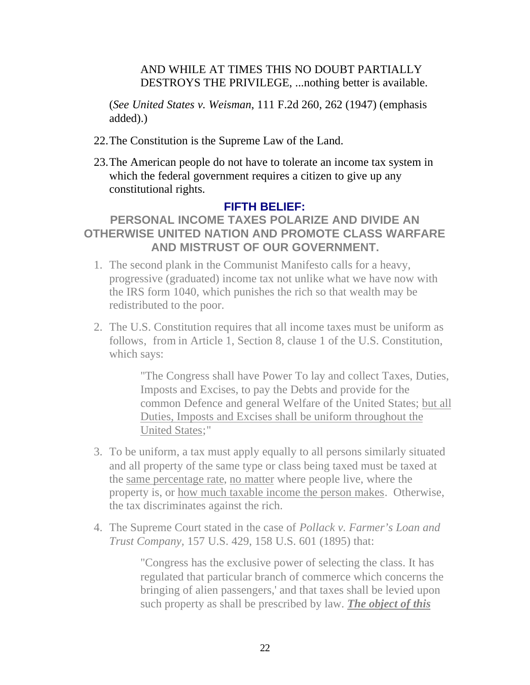#### AND WHILE AT TIMES THIS NO DOUBT PARTIALLY DESTROYS THE PRIVILEGE, ...nothing better is available.

(*See United States v. Weisman*, 111 F.2d 260, 262 (1947) (emphasis added).)

- 22.The Constitution is the Supreme Law of the Land.
- 23.The American people do not have to tolerate an income tax system in which the federal government requires a citizen to give up any constitutional rights.

#### **FIFTH BELIEF:**

## **PERSONAL INCOME TAXES POLARIZE AND DIVIDE AN OTHERWISE UNITED NATION AND PROMOTE CLASS WARFARE AND MISTRUST OF OUR GOVERNMENT.**

- 1. The second plank in the Communist Manifesto calls for a heavy, progressive (graduated) income tax not unlike what we have now with the IRS form 1040, which punishes the rich so that wealth may be redistributed to the poor.
- 2. The U.S. Constitution requires that all income taxes must be uniform as follows, from in Article 1, Section 8, clause 1 of the U.S. Constitution, which says:

"The Congress shall have Power To lay and collect Taxes, Duties, Imposts and Excises, to pay the Debts and provide for the common Defence and general Welfare of the United States; but all Duties, Imposts and Excises shall be uniform throughout the United States;"

- 3. To be uniform, a tax must apply equally to all persons similarly situated and all property of the same type or class being taxed must be taxed at the same percentage rate, no matter where people live, where the property is, or how much taxable income the person makes. Otherwise, the tax discriminates against the rich.
- 4. The Supreme Court stated in the case of *Pollack v. Farmer's Loan and Trust Company,* 157 U.S. 429, 158 U.S. 601 (1895) that:

"Congress has the exclusive power of selecting the class. It has regulated that particular branch of commerce which concerns the bringing of alien passengers,' and that taxes shall be levied upon such property as shall be prescribed by law. *The object of this*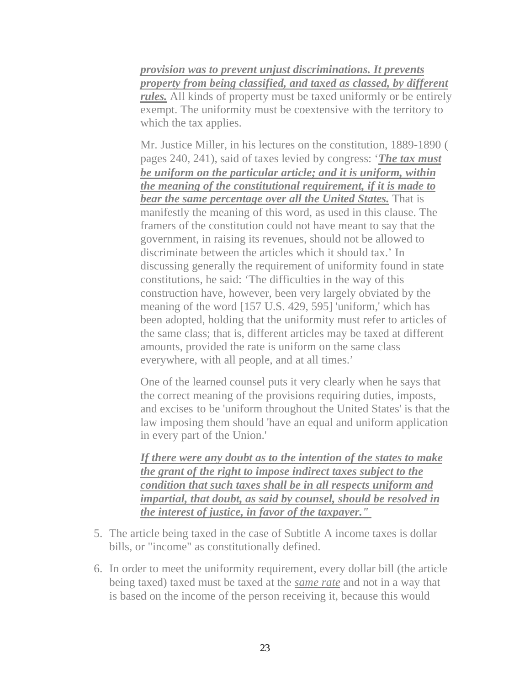*provision was to prevent unjust discriminations. It prevents property from being classified, and taxed as classed, by different rules.* All kinds of property must be taxed uniformly or be entirely exempt. The uniformity must be coextensive with the territory to which the tax applies.

Mr. Justice Miller, in his lectures on the constitution, 1889-1890 ( pages 240, 241), said of taxes levied by congress: '*The tax must be uniform on the particular article; and it is uniform, within the meaning of the constitutional requirement, if it is made to bear the same percentage over all the United States.* That is manifestly the meaning of this word, as used in this clause. The framers of the constitution could not have meant to say that the government, in raising its revenues, should not be allowed to discriminate between the articles which it should tax.' In discussing generally the requirement of uniformity found in state constitutions, he said: 'The difficulties in the way of this construction have, however, been very largely obviated by the meaning of the word [157 U.S. 429, 595] 'uniform,' which has been adopted, holding that the uniformity must refer to articles of the same class; that is, different articles may be taxed at different amounts, provided the rate is uniform on the same class everywhere, with all people, and at all times.'

One of the learned counsel puts it very clearly when he says that the correct meaning of the provisions requiring duties, imposts, and excises to be 'uniform throughout the United States' is that the law imposing them should 'have an equal and uniform application in every part of the Union.'

*If there were any doubt as to the intention of the states to make the grant of the right to impose indirect taxes subject to the condition that such taxes shall be in all respects uniform and impartial, that doubt, as said by counsel, should be resolved in the interest of justice, in favor of the taxpayer."*

- 5. The article being taxed in the case of Subtitle A income taxes is dollar bills, or "income" as constitutionally defined.
- 6. In order to meet the uniformity requirement, every dollar bill (the article being taxed) taxed must be taxed at the *same rate* and not in a way that is based on the income of the person receiving it, because this would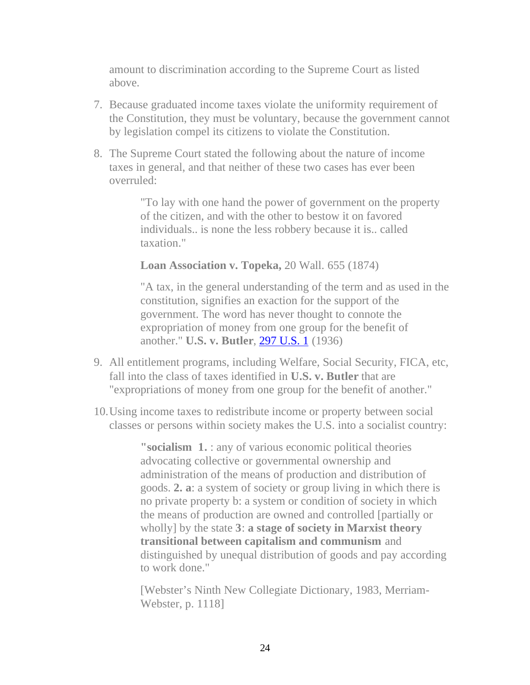amount to discrimination according to the Supreme Court as listed above.

- 7. Because graduated income taxes violate the uniformity requirement of the Constitution, they must be voluntary, because the government cannot by legislation compel its citizens to violate the Constitution.
- 8. The Supreme Court stated the following about the nature of income taxes in general, and that neither of these two cases has ever been overruled:

"To lay with one hand the power of government on the property of the citizen, and with the other to bestow it on favored individuals.. is none the less robbery because it is.. called taxation."

**Loan Association v. Topeka,** 20 Wall. 655 (1874)

"A tax, in the general understanding of the term and as used in the constitution, signifies an exaction for the support of the government. The word has never thought to connote the expropriation of money from one group for the benefit of another." **U.S. v. Butler**, 297 U.S. 1 (1936)

- 9. All entitlement programs, including Welfare, Social Security, FICA, etc, fall into the class of taxes identified in **U.S. v. Butler** that are "expropriations of money from one group for the benefit of another."
- 10.Using income taxes to redistribute income or property between social classes or persons within society makes the U.S. into a socialist country:

**"socialism 1.** : any of various economic political theories advocating collective or governmental ownership and administration of the means of production and distribution of goods. **2. a**: a system of society or group living in which there is no private property b: a system or condition of society in which the means of production are owned and controlled [partially or wholly] by the state **3**: **a stage of society in Marxist theory transitional between capitalism and communism** and distinguished by unequal distribution of goods and pay according to work done."

[Webster's Ninth New Collegiate Dictionary, 1983, Merriam-Webster, p. 1118]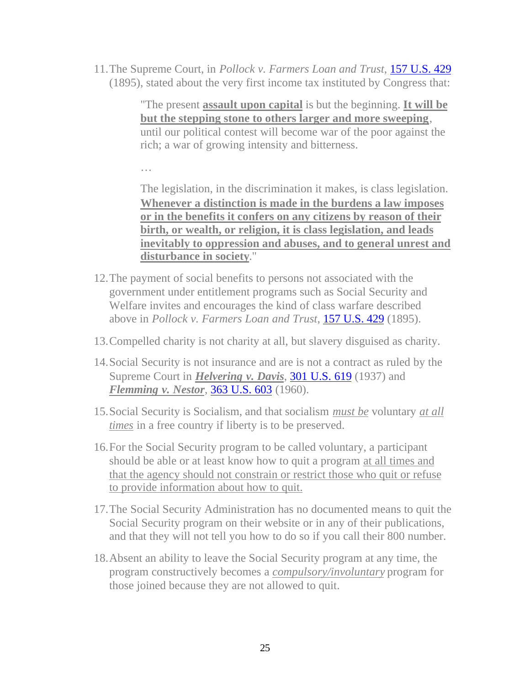11.The Supreme Court, in *Pollock v. Farmers Loan and Trust*, 157 U.S. 429 (1895), stated about the very first income tax instituted by Congress that:

> "The present **assault upon capital** is but the beginning. **It will be but the stepping stone to others larger and more sweeping**, until our political contest will become war of the poor against the rich; a war of growing intensity and bitterness.

The legislation, in the discrimination it makes, is class legislation. **Whenever a distinction is made in the burdens a law imposes or in the benefits it confers on any citizens by reason of their birth, or wealth, or religion, it is class legislation, and leads inevitably to oppression and abuses, and to general unrest and disturbance in society**."

12.The payment of social benefits to persons not associated with the government under entitlement programs such as Social Security and Welfare invites and encourages the kind of class warfare described above in *Pollock v. Farmers Loan and Trust*, 157 U.S. 429 (1895).

…

- 13.Compelled charity is not charity at all, but slavery disguised as charity.
- 14.Social Security is not insurance and are is not a contract as ruled by the Supreme Court in *Helvering v. Davis*, 301 U.S. 619 (1937) and *Flemming v. Nestor*, 363 U.S. 603 (1960).
- 15.Social Security is Socialism, and that socialism *must be* voluntary *at all times* in a free country if liberty is to be preserved.
- 16.For the Social Security program to be called voluntary, a participant should be able or at least know how to quit a program at all times and that the agency should not constrain or restrict those who quit or refuse to provide information about how to quit.
- 17.The Social Security Administration has no documented means to quit the Social Security program on their website or in any of their publications, and that they will not tell you how to do so if you call their 800 number.
- 18.Absent an ability to leave the Social Security program at any time, the program constructively becomes a *compulsory/involuntary* program for those joined because they are not allowed to quit.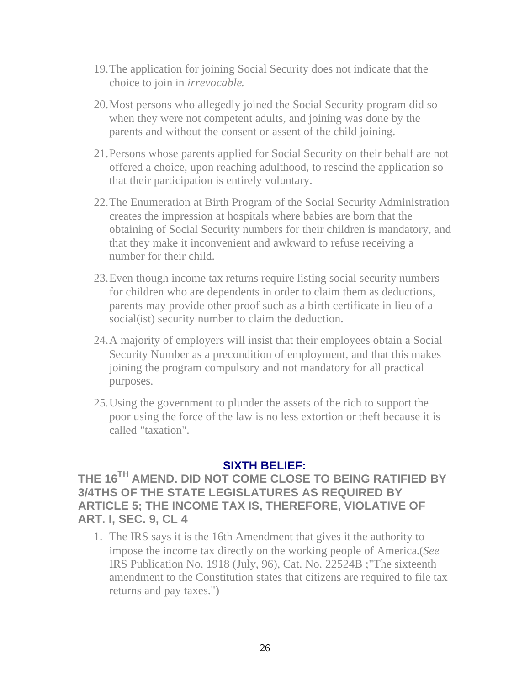- 19.The application for joining Social Security does not indicate that the choice to join in *irrevocable*.
- 20.Most persons who allegedly joined the Social Security program did so when they were not competent adults, and joining was done by the parents and without the consent or assent of the child joining.
- 21.Persons whose parents applied for Social Security on their behalf are not offered a choice, upon reaching adulthood, to rescind the application so that their participation is entirely voluntary.
- 22.The Enumeration at Birth Program of the Social Security Administration creates the impression at hospitals where babies are born that the obtaining of Social Security numbers for their children is mandatory, and that they make it inconvenient and awkward to refuse receiving a number for their child.
- 23.Even though income tax returns require listing social security numbers for children who are dependents in order to claim them as deductions, parents may provide other proof such as a birth certificate in lieu of a social(ist) security number to claim the deduction.
- 24.A majority of employers will insist that their employees obtain a Social Security Number as a precondition of employment, and that this makes joining the program compulsory and not mandatory for all practical purposes.
- 25.Using the government to plunder the assets of the rich to support the poor using the force of the law is no less extortion or theft because it is called "taxation".

## **SIXTH BELIEF:**

**THE 16TH AMEND. DID NOT COME CLOSE TO BEING RATIFIED BY 3/4THS OF THE STATE LEGISLATURES AS REQUIRED BY ARTICLE 5; THE INCOME TAX IS, THEREFORE, VIOLATIVE OF ART. I, SEC. 9, CL 4**

1. The IRS says it is the 16th Amendment that gives it the authority to impose the income tax directly on the working people of America.(*See* IRS Publication No. 1918 (July, 96), Cat. No. 22524B ;"The sixteenth amendment to the Constitution states that citizens are required to file tax returns and pay taxes.")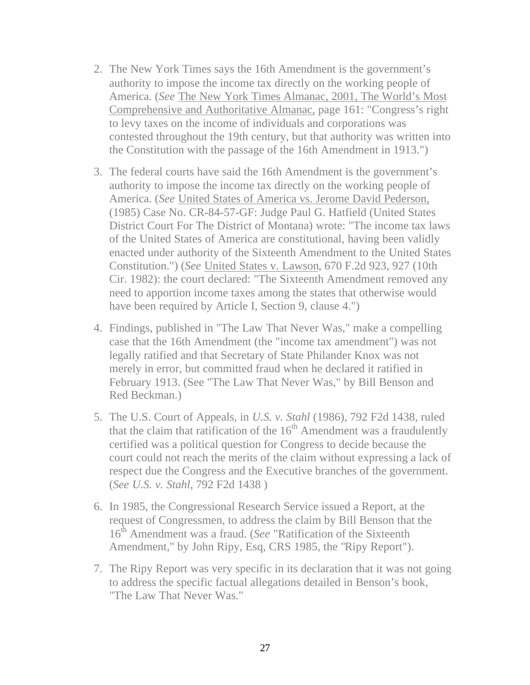- 2. The New York Times says the 16th Amendment is the government's authority to impose the income tax directly on the working people of America. (*See* The New York Times Almanac, 2001, The World's Most Comprehensive and Authoritative Almanac, page 161: "Congress's right to levy taxes on the income of individuals and corporations was contested throughout the 19th century, but that authority was written into the Constitution with the passage of the 16th Amendment in 1913.")
- 3. The federal courts have said the 16th Amendment is the government's authority to impose the income tax directly on the working people of America. (*See* United States of America vs. Jerome David Pederson, (1985) Case No. CR-84-57-GF: Judge Paul G. Hatfield (United States District Court For The District of Montana) wrote: "The income tax laws of the United States of America are constitutional, having been validly enacted under authority of the Sixteenth Amendment to the United States Constitution.") (*See* United States v. Lawson, 670 F.2d 923, 927 (10th Cir. 1982): the court declared: "The Sixteenth Amendment removed any need to apportion income taxes among the states that otherwise would have been required by Article I, Section 9, clause 4.")
- 4. Findings, published in "The Law That Never Was," make a compelling case that the 16th Amendment (the "income tax amendment") was not legally ratified and that Secretary of State Philander Knox was not merely in error, but committed fraud when he declared it ratified in February 1913. (See "The Law That Never Was," by Bill Benson and Red Beckman.)
- 5. The U.S. Court of Appeals, in *U.S. v. Stahl* (1986), 792 F2d 1438, ruled that the claim that ratification of the  $16<sup>th</sup>$  Amendment was a fraudulently certified was a political question for Congress to decide because the court could not reach the merits of the claim without expressing a lack of respect due the Congress and the Executive branches of the government. (*See U.S. v. Stahl*, 792 F2d 1438 )
- 6. In 1985, the Congressional Research Service issued a Report, at the request of Congressmen, to address the claim by Bill Benson that the 16<sup>th</sup> Amendment was a fraud. (*See* "Ratification of the Sixteenth Amendment," by John Ripy, Esq, CRS 1985, the "Ripy Report").
- 7. The Ripy Report was very specific in its declaration that it was not going to address the specific factual allegations detailed in Benson's book, "The Law That Never Was."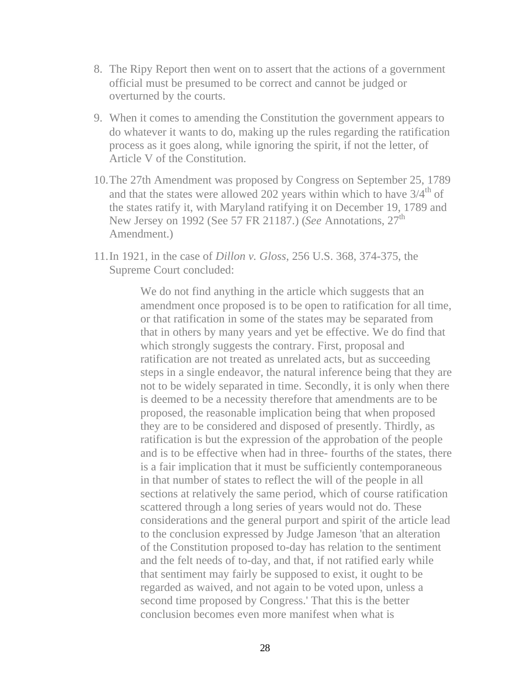- 8. The Ripy Report then went on to assert that the actions of a government official must be presumed to be correct and cannot be judged or overturned by the courts.
- 9. When it comes to amending the Constitution the government appears to do whatever it wants to do, making up the rules regarding the ratification process as it goes along, while ignoring the spirit, if not the letter, of Article V of the Constitution.
- 10.The 27th Amendment was proposed by Congress on September 25, 1789 and that the states were allowed 202 years within which to have  $3/4^{th}$  of the states ratify it, with Maryland ratifying it on December 19, 1789 and New Jersey on 1992 (See 57 FR 21187.) (*See Annotations*, 27<sup>th</sup> Amendment.)
- 11.In 1921, in the case of *Dillon v. Gloss*, 256 U.S. 368, 374-375, the Supreme Court concluded:

We do not find anything in the article which suggests that an amendment once proposed is to be open to ratification for all time, or that ratification in some of the states may be separated from that in others by many years and yet be effective. We do find that which strongly suggests the contrary. First, proposal and ratification are not treated as unrelated acts, but as succeeding steps in a single endeavor, the natural inference being that they are not to be widely separated in time. Secondly, it is only when there is deemed to be a necessity therefore that amendments are to be proposed, the reasonable implication being that when proposed they are to be considered and disposed of presently. Thirdly, as ratification is but the expression of the approbation of the people and is to be effective when had in three- fourths of the states, there is a fair implication that it must be sufficiently contemporaneous in that number of states to reflect the will of the people in all sections at relatively the same period, which of course ratification scattered through a long series of years would not do. These considerations and the general purport and spirit of the article lead to the conclusion expressed by Judge Jameson 'that an alteration of the Constitution proposed to-day has relation to the sentiment and the felt needs of to-day, and that, if not ratified early while that sentiment may fairly be supposed to exist, it ought to be regarded as waived, and not again to be voted upon, unless a second time proposed by Congress.' That this is the better conclusion becomes even more manifest when what is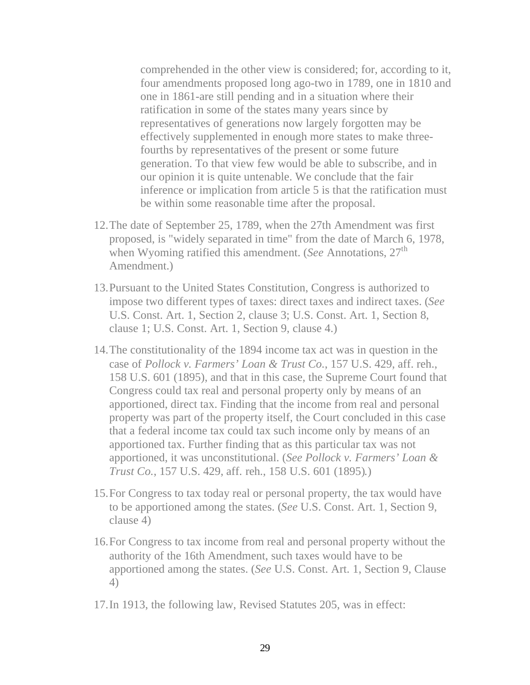comprehended in the other view is considered; for, according to it, four amendments proposed long ago-two in 1789, one in 1810 and one in 1861-are still pending and in a situation where their ratification in some of the states many years since by representatives of generations now largely forgotten may be effectively supplemented in enough more states to make threefourths by representatives of the present or some future generation. To that view few would be able to subscribe, and in our opinion it is quite untenable. We conclude that the fair inference or implication from article 5 is that the ratification must be within some reasonable time after the proposal.

- 12.The date of September 25, 1789, when the 27th Amendment was first proposed, is "widely separated in time" from the date of March 6, 1978, when Wyoming ratified this amendment. (*See* Annotations, 27<sup>th</sup> Amendment.)
- 13.Pursuant to the United States Constitution, Congress is authorized to impose two different types of taxes: direct taxes and indirect taxes. (*See* U.S. Const. Art. 1, Section 2, clause 3; U.S. Const. Art. 1, Section 8, clause 1; U.S. Const. Art. 1, Section 9, clause 4.)
- 14.The constitutionality of the 1894 income tax act was in question in the case of *Pollock v. Farmers' Loan & Trust Co.*, 157 U.S. 429, aff. reh., 158 U.S. 601 (1895), and that in this case, the Supreme Court found that Congress could tax real and personal property only by means of an apportioned, direct tax. Finding that the income from real and personal property was part of the property itself, the Court concluded in this case that a federal income tax could tax such income only by means of an apportioned tax. Further finding that as this particular tax was not apportioned, it was unconstitutional. (*See Pollock v. Farmers' Loan & Trust Co.*, 157 U.S. 429, aff. reh., 158 U.S. 601 (1895)*.*)
- 15.For Congress to tax today real or personal property, the tax would have to be apportioned among the states. (*See* U.S. Const. Art. 1, Section 9, clause 4)
- 16.For Congress to tax income from real and personal property without the authority of the 16th Amendment, such taxes would have to be apportioned among the states. (*See* U.S. Const. Art. 1, Section 9, Clause 4)
- 17.In 1913, the following law, Revised Statutes 205, was in effect: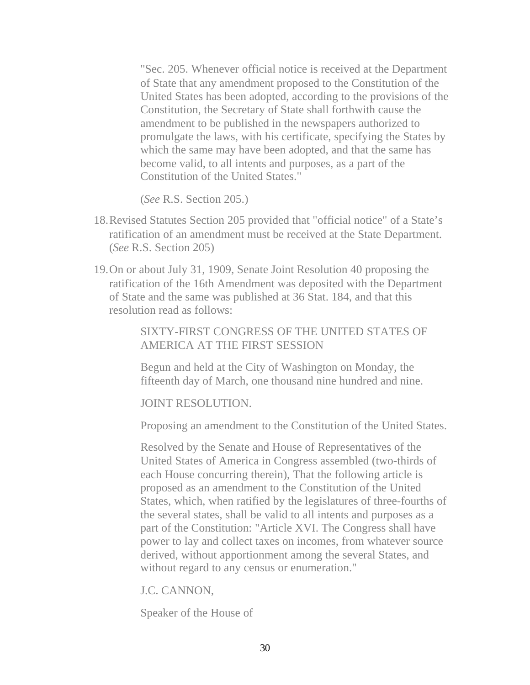"Sec. 205. Whenever official notice is received at the Department of State that any amendment proposed to the Constitution of the United States has been adopted, according to the provisions of the Constitution, the Secretary of State shall forthwith cause the amendment to be published in the newspapers authorized to promulgate the laws, with his certificate, specifying the States by which the same may have been adopted, and that the same has become valid, to all intents and purposes, as a part of the Constitution of the United States."

(*See* R.S. Section 205.)

- 18.Revised Statutes Section 205 provided that "official notice" of a State's ratification of an amendment must be received at the State Department. (*See* R.S. Section 205)
- 19.On or about July 31, 1909, Senate Joint Resolution 40 proposing the ratification of the 16th Amendment was deposited with the Department of State and the same was published at 36 Stat. 184, and that this resolution read as follows:

SIXTY-FIRST CONGRESS OF THE UNITED STATES OF AMERICA AT THE FIRST SESSION

Begun and held at the City of Washington on Monday, the fifteenth day of March, one thousand nine hundred and nine.

JOINT RESOLUTION.

Proposing an amendment to the Constitution of the United States.

Resolved by the Senate and House of Representatives of the United States of America in Congress assembled (two-thirds of each House concurring therein), That the following article is proposed as an amendment to the Constitution of the United States, which, when ratified by the legislatures of three-fourths of the several states, shall be valid to all intents and purposes as a part of the Constitution: "Article XVI. The Congress shall have power to lay and collect taxes on incomes, from whatever source derived, without apportionment among the several States, and without regard to any census or enumeration."

J.C. CANNON,

Speaker of the House of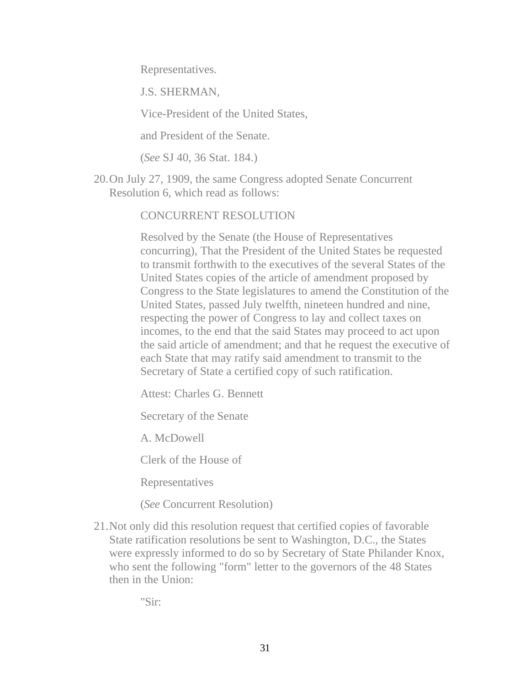Representatives.

J.S. SHERMAN,

Vice-President of the United States,

and President of the Senate.

(*See* SJ 40, 36 Stat. 184.)

20.On July 27, 1909, the same Congress adopted Senate Concurrent Resolution 6, which read as follows:

# CONCURRENT RESOLUTION

Resolved by the Senate (the House of Representatives concurring), That the President of the United States be requested to transmit forthwith to the executives of the several States of the United States copies of the article of amendment proposed by Congress to the State legislatures to amend the Constitution of the United States, passed July twelfth, nineteen hundred and nine, respecting the power of Congress to lay and collect taxes on incomes, to the end that the said States may proceed to act upon the said article of amendment; and that he request the executive of each State that may ratify said amendment to transmit to the Secretary of State a certified copy of such ratification.

Attest: Charles G. Bennett

Secretary of the Senate

A. McDowell

Clerk of the House of

Representatives

(*See* Concurrent Resolution)

21.Not only did this resolution request that certified copies of favorable State ratification resolutions be sent to Washington, D.C., the States were expressly informed to do so by Secretary of State Philander Knox, who sent the following "form" letter to the governors of the 48 States then in the Union:

"Sir: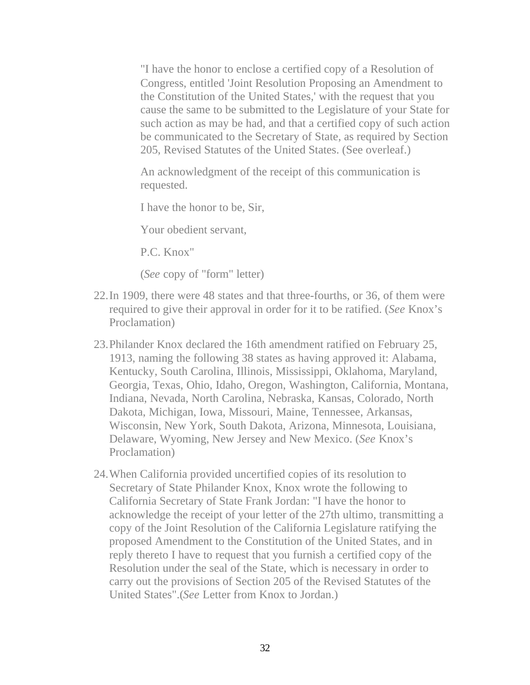"I have the honor to enclose a certified copy of a Resolution of Congress, entitled 'Joint Resolution Proposing an Amendment to the Constitution of the United States,' with the request that you cause the same to be submitted to the Legislature of your State for such action as may be had, and that a certified copy of such action be communicated to the Secretary of State, as required by Section 205, Revised Statutes of the United States. (See overleaf.)

An acknowledgment of the receipt of this communication is requested.

I have the honor to be, Sir,

Your obedient servant,

P.C. Knox"

(*See* copy of "form" letter)

- 22.In 1909, there were 48 states and that three-fourths, or 36, of them were required to give their approval in order for it to be ratified. (*See* Knox's Proclamation)
- 23.Philander Knox declared the 16th amendment ratified on February 25, 1913, naming the following 38 states as having approved it: Alabama, Kentucky, South Carolina, Illinois, Mississippi, Oklahoma, Maryland, Georgia, Texas, Ohio, Idaho, Oregon, Washington, California, Montana, Indiana, Nevada, North Carolina, Nebraska, Kansas, Colorado, North Dakota, Michigan, Iowa, Missouri, Maine, Tennessee, Arkansas, Wisconsin, New York, South Dakota, Arizona, Minnesota, Louisiana, Delaware, Wyoming, New Jersey and New Mexico. (*See* Knox's Proclamation)
- 24.When California provided uncertified copies of its resolution to Secretary of State Philander Knox, Knox wrote the following to California Secretary of State Frank Jordan: "I have the honor to acknowledge the receipt of your letter of the 27th ultimo, transmitting a copy of the Joint Resolution of the California Legislature ratifying the proposed Amendment to the Constitution of the United States, and in reply thereto I have to request that you furnish a certified copy of the Resolution under the seal of the State, which is necessary in order to carry out the provisions of Section 205 of the Revised Statutes of the United States".(*See* Letter from Knox to Jordan.)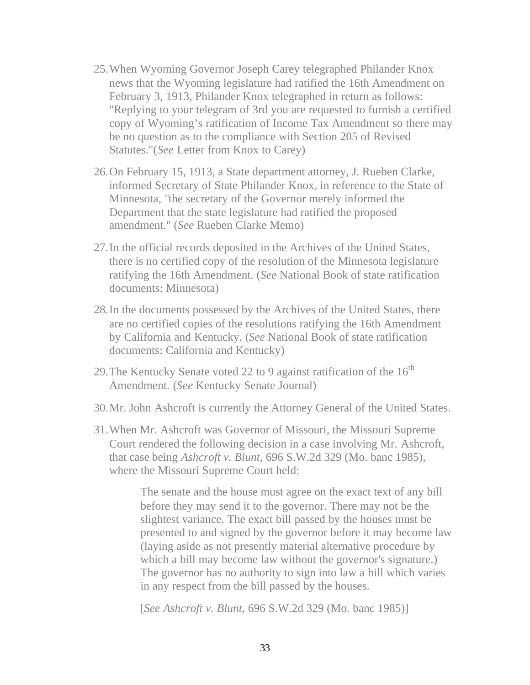- 25.When Wyoming Governor Joseph Carey telegraphed Philander Knox news that the Wyoming legislature had ratified the 16th Amendment on February 3, 1913, Philander Knox telegraphed in return as follows: "Replying to your telegram of 3rd you are requested to furnish a certified copy of Wyoming's ratification of Income Tax Amendment so there may be no question as to the compliance with Section 205 of Revised Statutes."(*See* Letter from Knox to Carey)
- 26.On February 15, 1913, a State department attorney, J. Rueben Clarke, informed Secretary of State Philander Knox, in reference to the State of Minnesota, "the secretary of the Governor merely informed the Department that the state legislature had ratified the proposed amendment." (*See* Rueben Clarke Memo)
- 27.In the official records deposited in the Archives of the United States, there is no certified copy of the resolution of the Minnesota legislature ratifying the 16th Amendment. (*See* National Book of state ratification documents: Minnesota)
- 28.In the documents possessed by the Archives of the United States, there are no certified copies of the resolutions ratifying the 16th Amendment by California and Kentucky. (*See* National Book of state ratification documents: California and Kentucky)
- 29. The Kentucky Senate voted 22 to 9 against ratification of the  $16<sup>th</sup>$ Amendment. (*See* Kentucky Senate Journal)
- 30.Mr. John Ashcroft is currently the Attorney General of the United States.
- 31.When Mr. Ashcroft was Governor of Missouri, the Missouri Supreme Court rendered the following decision in a case involving Mr. Ashcroft, that case being *Ashcroft v. Blunt*, 696 S.W.2d 329 (Mo. banc 1985), where the Missouri Supreme Court held:

The senate and the house must agree on the exact text of any bill before they may send it to the governor. There may not be the slightest variance. The exact bill passed by the houses must be presented to and signed by the governor before it may become law (laying aside as not presently material alternative procedure by which a bill may become law without the governor's signature.) The governor has no authority to sign into law a bill which varies in any respect from the bill passed by the houses.

[*See Ashcroft v. Blunt*, 696 S.W.2d 329 (Mo. banc 1985)]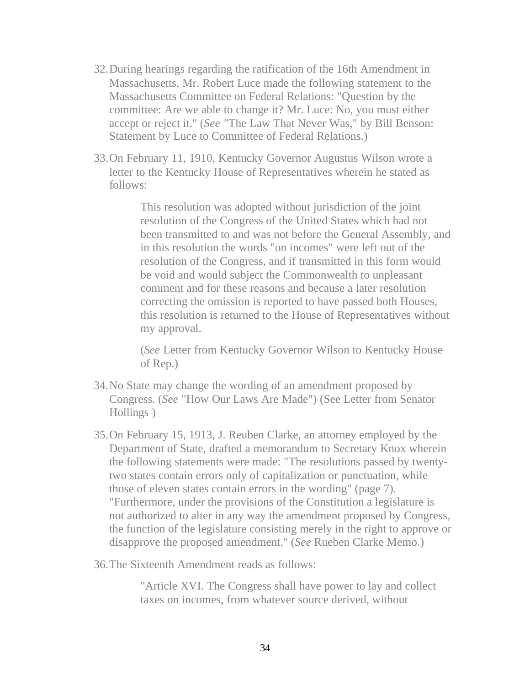- 32.During hearings regarding the ratification of the 16th Amendment in Massachusetts, Mr. Robert Luce made the following statement to the Massachusetts Committee on Federal Relations: "Question by the committee: Are we able to change it? Mr. Luce: No, you must either accept or reject it." (*See "*The Law That Never Was," by Bill Benson: Statement by Luce to Committee of Federal Relations.)
- 33.On February 11, 1910, Kentucky Governor Augustus Wilson wrote a letter to the Kentucky House of Representatives wherein he stated as follows:

This resolution was adopted without jurisdiction of the joint resolution of the Congress of the United States which had not been transmitted to and was not before the General Assembly, and in this resolution the words "on incomes" were left out of the resolution of the Congress, and if transmitted in this form would be void and would subject the Commonwealth to unpleasant comment and for these reasons and because a later resolution correcting the omission is reported to have passed both Houses, this resolution is returned to the House of Representatives without my approval.

(*See* Letter from Kentucky Governor Wilson to Kentucky House of Rep.)

- 34.No State may change the wording of an amendment proposed by Congress. (*See* "How Our Laws Are Made") (See Letter from Senator Hollings )
- 35.On February 15, 1913, J. Reuben Clarke, an attorney employed by the Department of State, drafted a memorandum to Secretary Knox wherein the following statements were made: "The resolutions passed by twentytwo states contain errors only of capitalization or punctuation, while those of eleven states contain errors in the wording" (page 7). "Furthermore, under the provisions of the Constitution a legislature is not authorized to alter in any way the amendment proposed by Congress, the function of the legislature consisting merely in the right to approve or disapprove the proposed amendment." (*See* Rueben Clarke Memo.)
- 36.The Sixteenth Amendment reads as follows:

"Article XVI. The Congress shall have power to lay and collect taxes on incomes, from whatever source derived, without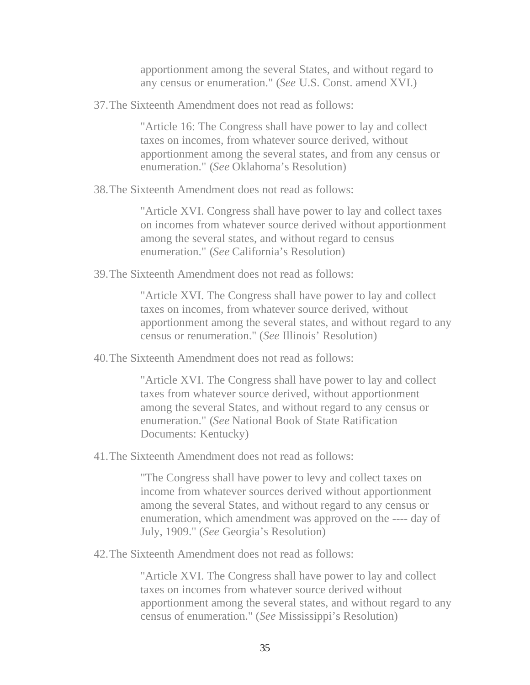apportionment among the several States, and without regard to any census or enumeration." (*See* U.S. Const. amend XVI.)

37.The Sixteenth Amendment does not read as follows:

"Article 16: The Congress shall have power to lay and collect taxes on incomes, from whatever source derived, without apportionment among the several states, and from any census or enumeration." (*See* Oklahoma's Resolution)

38.The Sixteenth Amendment does not read as follows:

"Article XVI. Congress shall have power to lay and collect taxes on incomes from whatever source derived without apportionment among the several states, and without regard to census enumeration." (*See* California's Resolution)

39.The Sixteenth Amendment does not read as follows:

"Article XVI. The Congress shall have power to lay and collect taxes on incomes, from whatever source derived, without apportionment among the several states, and without regard to any census or renumeration." (*See* Illinois' Resolution)

40.The Sixteenth Amendment does not read as follows:

"Article XVI. The Congress shall have power to lay and collect taxes from whatever source derived, without apportionment among the several States, and without regard to any census or enumeration." (*See* National Book of State Ratification Documents: Kentucky)

41.The Sixteenth Amendment does not read as follows:

"The Congress shall have power to levy and collect taxes on income from whatever sources derived without apportionment among the several States, and without regard to any census or enumeration, which amendment was approved on the ---- day of July, 1909." (*See* Georgia's Resolution)

42.The Sixteenth Amendment does not read as follows:

"Article XVI. The Congress shall have power to lay and collect taxes on incomes from whatever source derived without apportionment among the several states, and without regard to any census of enumeration." (*See* Mississippi's Resolution)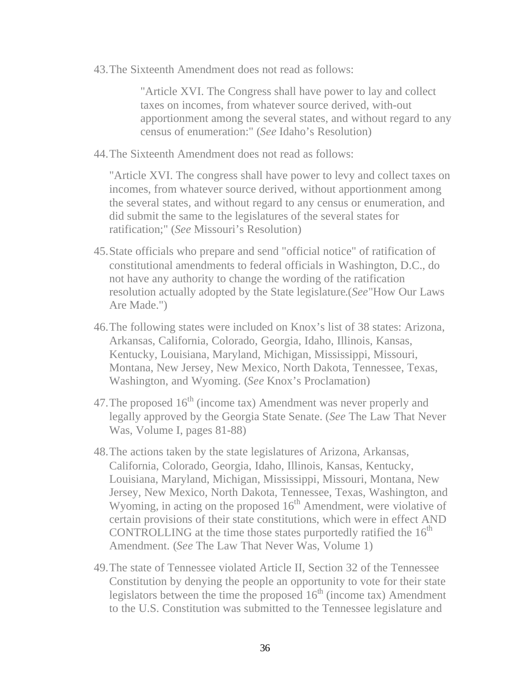43.The Sixteenth Amendment does not read as follows:

"Article XVI. The Congress shall have power to lay and collect taxes on incomes, from whatever source derived, with-out apportionment among the several states, and without regard to any census of enumeration:" (*See* Idaho's Resolution)

44.The Sixteenth Amendment does not read as follows:

"Article XVI. The congress shall have power to levy and collect taxes on incomes, from whatever source derived, without apportionment among the several states, and without regard to any census or enumeration, and did submit the same to the legislatures of the several states for ratification;" (*See* Missouri's Resolution)

- 45.State officials who prepare and send "official notice" of ratification of constitutional amendments to federal officials in Washington, D.C., do not have any authority to change the wording of the ratification resolution actually adopted by the State legislature.(*See*"How Our Laws Are Made.")
- 46.The following states were included on Knox's list of 38 states: Arizona, Arkansas, California, Colorado, Georgia, Idaho, Illinois, Kansas, Kentucky, Louisiana, Maryland, Michigan, Mississippi, Missouri, Montana, New Jersey, New Mexico, North Dakota, Tennessee, Texas, Washington, and Wyoming. (*See* Knox's Proclamation)
- 47. The proposed  $16<sup>th</sup>$  (income tax) Amendment was never properly and legally approved by the Georgia State Senate. (*See* The Law That Never Was, Volume I, pages 81-88)
- 48.The actions taken by the state legislatures of Arizona, Arkansas, California, Colorado, Georgia, Idaho, Illinois, Kansas, Kentucky, Louisiana, Maryland, Michigan, Mississippi, Missouri, Montana, New Jersey, New Mexico, North Dakota, Tennessee, Texas, Washington, and Wyoming, in acting on the proposed  $16<sup>th</sup>$  Amendment, were violative of certain provisions of their state constitutions, which were in effect AND CONTROLLING at the time those states purportedly ratified the  $16<sup>th</sup>$ Amendment. (*See* The Law That Never Was, Volume 1)
- 49.The state of Tennessee violated Article II, Section 32 of the Tennessee Constitution by denying the people an opportunity to vote for their state legislators between the time the proposed  $16<sup>th</sup>$  (income tax) Amendment to the U.S. Constitution was submitted to the Tennessee legislature and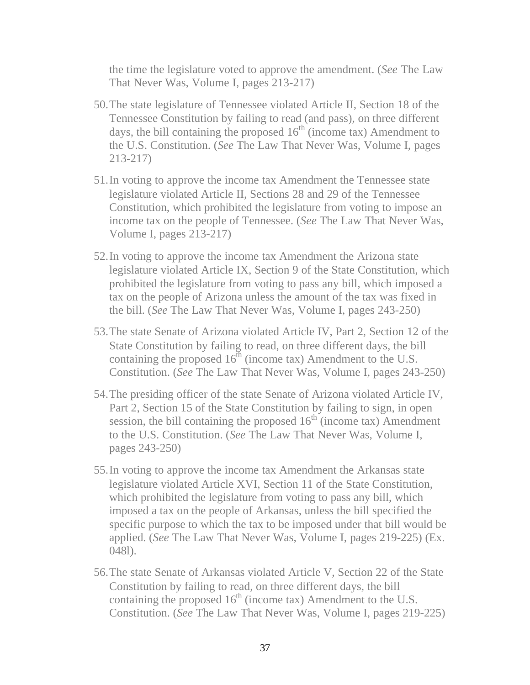the time the legislature voted to approve the amendment. (*See* The Law That Never Was, Volume I, pages 213-217)

- 50.The state legislature of Tennessee violated Article II, Section 18 of the Tennessee Constitution by failing to read (and pass), on three different days, the bill containing the proposed  $16<sup>th</sup>$  (income tax) Amendment to the U.S. Constitution. (*See* The Law That Never Was, Volume I, pages 213-217)
- 51.In voting to approve the income tax Amendment the Tennessee state legislature violated Article II, Sections 28 and 29 of the Tennessee Constitution, which prohibited the legislature from voting to impose an income tax on the people of Tennessee. (*See* The Law That Never Was, Volume I, pages 213-217)
- 52.In voting to approve the income tax Amendment the Arizona state legislature violated Article IX, Section 9 of the State Constitution, which prohibited the legislature from voting to pass any bill, which imposed a tax on the people of Arizona unless the amount of the tax was fixed in the bill. (*See* The Law That Never Was, Volume I, pages 243-250)
- 53.The state Senate of Arizona violated Article IV, Part 2, Section 12 of the State Constitution by failing to read, on three different days, the bill containing the proposed  $16<sup>th</sup>$  (income tax) Amendment to the U.S. Constitution. (*See* The Law That Never Was, Volume I, pages 243-250)
- 54.The presiding officer of the state Senate of Arizona violated Article IV, Part 2, Section 15 of the State Constitution by failing to sign, in open session, the bill containing the proposed  $16<sup>th</sup>$  (income tax) Amendment to the U.S. Constitution. (*See* The Law That Never Was, Volume I, pages 243-250)
- 55.In voting to approve the income tax Amendment the Arkansas state legislature violated Article XVI, Section 11 of the State Constitution, which prohibited the legislature from voting to pass any bill, which imposed a tax on the people of Arkansas, unless the bill specified the specific purpose to which the tax to be imposed under that bill would be applied. (*See* The Law That Never Was, Volume I, pages 219-225) (Ex. 048l).
- 56.The state Senate of Arkansas violated Article V, Section 22 of the State Constitution by failing to read, on three different days, the bill containing the proposed  $16<sup>th</sup>$  (income tax) Amendment to the U.S. Constitution. (*See* The Law That Never Was, Volume I, pages 219-225)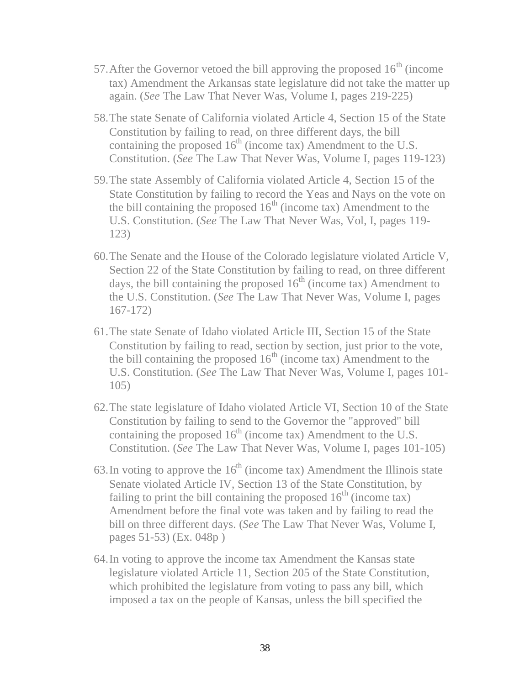- 57. After the Governor vetoed the bill approving the proposed  $16<sup>th</sup>$  (income tax) Amendment the Arkansas state legislature did not take the matter up again. (*See* The Law That Never Was, Volume I, pages 219-225)
- 58.The state Senate of California violated Article 4, Section 15 of the State Constitution by failing to read, on three different days, the bill containing the proposed  $16<sup>th</sup>$  (income tax) Amendment to the U.S. Constitution. (*See* The Law That Never Was, Volume I, pages 119-123)
- 59.The state Assembly of California violated Article 4, Section 15 of the State Constitution by failing to record the Yeas and Nays on the vote on the bill containing the proposed  $16<sup>th</sup>$  (income tax) Amendment to the U.S. Constitution. (*See* The Law That Never Was, Vol, I, pages 119- 123)
- 60.The Senate and the House of the Colorado legislature violated Article V, Section 22 of the State Constitution by failing to read, on three different days, the bill containing the proposed  $16<sup>th</sup>$  (income tax) Amendment to the U.S. Constitution. (*See* The Law That Never Was, Volume I, pages 167-172)
- 61.The state Senate of Idaho violated Article III, Section 15 of the State Constitution by failing to read, section by section, just prior to the vote, the bill containing the proposed  $16<sup>th</sup>$  (income tax) Amendment to the U.S. Constitution. (*See* The Law That Never Was, Volume I, pages 101- 105)
- 62.The state legislature of Idaho violated Article VI, Section 10 of the State Constitution by failing to send to the Governor the "approved" bill containing the proposed  $16<sup>th</sup>$  (income tax) Amendment to the U.S. Constitution. (*See* The Law That Never Was, Volume I, pages 101-105)
- 63. In voting to approve the  $16<sup>th</sup>$  (income tax) Amendment the Illinois state Senate violated Article IV, Section 13 of the State Constitution, by failing to print the bill containing the proposed  $16<sup>th</sup>$  (income tax) Amendment before the final vote was taken and by failing to read the bill on three different days. (*See* The Law That Never Was, Volume I, pages 51-53) (Ex. 048p )
- 64.In voting to approve the income tax Amendment the Kansas state legislature violated Article 11, Section 205 of the State Constitution, which prohibited the legislature from voting to pass any bill, which imposed a tax on the people of Kansas, unless the bill specified the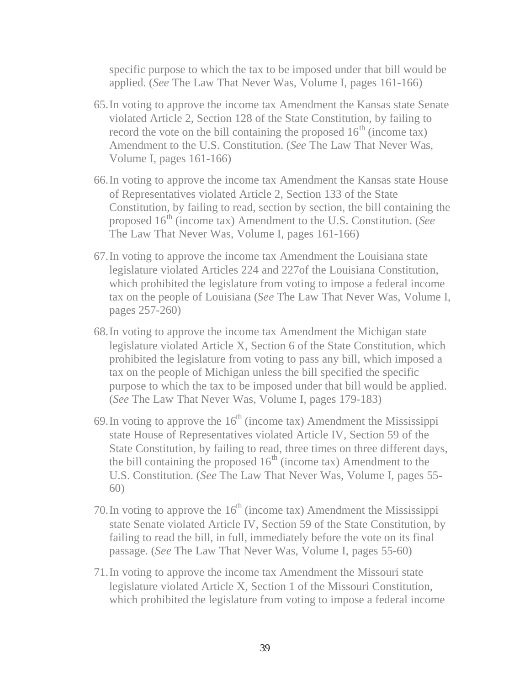specific purpose to which the tax to be imposed under that bill would be applied. (*See* The Law That Never Was, Volume I, pages 161-166)

- 65.In voting to approve the income tax Amendment the Kansas state Senate violated Article 2, Section 128 of the State Constitution, by failing to record the vote on the bill containing the proposed  $16<sup>th</sup>$  (income tax) Amendment to the U.S. Constitution. (*See* The Law That Never Was, Volume I, pages 161-166)
- 66.In voting to approve the income tax Amendment the Kansas state House of Representatives violated Article 2, Section 133 of the State Constitution, by failing to read, section by section, the bill containing the proposed 16th (income tax) Amendment to the U.S. Constitution. (*See* The Law That Never Was, Volume I, pages 161-166)
- 67.In voting to approve the income tax Amendment the Louisiana state legislature violated Articles 224 and 227of the Louisiana Constitution, which prohibited the legislature from voting to impose a federal income tax on the people of Louisiana (*See* The Law That Never Was, Volume I, pages 257-260)
- 68.In voting to approve the income tax Amendment the Michigan state legislature violated Article X, Section 6 of the State Constitution, which prohibited the legislature from voting to pass any bill, which imposed a tax on the people of Michigan unless the bill specified the specific purpose to which the tax to be imposed under that bill would be applied. (*See* The Law That Never Was, Volume I, pages 179-183)
- 69. In voting to approve the  $16<sup>th</sup>$  (income tax) Amendment the Mississippi state House of Representatives violated Article IV, Section 59 of the State Constitution, by failing to read, three times on three different days, the bill containing the proposed  $16<sup>th</sup>$  (income tax) Amendment to the U.S. Constitution. (*See* The Law That Never Was, Volume I, pages 55- 60)
- 70. In voting to approve the  $16<sup>th</sup>$  (income tax) Amendment the Mississippi state Senate violated Article IV, Section 59 of the State Constitution, by failing to read the bill, in full, immediately before the vote on its final passage. (*See* The Law That Never Was, Volume I, pages 55-60)
- 71.In voting to approve the income tax Amendment the Missouri state legislature violated Article X, Section 1 of the Missouri Constitution, which prohibited the legislature from voting to impose a federal income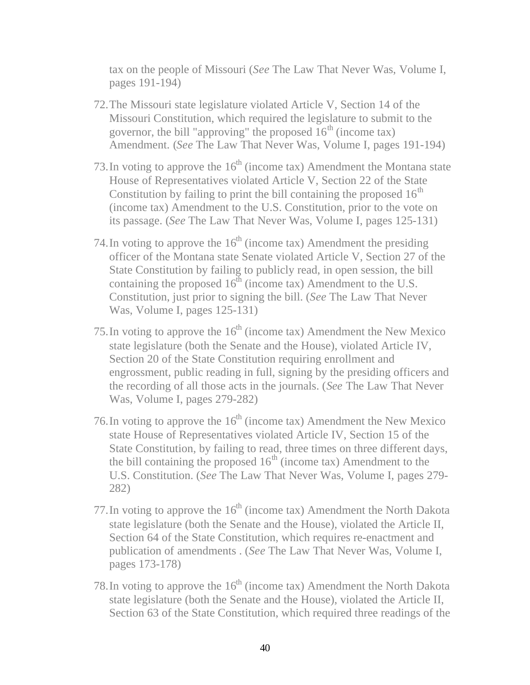tax on the people of Missouri (*See* The Law That Never Was, Volume I, pages 191-194)

- 72.The Missouri state legislature violated Article V, Section 14 of the Missouri Constitution, which required the legislature to submit to the governor, the bill "approving" the proposed  $16<sup>th</sup>$  (income tax) Amendment. (*See* The Law That Never Was, Volume I, pages 191-194)
- 73. In voting to approve the  $16<sup>th</sup>$  (income tax) Amendment the Montana state House of Representatives violated Article V, Section 22 of the State Constitution by failing to print the bill containing the proposed  $16<sup>th</sup>$ (income tax) Amendment to the U.S. Constitution, prior to the vote on its passage. (*See* The Law That Never Was, Volume I, pages 125-131)
- 74. In voting to approve the  $16<sup>th</sup>$  (income tax) Amendment the presiding officer of the Montana state Senate violated Article V, Section 27 of the State Constitution by failing to publicly read, in open session, the bill containing the proposed  $16<sup>th</sup>$  (income tax) Amendment to the U.S. Constitution, just prior to signing the bill. (*See* The Law That Never Was, Volume I, pages 125-131)
- 75. In voting to approve the  $16<sup>th</sup>$  (income tax) Amendment the New Mexico state legislature (both the Senate and the House), violated Article IV, Section 20 of the State Constitution requiring enrollment and engrossment, public reading in full, signing by the presiding officers and the recording of all those acts in the journals. (*See* The Law That Never Was, Volume I, pages 279-282)
- 76. In voting to approve the  $16<sup>th</sup>$  (income tax) Amendment the New Mexico state House of Representatives violated Article IV, Section 15 of the State Constitution, by failing to read, three times on three different days, the bill containing the proposed  $16<sup>th</sup>$  (income tax) Amendment to the U.S. Constitution. (*See* The Law That Never Was, Volume I, pages 279- 282)
- 77. In voting to approve the  $16<sup>th</sup>$  (income tax) Amendment the North Dakota state legislature (both the Senate and the House), violated the Article II, Section 64 of the State Constitution, which requires re-enactment and publication of amendments . (*See* The Law That Never Was, Volume I, pages 173-178)
- 78. In voting to approve the  $16<sup>th</sup>$  (income tax) Amendment the North Dakota state legislature (both the Senate and the House), violated the Article II, Section 63 of the State Constitution, which required three readings of the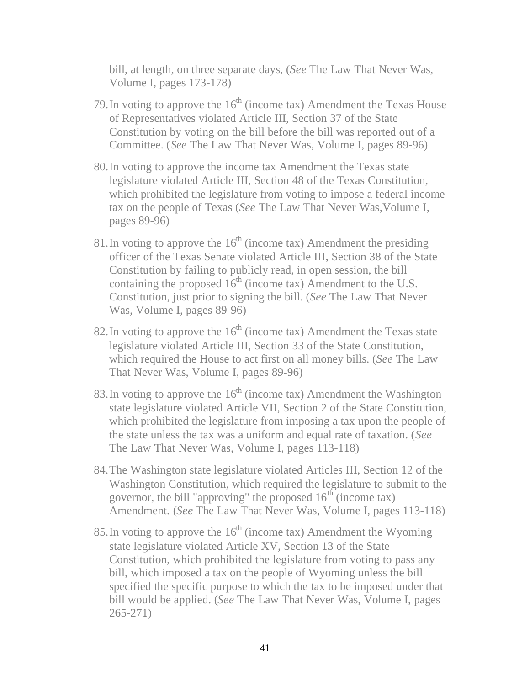bill, at length, on three separate days, (*See* The Law That Never Was, Volume I, pages 173-178)

- 79. In voting to approve the  $16<sup>th</sup>$  (income tax) Amendment the Texas House of Representatives violated Article III, Section 37 of the State Constitution by voting on the bill before the bill was reported out of a Committee. (*See* The Law That Never Was, Volume I, pages 89-96)
- 80.In voting to approve the income tax Amendment the Texas state legislature violated Article III, Section 48 of the Texas Constitution, which prohibited the legislature from voting to impose a federal income tax on the people of Texas (*See* The Law That Never Was,Volume I, pages 89-96)
- 81. In voting to approve the  $16<sup>th</sup>$  (income tax) Amendment the presiding officer of the Texas Senate violated Article III, Section 38 of the State Constitution by failing to publicly read, in open session, the bill containing the proposed  $16<sup>th</sup>$  (income tax) Amendment to the U.S. Constitution, just prior to signing the bill. (*See* The Law That Never Was, Volume I, pages 89-96)
- 82. In voting to approve the  $16<sup>th</sup>$  (income tax) Amendment the Texas state legislature violated Article III, Section 33 of the State Constitution, which required the House to act first on all money bills. (*See* The Law That Never Was, Volume I, pages 89-96)
- 83. In voting to approve the  $16<sup>th</sup>$  (income tax) Amendment the Washington state legislature violated Article VII, Section 2 of the State Constitution, which prohibited the legislature from imposing a tax upon the people of the state unless the tax was a uniform and equal rate of taxation. (*See* The Law That Never Was, Volume I, pages 113-118)
- 84.The Washington state legislature violated Articles III, Section 12 of the Washington Constitution, which required the legislature to submit to the governor, the bill "approving" the proposed  $16<sup>th</sup>$  (income tax) Amendment. (*See* The Law That Never Was, Volume I, pages 113-118)
- 85. In voting to approve the  $16<sup>th</sup>$  (income tax) Amendment the Wyoming state legislature violated Article XV, Section 13 of the State Constitution, which prohibited the legislature from voting to pass any bill, which imposed a tax on the people of Wyoming unless the bill specified the specific purpose to which the tax to be imposed under that bill would be applied. (*See* The Law That Never Was, Volume I, pages 265-271)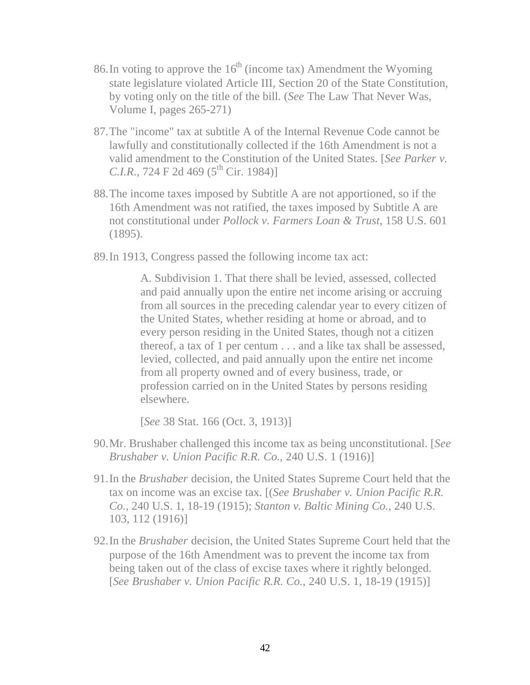- 86. In voting to approve the  $16<sup>th</sup>$  (income tax) Amendment the Wyoming state legislature violated Article III, Section 20 of the State Constitution, by voting only on the title of the bill. (*See* The Law That Never Was, Volume I, pages 265-271)
- 87.The "income" tax at subtitle A of the Internal Revenue Code cannot be lawfully and constitutionally collected if the 16th Amendment is not a valid amendment to the Constitution of the United States. [*See Parker v. C.I.R.*, 724 F 2d 469 ( $5^{th}$  Cir. 1984)]
- 88.The income taxes imposed by Subtitle A are not apportioned, so if the 16th Amendment was not ratified, the taxes imposed by Subtitle A are not constitutional under *Pollock v. Farmers Loan & Trust*, 158 U.S. 601 (1895).
- 89.In 1913, Congress passed the following income tax act:

A. Subdivision 1. That there shall be levied, assessed, collected and paid annually upon the entire net income arising or accruing from all sources in the preceding calendar year to every citizen of the United States, whether residing at home or abroad, and to every person residing in the United States, though not a citizen thereof, a tax of 1 per centum . . . and a like tax shall be assessed, levied, collected, and paid annually upon the entire net income from all property owned and of every business, trade, or profession carried on in the United States by persons residing elsewhere.

[*See* 38 Stat. 166 (Oct. 3, 1913)]

- 90.Mr. Brushaber challenged this income tax as being unconstitutional. [*See Brushaber v. Union Pacific R.R. Co.*, 240 U.S. 1 (1916)]
- 91.In the *Brushaber* decision, the United States Supreme Court held that the tax on income was an excise tax. [(*See Brushaber v. Union Pacific R.R. Co.*, 240 U.S. 1, 18-19 (1915); *Stanton v. Baltic Mining Co.*, 240 U.S. 103, 112 (1916)]
- 92.In the *Brushaber* decision, the United States Supreme Court held that the purpose of the 16th Amendment was to prevent the income tax from being taken out of the class of excise taxes where it rightly belonged. [*See Brushaber v. Union Pacific R.R. Co.*, 240 U.S. 1, 18-19 (1915)]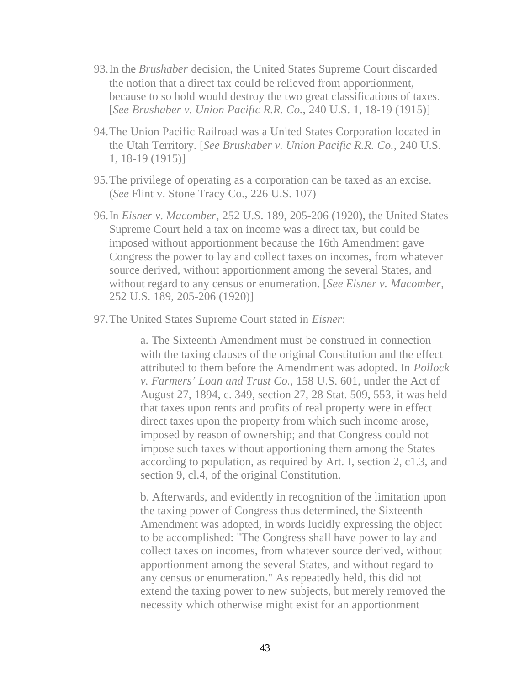- 93.In the *Brushaber* decision, the United States Supreme Court discarded the notion that a direct tax could be relieved from apportionment, because to so hold would destroy the two great classifications of taxes. [*See Brushaber v. Union Pacific R.R. Co.*, 240 U.S. 1, 18-19 (1915)]
- 94.The Union Pacific Railroad was a United States Corporation located in the Utah Territory. [*See Brushaber v. Union Pacific R.R. Co.*, 240 U.S. 1, 18-19 (1915)]
- 95.The privilege of operating as a corporation can be taxed as an excise. (*See* Flint v. Stone Tracy Co., 226 U.S. 107)
- 96.In *Eisner v. Macomber*, 252 U.S. 189, 205-206 (1920), the United States Supreme Court held a tax on income was a direct tax, but could be imposed without apportionment because the 16th Amendment gave Congress the power to lay and collect taxes on incomes, from whatever source derived, without apportionment among the several States, and without regard to any census or enumeration. [*See Eisner v. Macomber*, 252 U.S. 189, 205-206 (1920)]
- 97.The United States Supreme Court stated in *Eisner*:

a. The Sixteenth Amendment must be construed in connection with the taxing clauses of the original Constitution and the effect attributed to them before the Amendment was adopted. In *Pollock v. Farmers' Loan and Trust Co.*, 158 U.S. 601, under the Act of August 27, 1894, c. 349, section 27, 28 Stat. 509, 553, it was held that taxes upon rents and profits of real property were in effect direct taxes upon the property from which such income arose, imposed by reason of ownership; and that Congress could not impose such taxes without apportioning them among the States according to population, as required by Art. I, section 2, c1.3, and section 9, cl.4, of the original Constitution.

b. Afterwards, and evidently in recognition of the limitation upon the taxing power of Congress thus determined, the Sixteenth Amendment was adopted, in words lucidly expressing the object to be accomplished: "The Congress shall have power to lay and collect taxes on incomes, from whatever source derived, without apportionment among the several States, and without regard to any census or enumeration." As repeatedly held, this did not extend the taxing power to new subjects, but merely removed the necessity which otherwise might exist for an apportionment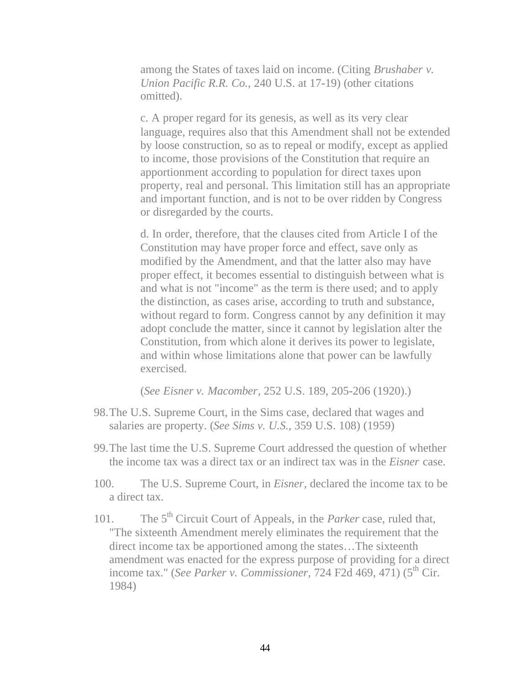among the States of taxes laid on income. (Citing *Brushaber v. Union Pacific R.R. Co.*, 240 U.S. at 17-19) (other citations omitted).

c. A proper regard for its genesis, as well as its very clear language, requires also that this Amendment shall not be extended by loose construction, so as to repeal or modify, except as applied to income, those provisions of the Constitution that require an apportionment according to population for direct taxes upon property, real and personal. This limitation still has an appropriate and important function, and is not to be over ridden by Congress or disregarded by the courts.

d. In order, therefore, that the clauses cited from Article I of the Constitution may have proper force and effect, save only as modified by the Amendment, and that the latter also may have proper effect, it becomes essential to distinguish between what is and what is not "income" as the term is there used; and to apply the distinction, as cases arise, according to truth and substance, without regard to form. Congress cannot by any definition it may adopt conclude the matter, since it cannot by legislation alter the Constitution, from which alone it derives its power to legislate, and within whose limitations alone that power can be lawfully exercised.

(*See Eisner v. Macomber*, 252 U.S. 189, 205-206 (1920).)

- 98.The U.S. Supreme Court, in the Sims case, declared that wages and salaries are property. (*See Sims v. U.S.,* 359 U.S. 108) (1959)
- 99.The last time the U.S. Supreme Court addressed the question of whether the income tax was a direct tax or an indirect tax was in the *Eisner* case.
- 100. The U.S. Supreme Court, in *Eisner*, declared the income tax to be a direct tax.
- 101. The 5<sup>th</sup> Circuit Court of Appeals, in the *Parker* case, ruled that, "The sixteenth Amendment merely eliminates the requirement that the direct income tax be apportioned among the states…The sixteenth amendment was enacted for the express purpose of providing for a direct income tax." (*See Parker v. Commissioner*, 724 F2d 469, 471) (5<sup>th</sup> Cir. 1984)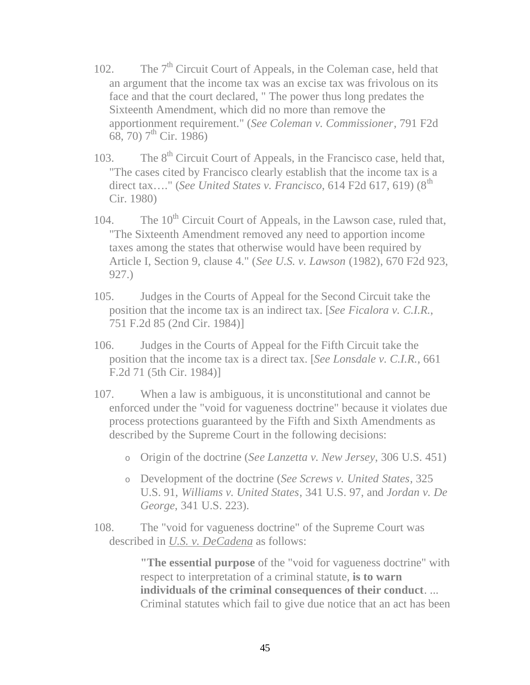- 102. The  $7<sup>th</sup>$  Circuit Court of Appeals, in the Coleman case, held that an argument that the income tax was an excise tax was frivolous on its face and that the court declared, " The power thus long predates the Sixteenth Amendment, which did no more than remove the apportionment requirement." (*See Coleman v. Commissioner*, 791 F2d  $68, 70$ )  $7<sup>th</sup>$  Cir. 1986)
- 103. The 8<sup>th</sup> Circuit Court of Appeals, in the Francisco case, held that, "The cases cited by Francisco clearly establish that the income tax is a direct tax...." (*See United States v. Francisco*, 614 F2d 617, 619) (8<sup>th</sup>) Cir. 1980)
- 104. The  $10^{th}$  Circuit Court of Appeals, in the Lawson case, ruled that, "The Sixteenth Amendment removed any need to apportion income taxes among the states that otherwise would have been required by Article I, Section 9, clause 4." (*See U.S. v. Lawson* (1982), 670 F2d 923, 927.)
- 105. Judges in the Courts of Appeal for the Second Circuit take the position that the income tax is an indirect tax. [*See Ficalora v. C.I.R.*, 751 F.2d 85 (2nd Cir. 1984)]
- 106. Judges in the Courts of Appeal for the Fifth Circuit take the position that the income tax is a direct tax. [*See Lonsdale v. C.I.R.*, 661 F.2d 71 (5th Cir. 1984)]
- 107. When a law is ambiguous, it is unconstitutional and cannot be enforced under the "void for vagueness doctrine" because it violates due process protections guaranteed by the Fifth and Sixth Amendments as described by the Supreme Court in the following decisions:
	- o Origin of the doctrine (*See Lanzetta v. New Jersey*, 306 U.S. 451)
	- o Development of the doctrine (*See Screws v. United States*, 325 U.S. 91, *Williams v. United States*, 341 U.S. 97, and *Jordan v. De George*, 341 U.S. 223).
- 108. The "void for vagueness doctrine" of the Supreme Court was described in *U.S. v. DeCadena* as follows:

**"The essential purpose** of the "void for vagueness doctrine" with respect to interpretation of a criminal statute, **is to warn individuals of the criminal consequences of their conduct**. ... Criminal statutes which fail to give due notice that an act has been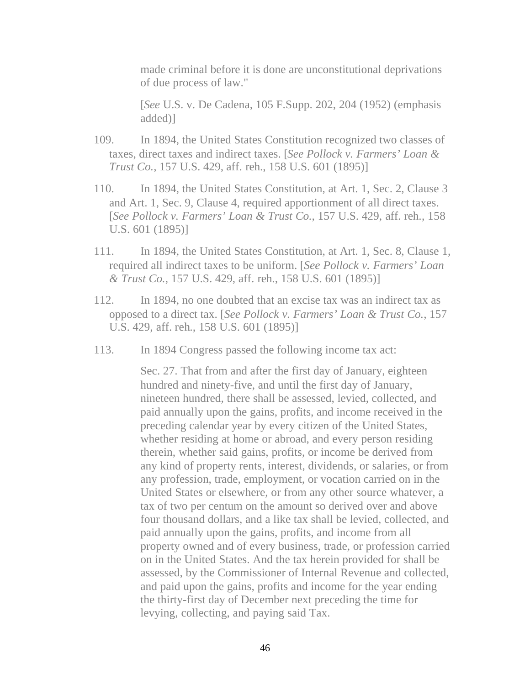made criminal before it is done are unconstitutional deprivations of due process of law."

[*See* U.S. v. De Cadena, 105 F.Supp. 202, 204 (1952) (emphasis added)]

- 109. In 1894, the United States Constitution recognized two classes of taxes, direct taxes and indirect taxes. [*See Pollock v. Farmers' Loan & Trust Co.*, 157 U.S. 429, aff. reh., 158 U.S. 601 (1895)]
- 110. In 1894, the United States Constitution, at Art. 1, Sec. 2, Clause 3 and Art. 1, Sec. 9, Clause 4, required apportionment of all direct taxes. [*See Pollock v. Farmers' Loan & Trust Co.*, 157 U.S. 429, aff. reh., 158 U.S. 601 (1895)]
- 111. In 1894, the United States Constitution, at Art. 1, Sec. 8, Clause 1, required all indirect taxes to be uniform. [*See Pollock v. Farmers' Loan & Trust Co.*, 157 U.S. 429, aff. reh., 158 U.S. 601 (1895)]
- 112. In 1894, no one doubted that an excise tax was an indirect tax as opposed to a direct tax. [*See Pollock v. Farmers' Loan & Trust Co.*, 157 U.S. 429, aff. reh., 158 U.S. 601 (1895)]
- 113. In 1894 Congress passed the following income tax act:

Sec. 27. That from and after the first day of January, eighteen hundred and ninety-five, and until the first day of January, nineteen hundred, there shall be assessed, levied, collected, and paid annually upon the gains, profits, and income received in the preceding calendar year by every citizen of the United States, whether residing at home or abroad, and every person residing therein, whether said gains, profits, or income be derived from any kind of property rents, interest, dividends, or salaries, or from any profession, trade, employment, or vocation carried on in the United States or elsewhere, or from any other source whatever, a tax of two per centum on the amount so derived over and above four thousand dollars, and a like tax shall be levied, collected, and paid annually upon the gains, profits, and income from all property owned and of every business, trade, or profession carried on in the United States. And the tax herein provided for shall be assessed, by the Commissioner of Internal Revenue and collected, and paid upon the gains, profits and income for the year ending the thirty-first day of December next preceding the time for levying, collecting, and paying said Tax.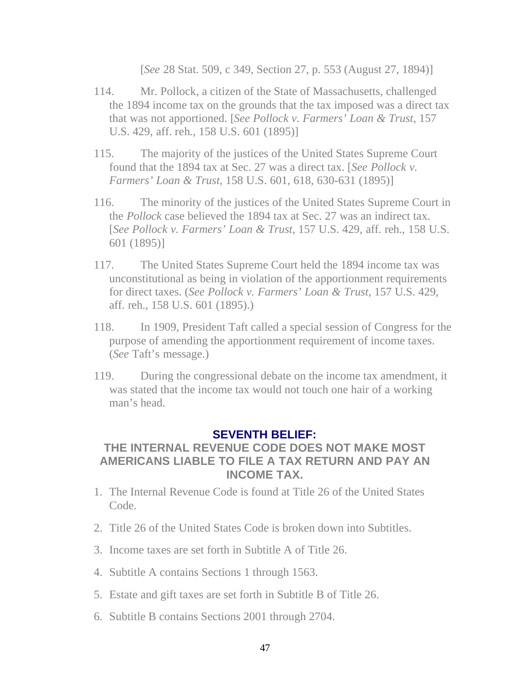[*See* 28 Stat. 509, c 349, Section 27, p. 553 (August 27, 1894)]

- 114. Mr. Pollock, a citizen of the State of Massachusetts, challenged the 1894 income tax on the grounds that the tax imposed was a direct tax that was not apportioned. [*See Pollock v. Farmers' Loan & Trust*, 157 U.S. 429, aff. reh., 158 U.S. 601 (1895)]
- 115. The majority of the justices of the United States Supreme Court found that the 1894 tax at Sec. 27 was a direct tax. [*See Pollock v. Farmers' Loan & Trust*, 158 U.S. 601, 618, 630-631 (1895)]
- 116. The minority of the justices of the United States Supreme Court in the *Pollock* case believed the 1894 tax at Sec. 27 was an indirect tax. [*See Pollock v. Farmers' Loan & Trust*, 157 U.S. 429, aff. reh., 158 U.S. 601 (1895)]
- 117. The United States Supreme Court held the 1894 income tax was unconstitutional as being in violation of the apportionment requirements for direct taxes. (*See Pollock v. Farmers' Loan & Trust*, 157 U.S. 429, aff. reh., 158 U.S. 601 (1895).)
- 118. In 1909, President Taft called a special session of Congress for the purpose of amending the apportionment requirement of income taxes. (*See* Taft's message.)
- 119. During the congressional debate on the income tax amendment, it was stated that the income tax would not touch one hair of a working man's head.

## **SEVENTH BELIEF:**

## **THE INTERNAL REVENUE CODE DOES NOT MAKE MOST AMERICANS LIABLE TO FILE A TAX RETURN AND PAY AN INCOME TAX.**

- 1. The Internal Revenue Code is found at Title 26 of the United States Code.
- 2. Title 26 of the United States Code is broken down into Subtitles.
- 3. Income taxes are set forth in Subtitle A of Title 26.
- 4. Subtitle A contains Sections 1 through 1563.
- 5. Estate and gift taxes are set forth in Subtitle B of Title 26.
- 6. Subtitle B contains Sections 2001 through 2704.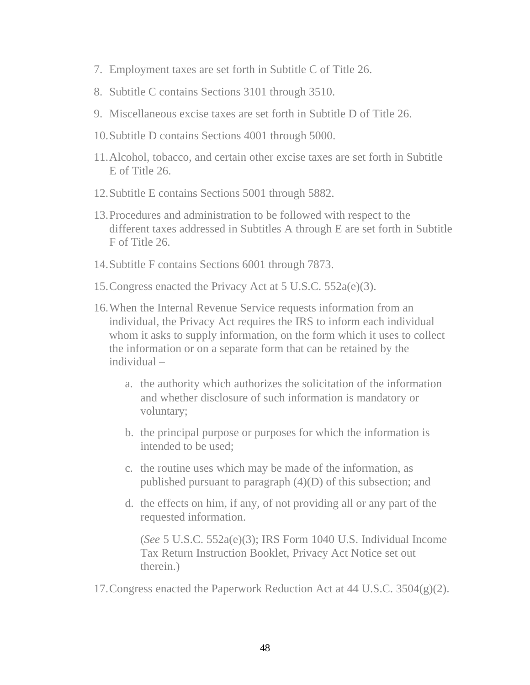- 7. Employment taxes are set forth in Subtitle C of Title 26.
- 8. Subtitle C contains Sections 3101 through 3510.
- 9. Miscellaneous excise taxes are set forth in Subtitle D of Title 26.
- 10.Subtitle D contains Sections 4001 through 5000.
- 11.Alcohol, tobacco, and certain other excise taxes are set forth in Subtitle E of Title 26.
- 12.Subtitle E contains Sections 5001 through 5882.
- 13.Procedures and administration to be followed with respect to the different taxes addressed in Subtitles A through E are set forth in Subtitle F of Title 26.
- 14.Subtitle F contains Sections 6001 through 7873.
- 15.Congress enacted the Privacy Act at 5 U.S.C. 552a(e)(3).
- 16.When the Internal Revenue Service requests information from an individual, the Privacy Act requires the IRS to inform each individual whom it asks to supply information, on the form which it uses to collect the information or on a separate form that can be retained by the individual –
	- a. the authority which authorizes the solicitation of the information and whether disclosure of such information is mandatory or voluntary;
	- b. the principal purpose or purposes for which the information is intended to be used;
	- c. the routine uses which may be made of the information, as published pursuant to paragraph (4)(D) of this subsection; and
	- d. the effects on him, if any, of not providing all or any part of the requested information.

(*See* 5 U.S.C. 552a(e)(3); IRS Form 1040 U.S. Individual Income Tax Return Instruction Booklet, Privacy Act Notice set out therein.)

17.Congress enacted the Paperwork Reduction Act at 44 U.S.C. 3504(g)(2).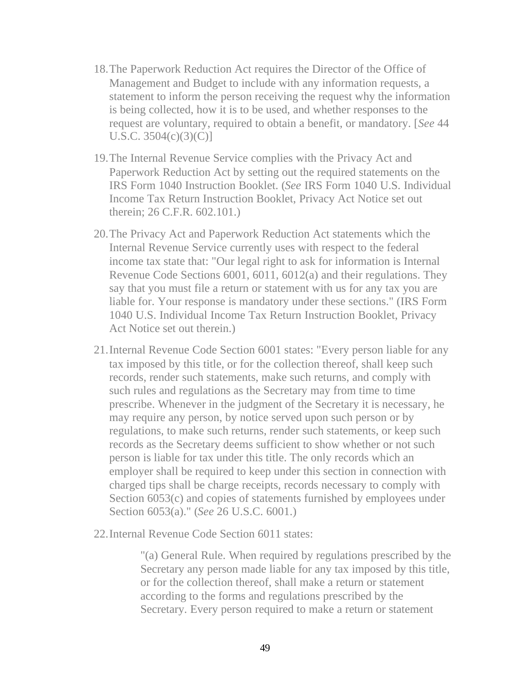- 18.The Paperwork Reduction Act requires the Director of the Office of Management and Budget to include with any information requests, a statement to inform the person receiving the request why the information is being collected, how it is to be used, and whether responses to the request are voluntary, required to obtain a benefit, or mandatory. [*See* 44 U.S.C. 3504(c)(3)(C)]
- 19.The Internal Revenue Service complies with the Privacy Act and Paperwork Reduction Act by setting out the required statements on the IRS Form 1040 Instruction Booklet. (*See* IRS Form 1040 U.S. Individual Income Tax Return Instruction Booklet, Privacy Act Notice set out therein; 26 C.F.R. 602.101.)
- 20.The Privacy Act and Paperwork Reduction Act statements which the Internal Revenue Service currently uses with respect to the federal income tax state that: "Our legal right to ask for information is Internal Revenue Code Sections 6001, 6011, 6012(a) and their regulations. They say that you must file a return or statement with us for any tax you are liable for. Your response is mandatory under these sections." (IRS Form 1040 U.S. Individual Income Tax Return Instruction Booklet, Privacy Act Notice set out therein.)
- 21.Internal Revenue Code Section 6001 states: "Every person liable for any tax imposed by this title, or for the collection thereof, shall keep such records, render such statements, make such returns, and comply with such rules and regulations as the Secretary may from time to time prescribe. Whenever in the judgment of the Secretary it is necessary, he may require any person, by notice served upon such person or by regulations, to make such returns, render such statements, or keep such records as the Secretary deems sufficient to show whether or not such person is liable for tax under this title. The only records which an employer shall be required to keep under this section in connection with charged tips shall be charge receipts, records necessary to comply with Section  $6053(c)$  and copies of statements furnished by employees under Section 6053(a)." (*See* 26 U.S.C. 6001.)
- 22.Internal Revenue Code Section 6011 states:

"(a) General Rule. When required by regulations prescribed by the Secretary any person made liable for any tax imposed by this title, or for the collection thereof, shall make a return or statement according to the forms and regulations prescribed by the Secretary. Every person required to make a return or statement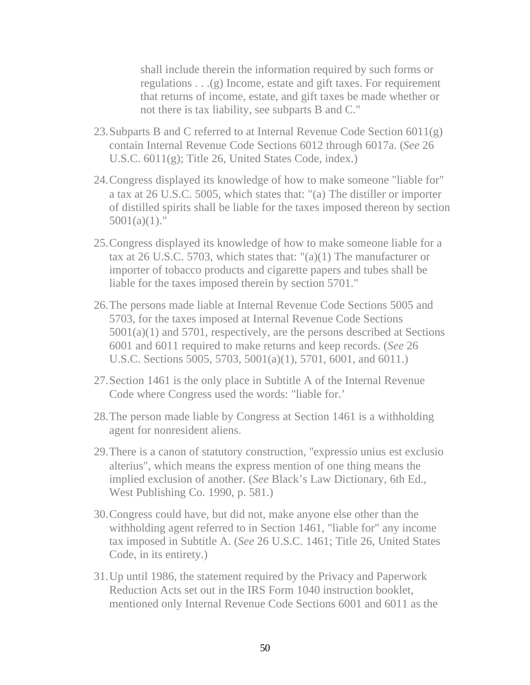shall include therein the information required by such forms or regulations . . .(g) Income, estate and gift taxes. For requirement that returns of income, estate, and gift taxes be made whether or not there is tax liability, see subparts B and C."

- 23.Subparts B and C referred to at Internal Revenue Code Section 6011(g) contain Internal Revenue Code Sections 6012 through 6017a. (*See* 26 U.S.C. 6011(g); Title 26, United States Code, index.)
- 24.Congress displayed its knowledge of how to make someone "liable for" a tax at 26 U.S.C. 5005, which states that: "(a) The distiller or importer of distilled spirits shall be liable for the taxes imposed thereon by section  $5001(a)(1)$ ."
- 25.Congress displayed its knowledge of how to make someone liable for a tax at 26 U.S.C. 5703, which states that: "(a)(1) The manufacturer or importer of tobacco products and cigarette papers and tubes shall be liable for the taxes imposed therein by section 5701."
- 26.The persons made liable at Internal Revenue Code Sections 5005 and 5703, for the taxes imposed at Internal Revenue Code Sections 5001(a)(1) and 5701, respectively, are the persons described at Sections 6001 and 6011 required to make returns and keep records. (*See* 26 U.S.C. Sections 5005, 5703, 5001(a)(1), 5701, 6001, and 6011.)
- 27.Section 1461 is the only place in Subtitle A of the Internal Revenue Code where Congress used the words: "liable for.'
- 28.The person made liable by Congress at Section 1461 is a withholding agent for nonresident aliens.
- 29.There is a canon of statutory construction, "expressio unius est exclusio alterius", which means the express mention of one thing means the implied exclusion of another. (*See* Black's Law Dictionary, 6th Ed., West Publishing Co. 1990, p. 581.)
- 30.Congress could have, but did not, make anyone else other than the withholding agent referred to in Section 1461, "liable for" any income tax imposed in Subtitle A. (*See* 26 U.S.C. 1461; Title 26, United States Code, in its entirety.)
- 31.Up until 1986, the statement required by the Privacy and Paperwork Reduction Acts set out in the IRS Form 1040 instruction booklet, mentioned only Internal Revenue Code Sections 6001 and 6011 as the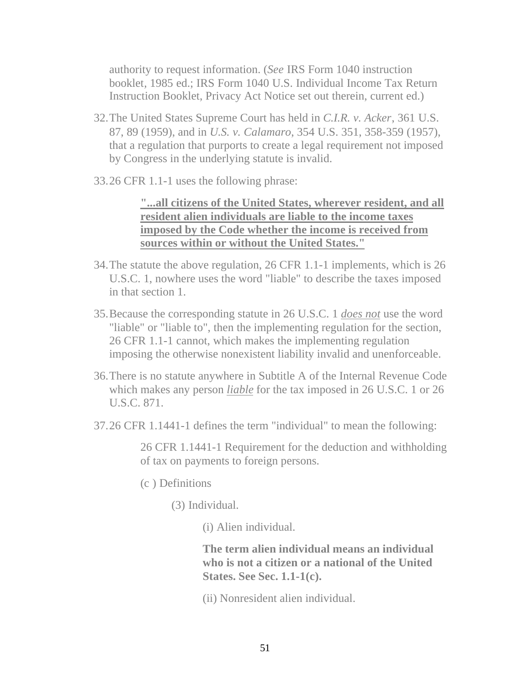authority to request information. (*See* IRS Form 1040 instruction booklet*,* 1985 ed.; IRS Form 1040 U.S. Individual Income Tax Return Instruction Booklet, Privacy Act Notice set out therein, current ed.)

- 32.The United States Supreme Court has held in *C.I.R. v. Acker*, 361 U.S. 87, 89 (1959), and in *U.S. v. Calamaro*, 354 U.S. 351, 358-359 (1957), that a regulation that purports to create a legal requirement not imposed by Congress in the underlying statute is invalid.
- 33.26 CFR 1.1-1 uses the following phrase:

**"...all citizens of the United States, wherever resident, and all resident alien individuals are liable to the income taxes imposed by the Code whether the income is received from sources within or without the United States."**

- 34.The statute the above regulation, 26 CFR 1.1-1 implements, which is 26 U.S.C. 1, nowhere uses the word "liable" to describe the taxes imposed in that section 1.
- 35.Because the corresponding statute in 26 U.S.C. 1 *does not* use the word "liable" or "liable to", then the implementing regulation for the section, 26 CFR 1.1-1 cannot, which makes the implementing regulation imposing the otherwise nonexistent liability invalid and unenforceable.
- 36.There is no statute anywhere in Subtitle A of the Internal Revenue Code which makes any person *liable* for the tax imposed in 26 U.S.C. 1 or 26 U.S.C. 871.
- 37.26 CFR 1.1441-1 defines the term "individual" to mean the following:

26 CFR 1.1441-1 Requirement for the deduction and withholding of tax on payments to foreign persons.

(c ) Definitions

(3) Individual.

(i) Alien individual.

**The term alien individual means an individual who is not a citizen or a national of the United States. See Sec. 1.1-1(c).**

(ii) Nonresident alien individual.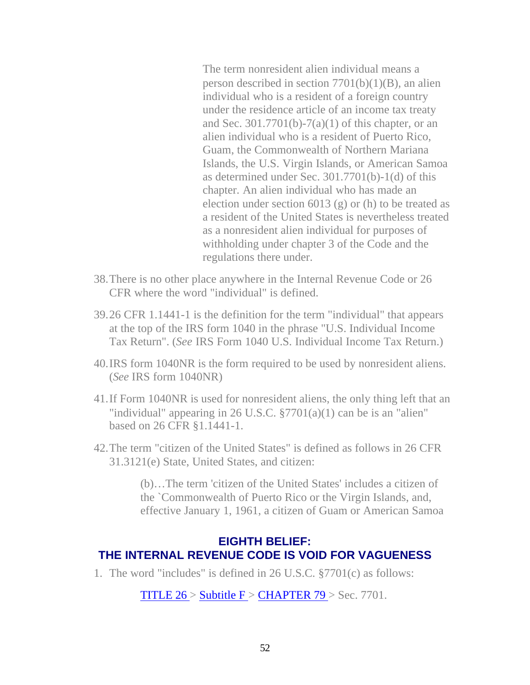The term nonresident alien individual means a person described in section 7701(b)(1)(B), an alien individual who is a resident of a foreign country under the residence article of an income tax treaty and Sec. 301.7701(b)-7(a)(1) of this chapter, or an alien individual who is a resident of Puerto Rico, Guam, the Commonwealth of Northern Mariana Islands, the U.S. Virgin Islands, or American Samoa as determined under Sec. 301.7701(b)-1(d) of this chapter. An alien individual who has made an election under section 6013 (g) or (h) to be treated as a resident of the United States is nevertheless treated as a nonresident alien individual for purposes of withholding under chapter 3 of the Code and the regulations there under.

- 38.There is no other place anywhere in the Internal Revenue Code or 26 CFR where the word "individual" is defined.
- 39.26 CFR 1.1441-1 is the definition for the term "individual" that appears at the top of the IRS form 1040 in the phrase "U.S. Individual Income Tax Return". (*See* IRS Form 1040 U.S. Individual Income Tax Return.)
- 40.IRS form 1040NR is the form required to be used by nonresident aliens. (*See* IRS form 1040NR)
- 41.If Form 1040NR is used for nonresident aliens, the only thing left that an "individual" appearing in 26 U.S.C.  $\S 7701(a)(1)$  can be is an "alien" based on 26 CFR §1.1441-1.
- 42.The term "citizen of the United States" is defined as follows in 26 CFR 31.3121(e) State, United States, and citizen:

(b)…The term 'citizen of the United States' includes a citizen of the `Commonwealth of Puerto Rico or the Virgin Islands, and, effective January 1, 1961, a citizen of Guam or American Samoa

## **EIGHTH BELIEF: THE INTERNAL REVENUE CODE IS VOID FOR VAGUENESS**

1. The word "includes" is defined in 26 U.S.C. §7701(c) as follows:

TITLE  $26 >$  Subtitle  $F >$  CHAPTER 79  $>$  Sec. 7701.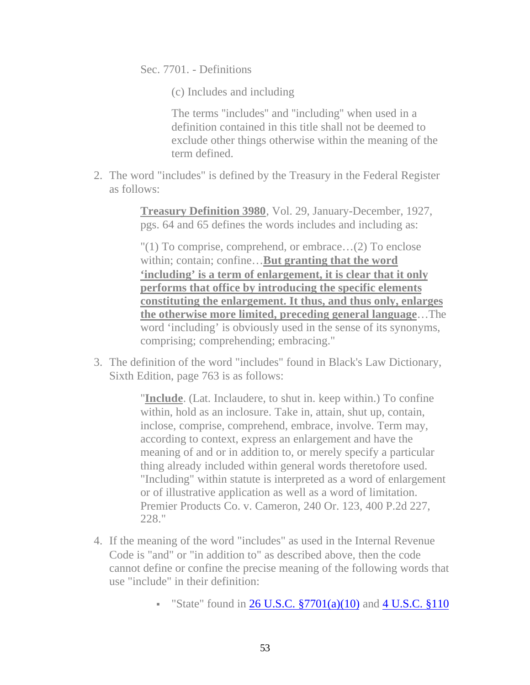Sec. 7701. - Definitions

(c) Includes and including

The terms ''includes'' and ''including'' when used in a definition contained in this title shall not be deemed to exclude other things otherwise within the meaning of the term defined.

2. The word "includes" is defined by the Treasury in the Federal Register as follows:

> **Treasury Definition 3980**, Vol. 29, January-December, 1927, pgs. 64 and 65 defines the words includes and including as:

"(1) To comprise, comprehend, or embrace…(2) To enclose within; contain; confine…**But granting that the word 'including' is a term of enlargement, it is clear that it only performs that office by introducing the specific elements constituting the enlargement. It thus, and thus only, enlarges the otherwise more limited, preceding general language**…The word 'including' is obviously used in the sense of its synonyms, comprising; comprehending; embracing."

3. The definition of the word "includes" found in Black's Law Dictionary, Sixth Edition, page 763 is as follows:

> "**Include**. (Lat. Inclaudere, to shut in. keep within.) To confine within, hold as an inclosure. Take in, attain, shut up, contain, inclose, comprise, comprehend, embrace, involve. Term may, according to context, express an enlargement and have the meaning of and or in addition to, or merely specify a particular thing already included within general words theretofore used. "Including" within statute is interpreted as a word of enlargement or of illustrative application as well as a word of limitation. Premier Products Co. v. Cameron, 240 Or. 123, 400 P.2d 227, 228."

- 4. If the meaning of the word "includes" as used in the Internal Revenue Code is "and" or "in addition to" as described above, then the code cannot define or confine the precise meaning of the following words that use "include" in their definition:
	- **State**" found in **26 U.S.C. §7701(a)(10)** and  $4 \text{ U.S.C.}$  **§110**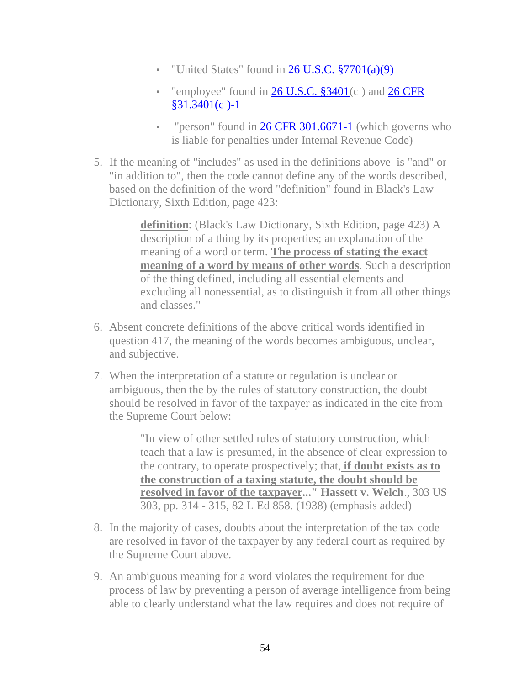- **We we United States** found in 26 U.S.C.  $\frac{$7701(a)(9)}{9}$
- " "employee" found in  $26$  U.S.C.  $$3401(c)$  and  $26$  CFR §31.3401(c )-1
- "" person" found in  $26$  CFR 301.6671-1 (which governs who is liable for penalties under Internal Revenue Code)
- 5. If the meaning of "includes" as used in the definitions above is "and" or "in addition to", then the code cannot define any of the words described, based on the definition of the word "definition" found in Black's Law Dictionary, Sixth Edition, page 423:

**definition**: (Black's Law Dictionary, Sixth Edition, page 423) A description of a thing by its properties; an explanation of the meaning of a word or term. **The process of stating the exact meaning of a word by means of other words**. Such a description of the thing defined, including all essential elements and excluding all nonessential, as to distinguish it from all other things and classes."

- 6. Absent concrete definitions of the above critical words identified in question 417, the meaning of the words becomes ambiguous, unclear, and subjective.
- 7. When the interpretation of a statute or regulation is unclear or ambiguous, then the by the rules of statutory construction, the doubt should be resolved in favor of the taxpayer as indicated in the cite from the Supreme Court below:

"In view of other settled rules of statutory construction, which teach that a law is presumed, in the absence of clear expression to the contrary, to operate prospectively; that, **if doubt exists as to the construction of a taxing statute, the doubt should be resolved in favor of the taxpayer..." Hassett v. Welch**., 303 US 303, pp. 314 - 315, 82 L Ed 858. (1938) (emphasis added)

- 8. In the majority of cases, doubts about the interpretation of the tax code are resolved in favor of the taxpayer by any federal court as required by the Supreme Court above.
- 9. An ambiguous meaning for a word violates the requirement for due process of law by preventing a person of average intelligence from being able to clearly understand what the law requires and does not require of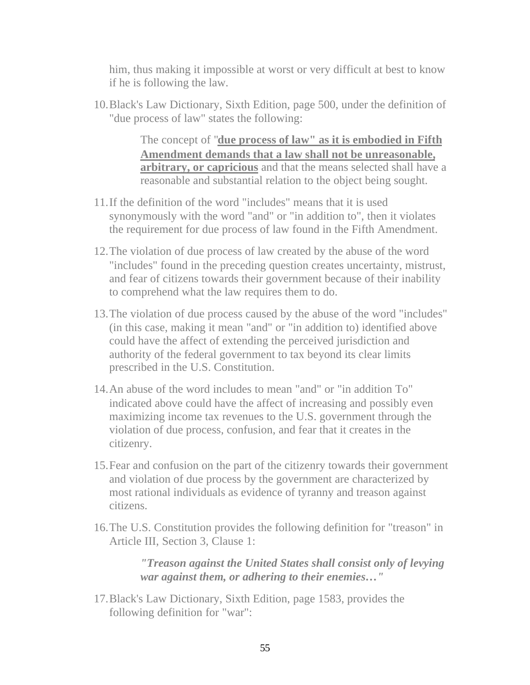him, thus making it impossible at worst or very difficult at best to know if he is following the law.

10.Black's Law Dictionary, Sixth Edition, page 500, under the definition of "due process of law" states the following:

> The concept of "**due process of law" as it is embodied in Fifth Amendment demands that a law shall not be unreasonable, arbitrary, or capricious** and that the means selected shall have a reasonable and substantial relation to the object being sought.

- 11.If the definition of the word "includes" means that it is used synonymously with the word "and" or "in addition to", then it violates the requirement for due process of law found in the Fifth Amendment.
- 12.The violation of due process of law created by the abuse of the word "includes" found in the preceding question creates uncertainty, mistrust, and fear of citizens towards their government because of their inability to comprehend what the law requires them to do.
- 13.The violation of due process caused by the abuse of the word "includes" (in this case, making it mean "and" or "in addition to) identified above could have the affect of extending the perceived jurisdiction and authority of the federal government to tax beyond its clear limits prescribed in the U.S. Constitution.
- 14.An abuse of the word includes to mean "and" or "in addition To" indicated above could have the affect of increasing and possibly even maximizing income tax revenues to the U.S. government through the violation of due process, confusion, and fear that it creates in the citizenry.
- 15.Fear and confusion on the part of the citizenry towards their government and violation of due process by the government are characterized by most rational individuals as evidence of tyranny and treason against citizens.
- 16.The U.S. Constitution provides the following definition for "treason" in Article III, Section 3, Clause 1:

*"Treason against the United States shall consist only of levying war against them, or adhering to their enemies…"*

17.Black's Law Dictionary, Sixth Edition, page 1583, provides the following definition for "war":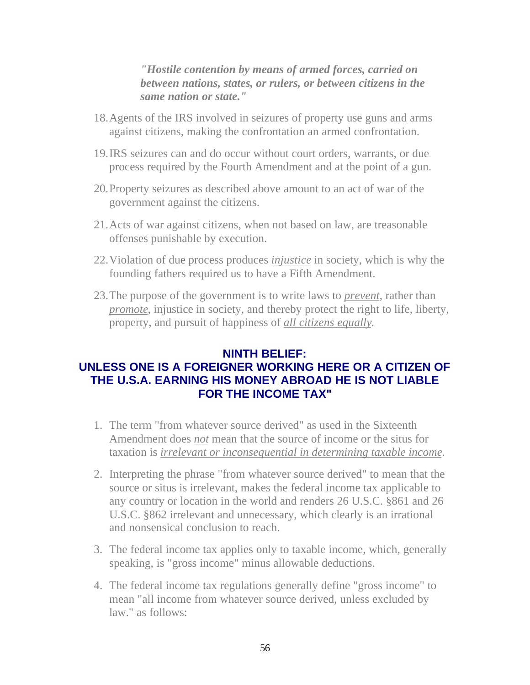*"Hostile contention by means of armed forces, carried on between nations, states, or rulers, or between citizens in the same nation or state."*

- 18.Agents of the IRS involved in seizures of property use guns and arms against citizens, making the confrontation an armed confrontation.
- 19.IRS seizures can and do occur without court orders, warrants, or due process required by the Fourth Amendment and at the point of a gun.
- 20.Property seizures as described above amount to an act of war of the government against the citizens.
- 21.Acts of war against citizens, when not based on law, are treasonable offenses punishable by execution.
- 22.Violation of due process produces *injustice* in society, which is why the founding fathers required us to have a Fifth Amendment.
- 23.The purpose of the government is to write laws to *prevent*, rather than *promote*, injustice in society, and thereby protect the right to life, liberty, property, and pursuit of happiness of *all citizens equally*.

## **NINTH BELIEF: UNLESS ONE IS A FOREIGNER WORKING HERE OR A CITIZEN OF THE U.S.A. EARNING HIS MONEY ABROAD HE IS NOT LIABLE FOR THE INCOME TAX"**

- 1. The term "from whatever source derived" as used in the Sixteenth Amendment does *not* mean that the source of income or the situs for taxation is *irrelevant or inconsequential in determining taxable income*.
- 2. Interpreting the phrase "from whatever source derived" to mean that the source or situs is irrelevant, makes the federal income tax applicable to any country or location in the world and renders 26 U.S.C. §861 and 26 U.S.C. §862 irrelevant and unnecessary, which clearly is an irrational and nonsensical conclusion to reach.
- 3. The federal income tax applies only to taxable income, which, generally speaking, is "gross income" minus allowable deductions.
- 4. The federal income tax regulations generally define "gross income" to mean "all income from whatever source derived, unless excluded by law." as follows: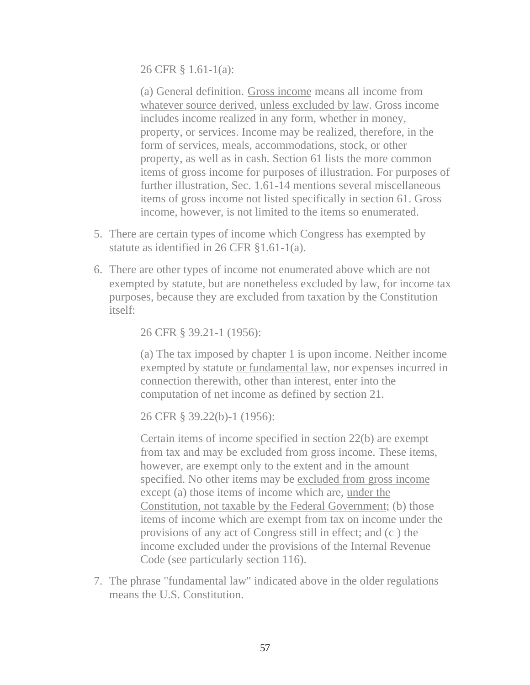26 CFR § 1.61-1(a):

(a) General definition. Gross income means all income from whatever source derived, unless excluded by law. Gross income includes income realized in any form, whether in money, property, or services. Income may be realized, therefore, in the form of services, meals, accommodations, stock, or other property, as well as in cash. Section 61 lists the more common items of gross income for purposes of illustration. For purposes of further illustration, Sec. 1.61-14 mentions several miscellaneous items of gross income not listed specifically in section 61. Gross income, however, is not limited to the items so enumerated.

- 5. There are certain types of income which Congress has exempted by statute as identified in 26 CFR §1.61-1(a).
- 6. There are other types of income not enumerated above which are not exempted by statute, but are nonetheless excluded by law, for income tax purposes, because they are excluded from taxation by the Constitution itself:

26 CFR § 39.21-1 (1956):

(a) The tax imposed by chapter 1 is upon income. Neither income exempted by statute or fundamental law, nor expenses incurred in connection therewith, other than interest, enter into the computation of net income as defined by section 21.

26 CFR § 39.22(b)-1 (1956):

Certain items of income specified in section 22(b) are exempt from tax and may be excluded from gross income. These items, however, are exempt only to the extent and in the amount specified. No other items may be excluded from gross income except (a) those items of income which are, under the Constitution, not taxable by the Federal Government; (b) those items of income which are exempt from tax on income under the provisions of any act of Congress still in effect; and (c ) the income excluded under the provisions of the Internal Revenue Code (see particularly section 116).

7. The phrase "fundamental law" indicated above in the older regulations means the U.S. Constitution.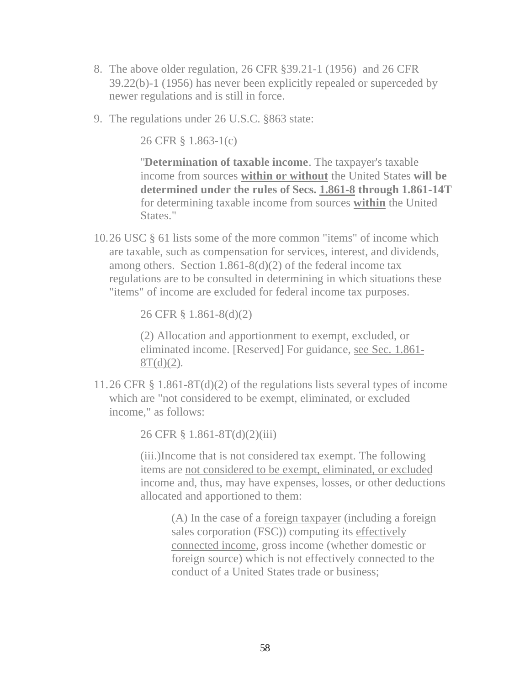- 8. The above older regulation, 26 CFR §39.21-1 (1956) and 26 CFR 39.22(b)-1 (1956) has never been explicitly repealed or superceded by newer regulations and is still in force.
- 9. The regulations under 26 U.S.C. §863 state:

26 CFR § 1.863-1(c)

"**Determination of taxable income**. The taxpayer's taxable income from sources **within or without** the United States **will be determined under the rules of Secs. 1.861-8 through 1.861-14T** for determining taxable income from sources **within** the United States."

10.26 USC § 61 lists some of the more common "items" of income which are taxable, such as compensation for services, interest, and dividends, among others. Section  $1.861-8(d)(2)$  of the federal income tax regulations are to be consulted in determining in which situations these "items" of income are excluded for federal income tax purposes.

26 CFR § 1.861-8(d)(2)

(2) Allocation and apportionment to exempt, excluded, or eliminated income. [Reserved] For guidance, see Sec. 1.861- 8T(d)(2).

11.26 CFR § 1.861-8T(d)(2) of the regulations lists several types of income which are "not considered to be exempt, eliminated, or excluded income," as follows:

26 CFR § 1.861-8T(d)(2)(iii)

(iii.)Income that is not considered tax exempt. The following items are not considered to be exempt, eliminated, or excluded income and, thus, may have expenses, losses, or other deductions allocated and apportioned to them:

(A) In the case of a foreign taxpayer (including a foreign sales corporation (FSC)) computing its effectively connected income, gross income (whether domestic or foreign source) which is not effectively connected to the conduct of a United States trade or business;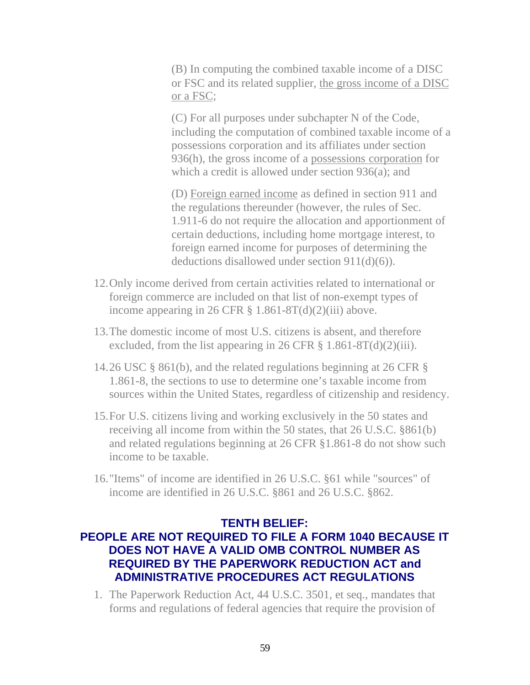(B) In computing the combined taxable income of a DISC or FSC and its related supplier, the gross income of a DISC or a FSC;

(C) For all purposes under subchapter N of the Code, including the computation of combined taxable income of a possessions corporation and its affiliates under section 936(h), the gross income of a possessions corporation for which a credit is allowed under section 936(a); and

(D) Foreign earned income as defined in section 911 and the regulations thereunder (however, the rules of Sec. 1.911-6 do not require the allocation and apportionment of certain deductions, including home mortgage interest, to foreign earned income for purposes of determining the deductions disallowed under section 911(d)(6)).

- 12.Only income derived from certain activities related to international or foreign commerce are included on that list of non-exempt types of income appearing in 26 CFR  $\S 1.861-8T(d)(2)(iii)$  above.
- 13.The domestic income of most U.S. citizens is absent, and therefore excluded, from the list appearing in 26 CFR  $\S$  1.861-8T(d)(2)(iii).
- 14.26 USC § 861(b), and the related regulations beginning at 26 CFR § 1.861-8, the sections to use to determine one's taxable income from sources within the United States, regardless of citizenship and residency.
- 15.For U.S. citizens living and working exclusively in the 50 states and receiving all income from within the 50 states, that 26 U.S.C. §861(b) and related regulations beginning at 26 CFR §1.861-8 do not show such income to be taxable.
- 16."Items" of income are identified in 26 U.S.C. §61 while "sources" of income are identified in 26 U.S.C. §861 and 26 U.S.C. §862.

#### **TENTH BELIEF:**

## **PEOPLE ARE NOT REQUIRED TO FILE A FORM 1040 BECAUSE IT DOES NOT HAVE A VALID OMB CONTROL NUMBER AS REQUIRED BY THE PAPERWORK REDUCTION ACT and ADMINISTRATIVE PROCEDURES ACT REGULATIONS**

1. The Paperwork Reduction Act, 44 U.S.C. 3501, et seq., mandates that forms and regulations of federal agencies that require the provision of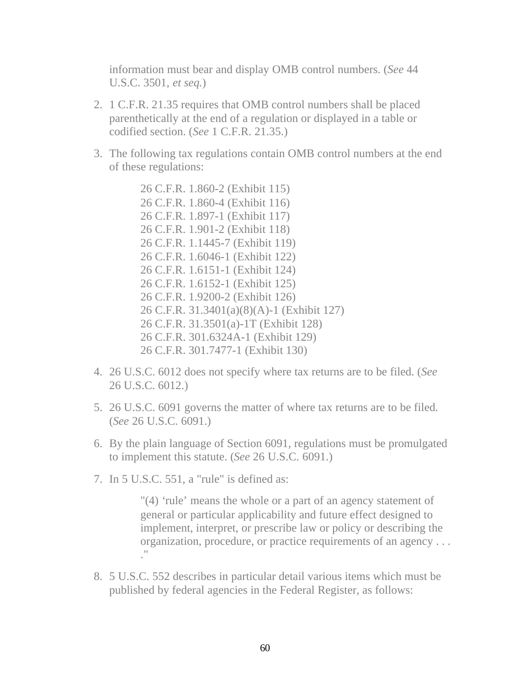information must bear and display OMB control numbers. (*See* 44 U.S.C. 3501, *et seq.*)

- 2. 1 C.F.R. 21.35 requires that OMB control numbers shall be placed parenthetically at the end of a regulation or displayed in a table or codified section. (*See* 1 C.F.R. 21.35.)
- 3. The following tax regulations contain OMB control numbers at the end of these regulations:

26 C.F.R. 1.860-2 (Exhibit 115) 26 C.F.R. 1.860-4 (Exhibit 116) 26 C.F.R. 1.897-1 (Exhibit 117) 26 C.F.R. 1.901-2 (Exhibit 118) 26 C.F.R. 1.1445-7 (Exhibit 119) 26 C.F.R. 1.6046-1 (Exhibit 122) 26 C.F.R. 1.6151-1 (Exhibit 124) 26 C.F.R. 1.6152-1 (Exhibit 125) 26 C.F.R. 1.9200-2 (Exhibit 126) 26 C.F.R. 31.3401(a)(8)(A)-1 (Exhibit 127) 26 C.F.R. 31.3501(a)-1T (Exhibit 128) 26 C.F.R. 301.6324A-1 (Exhibit 129) 26 C.F.R. 301.7477-1 (Exhibit 130)

- 4. 26 U.S.C. 6012 does not specify where tax returns are to be filed. (*See* 26 U.S.C. 6012.)
- 5. 26 U.S.C. 6091 governs the matter of where tax returns are to be filed. (*See* 26 U.S.C. 6091.)
- 6. By the plain language of Section 6091, regulations must be promulgated to implement this statute. (*See* 26 U.S.C. 6091.)
- 7. In 5 U.S.C. 551, a "rule" is defined as:

"(4) 'rule' means the whole or a part of an agency statement of general or particular applicability and future effect designed to implement, interpret, or prescribe law or policy or describing the organization, procedure, or practice requirements of an agency . . .  $\cdot$ "

8. 5 U.S.C. 552 describes in particular detail various items which must be published by federal agencies in the Federal Register, as follows: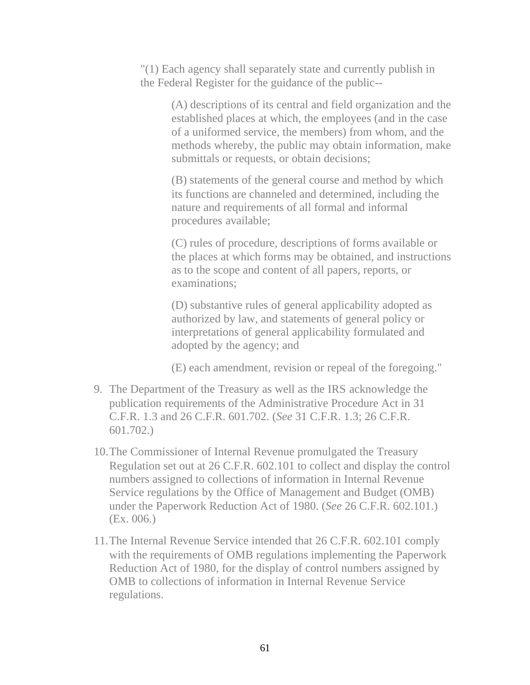"(1) Each agency shall separately state and currently publish in the Federal Register for the guidance of the public--

> (A) descriptions of its central and field organization and the established places at which, the employees (and in the case of a uniformed service, the members) from whom, and the methods whereby, the public may obtain information, make submittals or requests, or obtain decisions;

(B) statements of the general course and method by which its functions are channeled and determined, including the nature and requirements of all formal and informal procedures available;

(C) rules of procedure, descriptions of forms available or the places at which forms may be obtained, and instructions as to the scope and content of all papers, reports, or examinations;

(D) substantive rules of general applicability adopted as authorized by law, and statements of general policy or interpretations of general applicability formulated and adopted by the agency; and

(E) each amendment, revision or repeal of the foregoing."

- 9. The Department of the Treasury as well as the IRS acknowledge the publication requirements of the Administrative Procedure Act in 31 C.F.R. 1.3 and 26 C.F.R. 601.702. (*See* 31 C.F.R. 1.3; 26 C.F.R. 601.702.)
- 10.The Commissioner of Internal Revenue promulgated the Treasury Regulation set out at 26 C.F.R. 602.101 to collect and display the control numbers assigned to collections of information in Internal Revenue Service regulations by the Office of Management and Budget (OMB) under the Paperwork Reduction Act of 1980. (*See* 26 C.F.R. 602.101.) (Ex. 006.)
- 11.The Internal Revenue Service intended that 26 C.F.R. 602.101 comply with the requirements of OMB regulations implementing the Paperwork Reduction Act of 1980, for the display of control numbers assigned by OMB to collections of information in Internal Revenue Service regulations.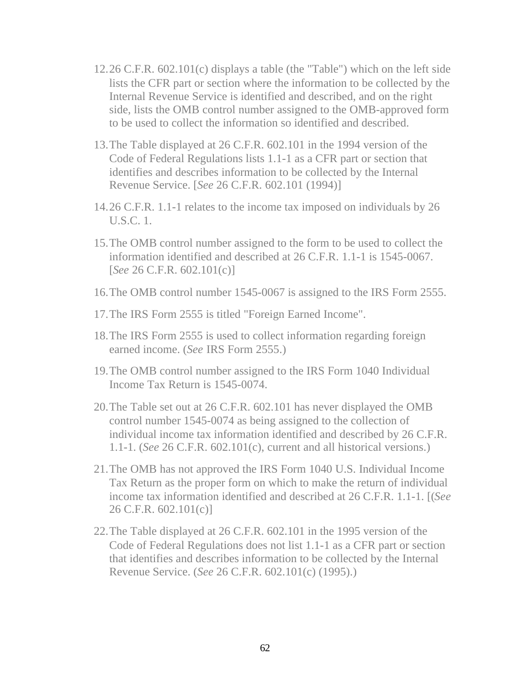- 12.26 C.F.R. 602.101(c) displays a table (the "Table") which on the left side lists the CFR part or section where the information to be collected by the Internal Revenue Service is identified and described, and on the right side, lists the OMB control number assigned to the OMB-approved form to be used to collect the information so identified and described.
- 13.The Table displayed at 26 C.F.R. 602.101 in the 1994 version of the Code of Federal Regulations lists 1.1-1 as a CFR part or section that identifies and describes information to be collected by the Internal Revenue Service. [*See* 26 C.F.R. 602.101 (1994)]
- 14.26 C.F.R. 1.1-1 relates to the income tax imposed on individuals by 26 U.S.C. 1.
- 15.The OMB control number assigned to the form to be used to collect the information identified and described at 26 C.F.R. 1.1-1 is 1545-0067. [*See* 26 C.F.R. 602.101(c)]
- 16.The OMB control number 1545-0067 is assigned to the IRS Form 2555.
- 17.The IRS Form 2555 is titled "Foreign Earned Income".
- 18.The IRS Form 2555 is used to collect information regarding foreign earned income. (*See* IRS Form 2555.)
- 19.The OMB control number assigned to the IRS Form 1040 Individual Income Tax Return is 1545-0074.
- 20.The Table set out at 26 C.F.R. 602.101 has never displayed the OMB control number 1545-0074 as being assigned to the collection of individual income tax information identified and described by 26 C.F.R. 1.1-1. (*See* 26 C.F.R. 602.101(c), current and all historical versions.)
- 21.The OMB has not approved the IRS Form 1040 U.S. Individual Income Tax Return as the proper form on which to make the return of individual income tax information identified and described at 26 C.F.R. 1.1-1. [(*See* 26 C.F.R. 602.101(c)]
- 22.The Table displayed at 26 C.F.R. 602.101 in the 1995 version of the Code of Federal Regulations does not list 1.1-1 as a CFR part or section that identifies and describes information to be collected by the Internal Revenue Service. (*See* 26 C.F.R. 602.101(c) (1995).)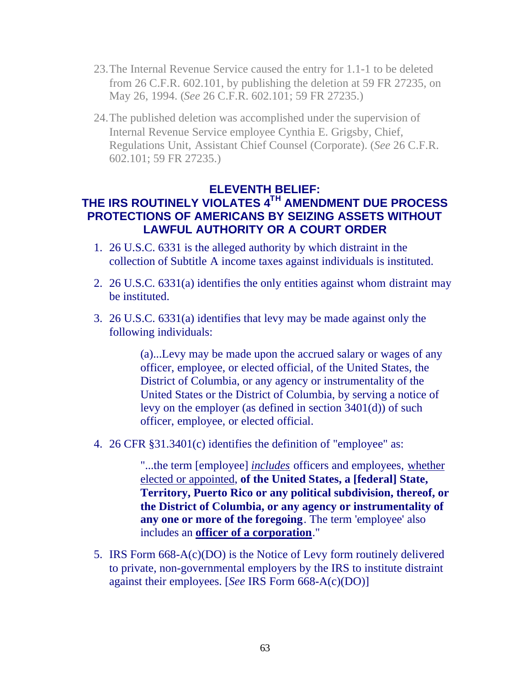- 23.The Internal Revenue Service caused the entry for 1.1-1 to be deleted from 26 C.F.R. 602.101, by publishing the deletion at 59 FR 27235, on May 26, 1994. (*See* 26 C.F.R. 602.101; 59 FR 27235.)
- 24.The published deletion was accomplished under the supervision of Internal Revenue Service employee Cynthia E. Grigsby, Chief, Regulations Unit, Assistant Chief Counsel (Corporate). (*See* 26 C.F.R. 602.101; 59 FR 27235.)

## **ELEVENTH BELIEF:**

# **THE IRS ROUTINELY VIOLATES 4TH AMENDMENT DUE PROCESS PROTECTIONS OF AMERICANS BY SEIZING ASSETS WITHOUT LAWFUL AUTHORITY OR A COURT ORDER**

- 1. 26 U.S.C. 6331 is the alleged authority by which distraint in the collection of Subtitle A income taxes against individuals is instituted.
- 2. 26 U.S.C. 6331(a) identifies the only entities against whom distraint may be instituted.
- 3. 26 U.S.C. 6331(a) identifies that levy may be made against only the following individuals:

(a)...Levy may be made upon the accrued salary or wages of any officer, employee, or elected official, of the United States, the District of Columbia, or any agency or instrumentality of the United States or the District of Columbia, by serving a notice of levy on the employer (as defined in section 3401(d)) of such officer, employee, or elected official.

4. 26 CFR §31.3401(c) identifies the definition of "employee" as:

"...the term [employee] *includes* officers and employees, whether elected or appointed, **of the United States, a [federal] State, Territory, Puerto Rico or any political subdivision, thereof, or the District of Columbia, or any agency or instrumentality of any one or more of the foregoing**. The term 'employee' also includes an **officer of a corporation**."

5. IRS Form 668-A(c)(DO) is the Notice of Levy form routinely delivered to private, non-governmental employers by the IRS to institute distraint against their employees. [*See* IRS Form 668-A(c)(DO)]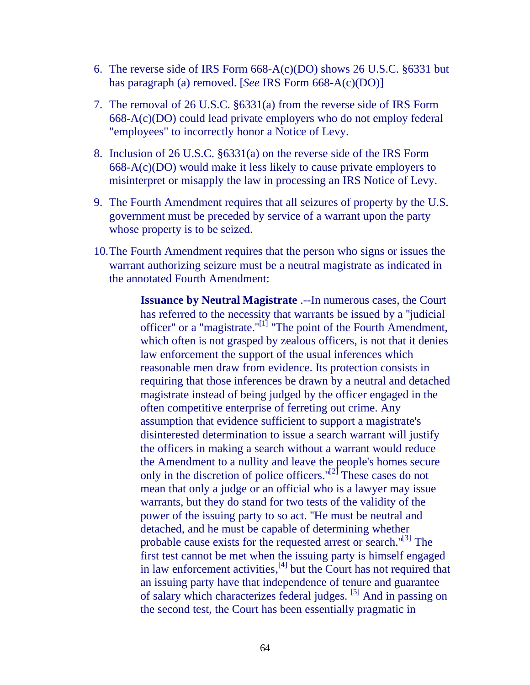- 6. The reverse side of IRS Form 668-A(c)(DO) shows 26 U.S.C. §6331 but has paragraph (a) removed. [*See* IRS Form 668-A(c)(DO)]
- 7. The removal of 26 U.S.C. §6331(a) from the reverse side of IRS Form 668-A(c)(DO) could lead private employers who do not employ federal "employees" to incorrectly honor a Notice of Levy.
- 8. Inclusion of 26 U.S.C. §6331(a) on the reverse side of the IRS Form 668-A(c)(DO) would make it less likely to cause private employers to misinterpret or misapply the law in processing an IRS Notice of Levy.
- 9. The Fourth Amendment requires that all seizures of property by the U.S. government must be preceded by service of a warrant upon the party whose property is to be seized.
- 10.The Fourth Amendment requires that the person who signs or issues the warrant authorizing seizure must be a neutral magistrate as indicated in the annotated Fourth Amendment:

**Issuance by Neutral Magistrate** .--In numerous cases, the Court has referred to the necessity that warrants be issued by a ''judicial officer'' or a ''magistrate.''[1] ''The point of the Fourth Amendment, which often is not grasped by zealous officers, is not that it denies law enforcement the support of the usual inferences which reasonable men draw from evidence. Its protection consists in requiring that those inferences be drawn by a neutral and detached magistrate instead of being judged by the officer engaged in the often competitive enterprise of ferreting out crime. Any assumption that evidence sufficient to support a magistrate's disinterested determination to issue a search warrant will justify the officers in making a search without a warrant would reduce the Amendment to a nullity and leave the people's homes secure only in the discretion of police officers.''[2] These cases do not mean that only a judge or an official who is a lawyer may issue warrants, but they do stand for two tests of the validity of the power of the issuing party to so act. ''He must be neutral and detached, and he must be capable of determining whether probable cause exists for the requested arrest or search.''[3] The first test cannot be met when the issuing party is himself engaged in law enforcement activities,<sup>[4]</sup> but the Court has not required that an issuing party have that independence of tenure and guarantee of salary which characterizes federal judges. [5] And in passing on the second test, the Court has been essentially pragmatic in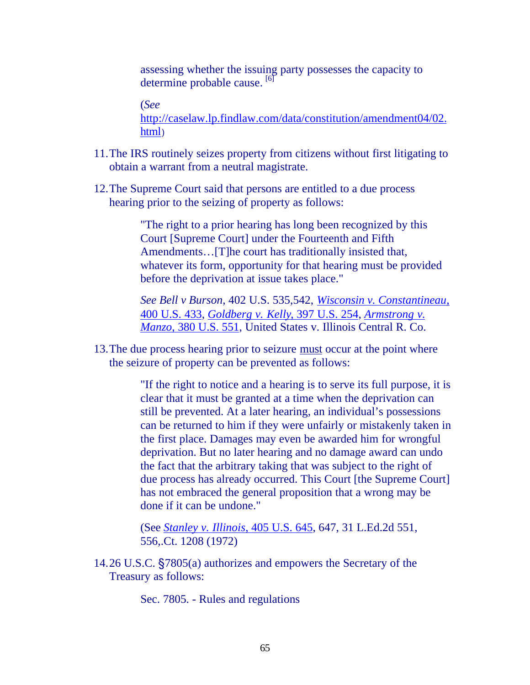assessing whether the issuing party possesses the capacity to determine probable cause. [6]

(*See*

http://caselaw.lp.findlaw.com/data/constitution/amendment04/02. html)

- 11.The IRS routinely seizes property from citizens without first litigating to obtain a warrant from a neutral magistrate.
- 12.The Supreme Court said that persons are entitled to a due process hearing prior to the seizing of property as follows:

"The right to a prior hearing has long been recognized by this Court [Supreme Court] under the Fourteenth and Fifth Amendments…[T]he court has traditionally insisted that, whatever its form, opportunity for that hearing must be provided before the deprivation at issue takes place."

*See Bell v Burson*, 402 U.S. 535,542, *Wisconsin v. Constantineau*, 400 U.S. 433, *Goldberg v. Kelly*, 397 U.S. 254, *Armstrong v. Manzo*, 380 U.S. 551, United States v. Illinois Central R. Co.

13. The due process hearing prior to seizure <u>must</u> occur at the point where the seizure of property can be prevented as follows:

> "If the right to notice and a hearing is to serve its full purpose, it is clear that it must be granted at a time when the deprivation can still be prevented. At a later hearing, an individual's possessions can be returned to him if they were unfairly or mistakenly taken in the first place. Damages may even be awarded him for wrongful deprivation. But no later hearing and no damage award can undo the fact that the arbitrary taking that was subject to the right of due process has already occurred. This Court [the Supreme Court] has not embraced the general proposition that a wrong may be done if it can be undone."

(See *Stanley v. Illinois*, 405 U.S. 645, 647, 31 L.Ed.2d 551, 556,.Ct. 1208 (1972)

14.26 U.S.C. §7805(a) authorizes and empowers the Secretary of the Treasury as follows:

Sec. 7805. - Rules and regulations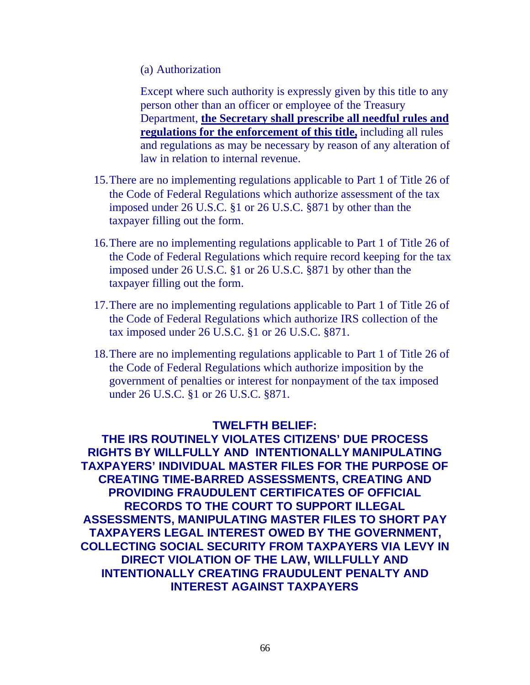(a) Authorization

Except where such authority is expressly given by this title to any person other than an officer or employee of the Treasury Department, **the Secretary shall prescribe all needful rules and regulations for the enforcement of this title,** including all rules and regulations as may be necessary by reason of any alteration of law in relation to internal revenue.

- 15.There are no implementing regulations applicable to Part 1 of Title 26 of the Code of Federal Regulations which authorize assessment of the tax imposed under 26 U.S.C. §1 or 26 U.S.C. §871 by other than the taxpayer filling out the form.
- 16.There are no implementing regulations applicable to Part 1 of Title 26 of the Code of Federal Regulations which require record keeping for the tax imposed under 26 U.S.C. §1 or 26 U.S.C. §871 by other than the taxpayer filling out the form.
- 17.There are no implementing regulations applicable to Part 1 of Title 26 of the Code of Federal Regulations which authorize IRS collection of the tax imposed under 26 U.S.C. §1 or 26 U.S.C. §871.
- 18.There are no implementing regulations applicable to Part 1 of Title 26 of the Code of Federal Regulations which authorize imposition by the government of penalties or interest for nonpayment of the tax imposed under 26 U.S.C. §1 or 26 U.S.C. §871.

#### **TWELFTH BELIEF:**

**THE IRS ROUTINELY VIOLATES CITIZENS' DUE PROCESS RIGHTS BY WILLFULLY AND INTENTIONALLY MANIPULATING TAXPAYERS' INDIVIDUAL MASTER FILES FOR THE PURPOSE OF CREATING TIME-BARRED ASSESSMENTS, CREATING AND PROVIDING FRAUDULENT CERTIFICATES OF OFFICIAL RECORDS TO THE COURT TO SUPPORT ILLEGAL ASSESSMENTS, MANIPULATING MASTER FILES TO SHORT PAY TAXPAYERS LEGAL INTEREST OWED BY THE GOVERNMENT, COLLECTING SOCIAL SECURITY FROM TAXPAYERS VIA LEVY IN DIRECT VIOLATION OF THE LAW, WILLFULLY AND INTENTIONALLY CREATING FRAUDULENT PENALTY AND INTEREST AGAINST TAXPAYERS**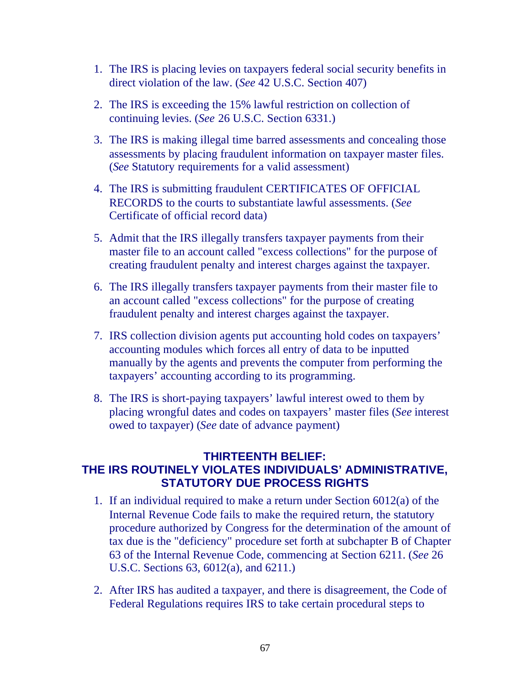- 1. The IRS is placing levies on taxpayers federal social security benefits in direct violation of the law. (*See* 42 U.S.C. Section 407)
- 2. The IRS is exceeding the 15% lawful restriction on collection of continuing levies. (*See* 26 U.S.C. Section 6331.)
- 3. The IRS is making illegal time barred assessments and concealing those assessments by placing fraudulent information on taxpayer master files. (*See* Statutory requirements for a valid assessment)
- 4. The IRS is submitting fraudulent CERTIFICATES OF OFFICIAL RECORDS to the courts to substantiate lawful assessments. (*See* Certificate of official record data)
- 5. Admit that the IRS illegally transfers taxpayer payments from their master file to an account called "excess collections" for the purpose of creating fraudulent penalty and interest charges against the taxpayer.
- 6. The IRS illegally transfers taxpayer payments from their master file to an account called "excess collections" for the purpose of creating fraudulent penalty and interest charges against the taxpayer.
- 7. IRS collection division agents put accounting hold codes on taxpayers' accounting modules which forces all entry of data to be inputted manually by the agents and prevents the computer from performing the taxpayers' accounting according to its programming.
- 8. The IRS is short-paying taxpayers' lawful interest owed to them by placing wrongful dates and codes on taxpayers' master files (*See* interest owed to taxpayer) (*See* date of advance payment)

## **THIRTEENTH BELIEF: THE IRS ROUTINELY VIOLATES INDIVIDUALS' ADMINISTRATIVE, STATUTORY DUE PROCESS RIGHTS**

- 1. If an individual required to make a return under Section 6012(a) of the Internal Revenue Code fails to make the required return, the statutory procedure authorized by Congress for the determination of the amount of tax due is the "deficiency" procedure set forth at subchapter B of Chapter 63 of the Internal Revenue Code, commencing at Section 6211. (*See* 26 U.S.C. Sections 63, 6012(a), and 6211.)
- 2. After IRS has audited a taxpayer, and there is disagreement, the Code of Federal Regulations requires IRS to take certain procedural steps to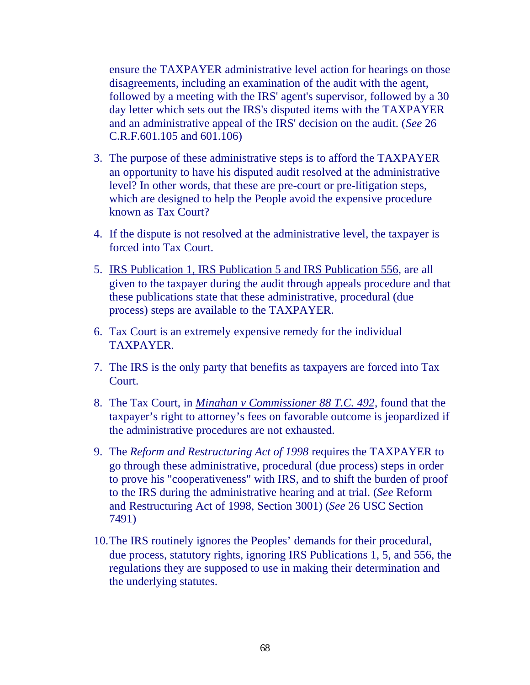ensure the TAXPAYER administrative level action for hearings on those disagreements, including an examination of the audit with the agent, followed by a meeting with the IRS' agent's supervisor, followed by a 30 day letter which sets out the IRS's disputed items with the TAXPAYER and an administrative appeal of the IRS' decision on the audit. (*See* 26 C.R.F.601.105 and 601.106)

- 3. The purpose of these administrative steps is to afford the TAXPAYER an opportunity to have his disputed audit resolved at the administrative level? In other words, that these are pre-court or pre-litigation steps, which are designed to help the People avoid the expensive procedure known as Tax Court?
- 4. If the dispute is not resolved at the administrative level, the taxpayer is forced into Tax Court.
- 5. IRS Publication 1, IRS Publication 5 and IRS Publication 556, are all given to the taxpayer during the audit through appeals procedure and that these publications state that these administrative, procedural (due process) steps are available to the TAXPAYER.
- 6. Tax Court is an extremely expensive remedy for the individual TAXPAYER.
- 7. The IRS is the only party that benefits as taxpayers are forced into Tax Court.
- 8. The Tax Court, in *Minahan v Commissioner 88 T.C. 492*, found that the taxpayer's right to attorney's fees on favorable outcome is jeopardized if the administrative procedures are not exhausted.
- 9. The *Reform and Restructuring Act of 1998* requires the TAXPAYER to go through these administrative, procedural (due process) steps in order to prove his "cooperativeness" with IRS, and to shift the burden of proof to the IRS during the administrative hearing and at trial. (*See* Reform and Restructuring Act of 1998, Section 3001) (*See* 26 USC Section 7491)
- 10.The IRS routinely ignores the Peoples' demands for their procedural, due process, statutory rights, ignoring IRS Publications 1, 5, and 556, the regulations they are supposed to use in making their determination and the underlying statutes.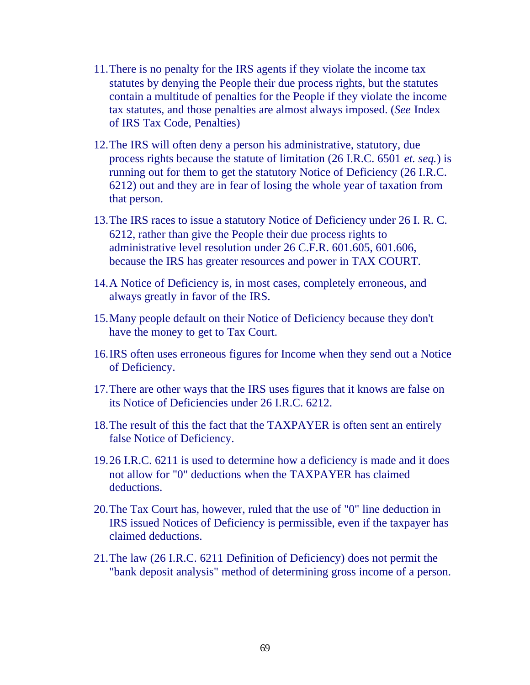- 11.There is no penalty for the IRS agents if they violate the income tax statutes by denying the People their due process rights, but the statutes contain a multitude of penalties for the People if they violate the income tax statutes, and those penalties are almost always imposed. (*See* Index of IRS Tax Code, Penalties)
- 12.The IRS will often deny a person his administrative, statutory, due process rights because the statute of limitation (26 I.R.C. 6501 *et. seq.*) is running out for them to get the statutory Notice of Deficiency (26 I.R.C. 6212) out and they are in fear of losing the whole year of taxation from that person.
- 13.The IRS races to issue a statutory Notice of Deficiency under 26 I. R. C. 6212, rather than give the People their due process rights to administrative level resolution under 26 C.F.R. 601.605, 601.606, because the IRS has greater resources and power in TAX COURT.
- 14.A Notice of Deficiency is, in most cases, completely erroneous, and always greatly in favor of the IRS.
- 15.Many people default on their Notice of Deficiency because they don't have the money to get to Tax Court.
- 16.IRS often uses erroneous figures for Income when they send out a Notice of Deficiency.
- 17.There are other ways that the IRS uses figures that it knows are false on its Notice of Deficiencies under 26 I.R.C. 6212.
- 18.The result of this the fact that the TAXPAYER is often sent an entirely false Notice of Deficiency.
- 19.26 I.R.C. 6211 is used to determine how a deficiency is made and it does not allow for "0" deductions when the TAXPAYER has claimed deductions.
- 20.The Tax Court has, however, ruled that the use of "0" line deduction in IRS issued Notices of Deficiency is permissible, even if the taxpayer has claimed deductions.
- 21.The law (26 I.R.C. 6211 Definition of Deficiency) does not permit the "bank deposit analysis" method of determining gross income of a person.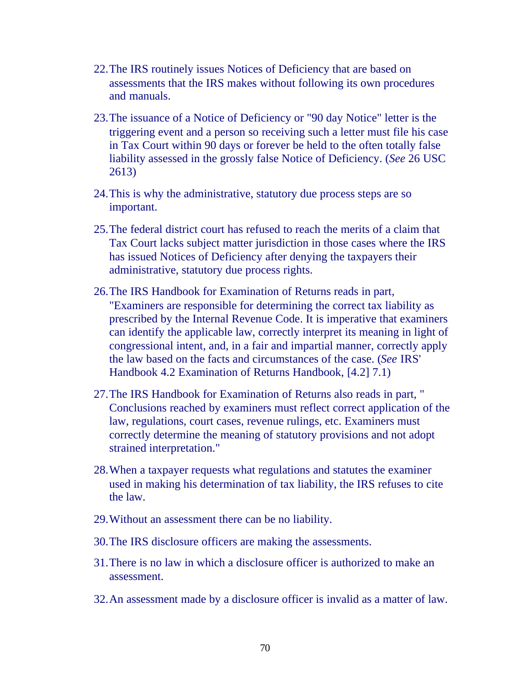- 22.The IRS routinely issues Notices of Deficiency that are based on assessments that the IRS makes without following its own procedures and manuals.
- 23.The issuance of a Notice of Deficiency or "90 day Notice" letter is the triggering event and a person so receiving such a letter must file his case in Tax Court within 90 days or forever be held to the often totally false liability assessed in the grossly false Notice of Deficiency. (*See* 26 USC 2613)
- 24.This is why the administrative, statutory due process steps are so important.
- 25.The federal district court has refused to reach the merits of a claim that Tax Court lacks subject matter jurisdiction in those cases where the IRS has issued Notices of Deficiency after denying the taxpayers their administrative, statutory due process rights.
- 26.The IRS Handbook for Examination of Returns reads in part, "Examiners are responsible for determining the correct tax liability as prescribed by the Internal Revenue Code. It is imperative that examiners can identify the applicable law, correctly interpret its meaning in light of congressional intent, and, in a fair and impartial manner, correctly apply the law based on the facts and circumstances of the case. (*See* IRS' Handbook 4.2 Examination of Returns Handbook, [4.2] 7.1)
- 27.The IRS Handbook for Examination of Returns also reads in part, " Conclusions reached by examiners must reflect correct application of the law, regulations, court cases, revenue rulings, etc. Examiners must correctly determine the meaning of statutory provisions and not adopt strained interpretation."
- 28.When a taxpayer requests what regulations and statutes the examiner used in making his determination of tax liability, the IRS refuses to cite the law.
- 29.Without an assessment there can be no liability.
- 30.The IRS disclosure officers are making the assessments.
- 31.There is no law in which a disclosure officer is authorized to make an assessment.
- 32.An assessment made by a disclosure officer is invalid as a matter of law.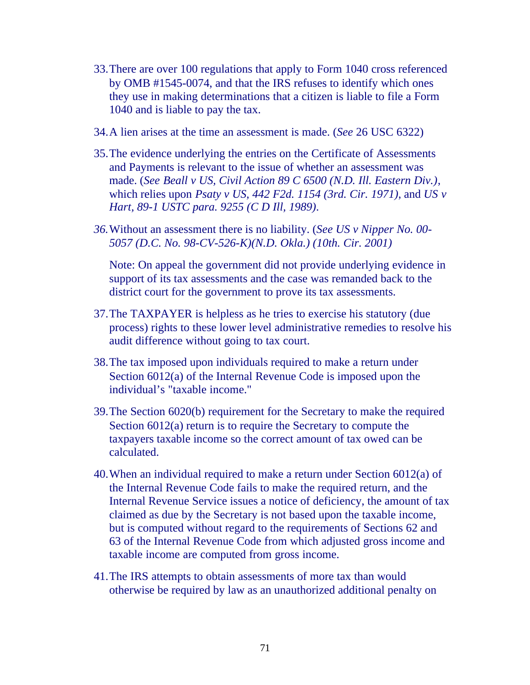- 33.There are over 100 regulations that apply to Form 1040 cross referenced by OMB #1545-0074, and that the IRS refuses to identify which ones they use in making determinations that a citizen is liable to file a Form 1040 and is liable to pay the tax.
- 34.A lien arises at the time an assessment is made. (*See* 26 USC 6322)
- 35.The evidence underlying the entries on the Certificate of Assessments and Payments is relevant to the issue of whether an assessment was made. (*See Beall v US, Civil Action 89 C 6500 (N.D. Ill. Eastern Div.)*, which relies upon *Psaty v US, 442 F2d. 1154 (3rd. Cir. 1971)*, and *US v Hart, 89-1 USTC para. 9255 (C D Ill, 1989)*.
- *36.*Without an assessment there is no liability. (*See US v Nipper No. 00- 5057 (D.C. No. 98-CV-526-K)(N.D. Okla.) (10th. Cir. 2001)*

Note: On appeal the government did not provide underlying evidence in support of its tax assessments and the case was remanded back to the district court for the government to prove its tax assessments.

- 37.The TAXPAYER is helpless as he tries to exercise his statutory (due process) rights to these lower level administrative remedies to resolve his audit difference without going to tax court.
- 38.The tax imposed upon individuals required to make a return under Section 6012(a) of the Internal Revenue Code is imposed upon the individual's "taxable income."
- 39.The Section 6020(b) requirement for the Secretary to make the required Section 6012(a) return is to require the Secretary to compute the taxpayers taxable income so the correct amount of tax owed can be calculated.
- 40.When an individual required to make a return under Section 6012(a) of the Internal Revenue Code fails to make the required return, and the Internal Revenue Service issues a notice of deficiency, the amount of tax claimed as due by the Secretary is not based upon the taxable income, but is computed without regard to the requirements of Sections 62 and 63 of the Internal Revenue Code from which adjusted gross income and taxable income are computed from gross income.
- 41.The IRS attempts to obtain assessments of more tax than would otherwise be required by law as an unauthorized additional penalty on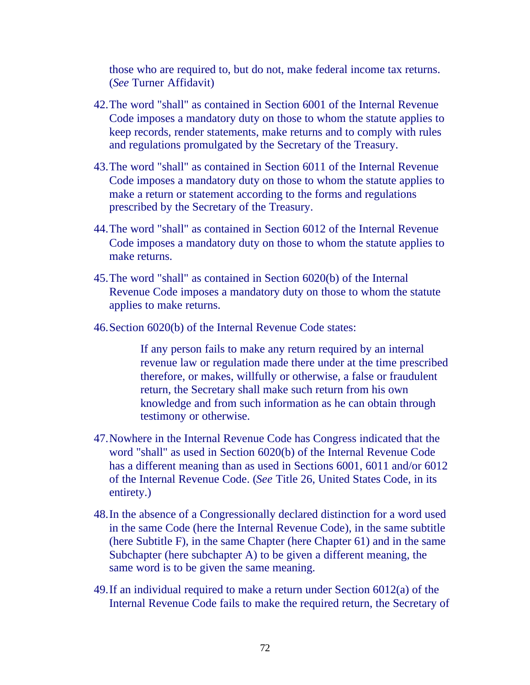those who are required to, but do not, make federal income tax returns. (*See* Turner Affidavit)

- 42.The word "shall" as contained in Section 6001 of the Internal Revenue Code imposes a mandatory duty on those to whom the statute applies to keep records, render statements, make returns and to comply with rules and regulations promulgated by the Secretary of the Treasury.
- 43.The word "shall" as contained in Section 6011 of the Internal Revenue Code imposes a mandatory duty on those to whom the statute applies to make a return or statement according to the forms and regulations prescribed by the Secretary of the Treasury.
- 44.The word "shall" as contained in Section 6012 of the Internal Revenue Code imposes a mandatory duty on those to whom the statute applies to make returns.
- 45.The word "shall" as contained in Section 6020(b) of the Internal Revenue Code imposes a mandatory duty on those to whom the statute applies to make returns.
- 46.Section 6020(b) of the Internal Revenue Code states:

If any person fails to make any return required by an internal revenue law or regulation made there under at the time prescribed therefore, or makes, willfully or otherwise, a false or fraudulent return, the Secretary shall make such return from his own knowledge and from such information as he can obtain through testimony or otherwise.

- 47.Nowhere in the Internal Revenue Code has Congress indicated that the word "shall" as used in Section 6020(b) of the Internal Revenue Code has a different meaning than as used in Sections 6001, 6011 and/or 6012 of the Internal Revenue Code. (*See* Title 26, United States Code, in its entirety.)
- 48.In the absence of a Congressionally declared distinction for a word used in the same Code (here the Internal Revenue Code), in the same subtitle (here Subtitle F), in the same Chapter (here Chapter 61) and in the same Subchapter (here subchapter A) to be given a different meaning, the same word is to be given the same meaning.
- 49.If an individual required to make a return under Section 6012(a) of the Internal Revenue Code fails to make the required return, the Secretary of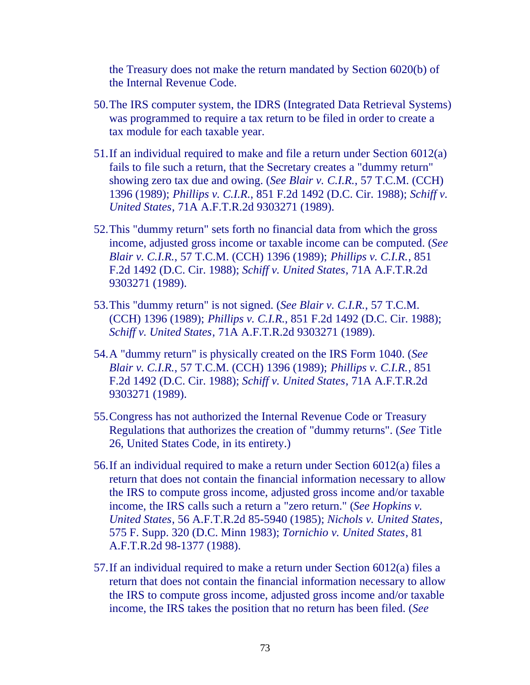the Treasury does not make the return mandated by Section 6020(b) of the Internal Revenue Code.

- 50.The IRS computer system, the IDRS (Integrated Data Retrieval Systems) was programmed to require a tax return to be filed in order to create a tax module for each taxable year.
- 51.If an individual required to make and file a return under Section 6012(a) fails to file such a return, that the Secretary creates a "dummy return" showing zero tax due and owing. (*See Blair v. C.I.R.*, 57 T.C.M. (CCH) 1396 (1989); *Phillips v. C.I.R.*, 851 F.2d 1492 (D.C. Cir. 1988); *Schiff v. United States*, 71A A.F.T.R.2d 9303271 (1989).
- 52.This "dummy return" sets forth no financial data from which the gross income, adjusted gross income or taxable income can be computed. (*See Blair v. C.I.R.*, 57 T.C.M. (CCH) 1396 (1989); *Phillips v. C.I.R.*, 851 F.2d 1492 (D.C. Cir. 1988); *Schiff v. United States*, 71A A.F.T.R.2d 9303271 (1989).
- 53.This "dummy return" is not signed. (*See Blair v. C.I.R.*, 57 T.C.M. (CCH) 1396 (1989); *Phillips v. C.I.R.*, 851 F.2d 1492 (D.C. Cir. 1988); *Schiff v. United States*, 71A A.F.T.R.2d 9303271 (1989).
- 54.A "dummy return" is physically created on the IRS Form 1040. (*See Blair v. C.I.R.*, 57 T.C.M. (CCH) 1396 (1989); *Phillips v. C.I.R.*, 851 F.2d 1492 (D.C. Cir. 1988); *Schiff v. United States*, 71A A.F.T.R.2d 9303271 (1989).
- 55.Congress has not authorized the Internal Revenue Code or Treasury Regulations that authorizes the creation of "dummy returns". (*See* Title 26, United States Code, in its entirety.)
- 56.If an individual required to make a return under Section 6012(a) files a return that does not contain the financial information necessary to allow the IRS to compute gross income, adjusted gross income and/or taxable income, the IRS calls such a return a "zero return." (*See Hopkins v. United States*, 56 A.F.T.R.2d 85-5940 (1985); *Nichols v. United States*, 575 F. Supp. 320 (D.C. Minn 1983); *Tornichio v. United States*, 81 A.F.T.R.2d 98-1377 (1988).
- 57.If an individual required to make a return under Section 6012(a) files a return that does not contain the financial information necessary to allow the IRS to compute gross income, adjusted gross income and/or taxable income, the IRS takes the position that no return has been filed. (*See*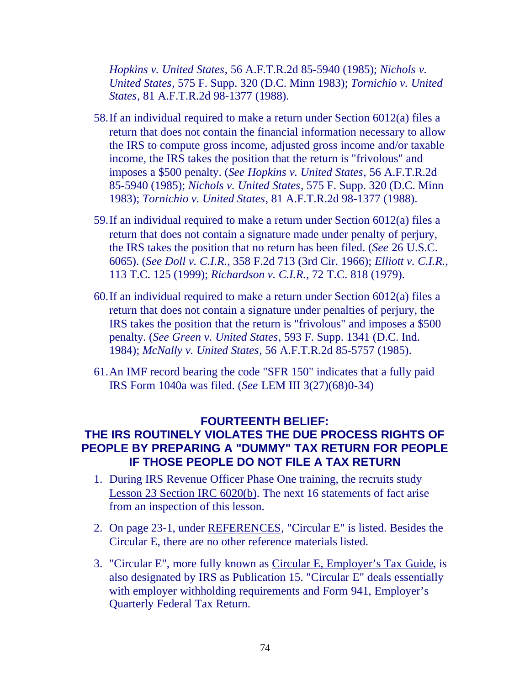*Hopkins v. United States*, 56 A.F.T.R.2d 85-5940 (1985); *Nichols v. United States*, 575 F. Supp. 320 (D.C. Minn 1983); *Tornichio v. United States*, 81 A.F.T.R.2d 98-1377 (1988).

- 58.If an individual required to make a return under Section 6012(a) files a return that does not contain the financial information necessary to allow the IRS to compute gross income, adjusted gross income and/or taxable income, the IRS takes the position that the return is "frivolous" and imposes a \$500 penalty. (*See Hopkins v. United States*, 56 A.F.T.R.2d 85-5940 (1985); *Nichols v. United States*, 575 F. Supp. 320 (D.C. Minn 1983); *Tornichio v. United States*, 81 A.F.T.R.2d 98-1377 (1988).
- 59.If an individual required to make a return under Section 6012(a) files a return that does not contain a signature made under penalty of perjury, the IRS takes the position that no return has been filed. (*See* 26 U.S.C. 6065). (*See Doll v. C.I.R.*, 358 F.2d 713 (3rd Cir. 1966); *Elliott v. C.I.R.*, 113 T.C. 125 (1999); *Richardson v. C.I.R.*, 72 T.C. 818 (1979).
- 60.If an individual required to make a return under Section 6012(a) files a return that does not contain a signature under penalties of perjury, the IRS takes the position that the return is "frivolous" and imposes a \$500 penalty. (*See Green v. United States*, 593 F. Supp. 1341 (D.C. Ind. 1984); *McNally v. United States*, 56 A.F.T.R.2d 85-5757 (1985).
- 61.An IMF record bearing the code "SFR 150" indicates that a fully paid IRS Form 1040a was filed. (*See* LEM III 3(27)(68)0-34)

## **FOURTEENTH BELIEF: THE IRS ROUTINELY VIOLATES THE DUE PROCESS RIGHTS OF PEOPLE BY PREPARING A "DUMMY" TAX RETURN FOR PEOPLE IF THOSE PEOPLE DO NOT FILE A TAX RETURN**

- 1. During IRS Revenue Officer Phase One training, the recruits study Lesson 23 Section IRC 6020(b). The next 16 statements of fact arise from an inspection of this lesson.
- 2. On page 23-1, under REFERENCES, "Circular E" is listed. Besides the Circular E, there are no other reference materials listed.
- 3. "Circular E", more fully known as Circular E, Employer's Tax Guide, is also designated by IRS as Publication 15. "Circular E" deals essentially with employer withholding requirements and Form 941, Employer's Quarterly Federal Tax Return.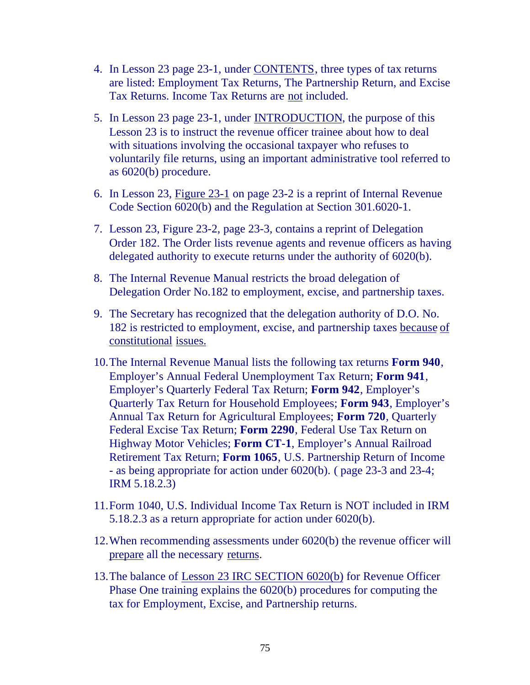- 4. In Lesson 23 page 23-1, under CONTENTS, three types of tax returns are listed: Employment Tax Returns, The Partnership Return, and Excise Tax Returns. Income Tax Returns are not included.
- 5. In Lesson 23 page 23-1, under INTRODUCTION, the purpose of this Lesson 23 is to instruct the revenue officer trainee about how to deal with situations involving the occasional taxpayer who refuses to voluntarily file returns, using an important administrative tool referred to as 6020(b) procedure.
- 6. In Lesson 23, Figure 23-1 on page 23-2 is a reprint of Internal Revenue Code Section 6020(b) and the Regulation at Section 301.6020-1.
- 7. Lesson 23, Figure 23-2, page 23-3, contains a reprint of Delegation Order 182. The Order lists revenue agents and revenue officers as having delegated authority to execute returns under the authority of 6020(b).
- 8. The Internal Revenue Manual restricts the broad delegation of Delegation Order No.182 to employment, excise, and partnership taxes.
- 9. The Secretary has recognized that the delegation authority of D.O. No. 182 is restricted to employment, excise, and partnership taxes because of constitutional issues.
- 10.The Internal Revenue Manual lists the following tax returns **Form 940**, Employer's Annual Federal Unemployment Tax Return; **Form 941**, Employer's Quarterly Federal Tax Return; **Form 942**, Employer's Quarterly Tax Return for Household Employees; **Form 943**, Employer's Annual Tax Return for Agricultural Employees; **Form 720**, Quarterly Federal Excise Tax Return; **Form 2290**, Federal Use Tax Return on Highway Motor Vehicles; **Form CT-1**, Employer's Annual Railroad Retirement Tax Return; **Form 1065**, U.S. Partnership Return of Income - as being appropriate for action under 6020(b). ( page 23-3 and 23-4; IRM 5.18.2.3)
- 11.Form 1040, U.S. Individual Income Tax Return is NOT included in IRM 5.18.2.3 as a return appropriate for action under 6020(b).
- 12.When recommending assessments under 6020(b) the revenue officer will prepare all the necessary returns.
- 13.The balance of Lesson 23 IRC SECTION 6020(b) for Revenue Officer Phase One training explains the 6020(b) procedures for computing the tax for Employment, Excise, and Partnership returns.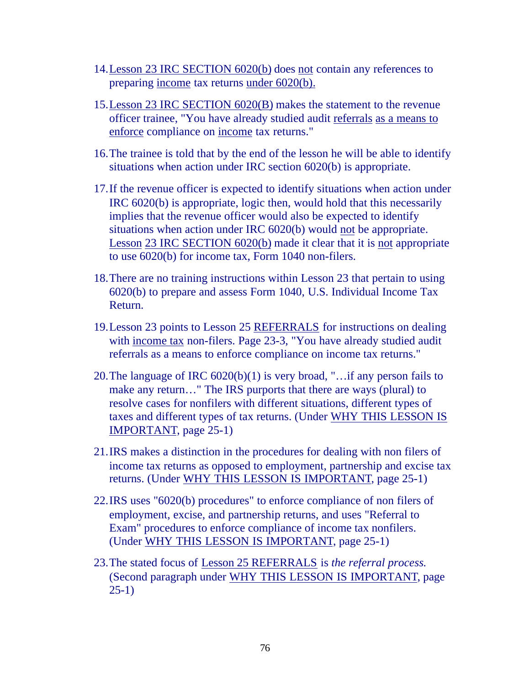- 14.Lesson 23 IRC SECTION 6020(b) does not contain any references to preparing income tax returns under 6020(b).
- 15.Lesson 23 IRC SECTION 6020(B) makes the statement to the revenue officer trainee, "You have already studied audit referrals as a means to enforce compliance on income tax returns."
- 16.The trainee is told that by the end of the lesson he will be able to identify situations when action under IRC section 6020(b) is appropriate.
- 17.If the revenue officer is expected to identify situations when action under IRC 6020(b) is appropriate, logic then, would hold that this necessarily implies that the revenue officer would also be expected to identify situations when action under IRC 6020(b) would not be appropriate. Lesson 23 IRC SECTION 6020(b) made it clear that it is not appropriate to use 6020(b) for income tax, Form 1040 non-filers.
- 18.There are no training instructions within Lesson 23 that pertain to using 6020(b) to prepare and assess Form 1040, U.S. Individual Income Tax Return.
- 19. Lesson 23 points to Lesson 25 REFERRALS for instructions on dealing with income tax non-filers. Page 23-3, "You have already studied audit referrals as a means to enforce compliance on income tax returns."
- 20.The language of IRC 6020(b)(1) is very broad, "…if any person fails to make any return…" The IRS purports that there are ways (plural) to resolve cases for nonfilers with different situations, different types of taxes and different types of tax returns. (Under WHY THIS LESSON IS IMPORTANT, page 25-1)
- 21.IRS makes a distinction in the procedures for dealing with non filers of income tax returns as opposed to employment, partnership and excise tax returns. (Under WHY THIS LESSON IS IMPORTANT, page 25-1)
- 22.IRS uses "6020(b) procedures" to enforce compliance of non filers of employment, excise, and partnership returns, and uses "Referral to Exam" procedures to enforce compliance of income tax nonfilers. (Under WHY THIS LESSON IS IMPORTANT, page 25-1)
- 23.The stated focus of Lesson 25 REFERRALS is *the referral process.* (Second paragraph under WHY THIS LESSON IS IMPORTANT, page 25-1)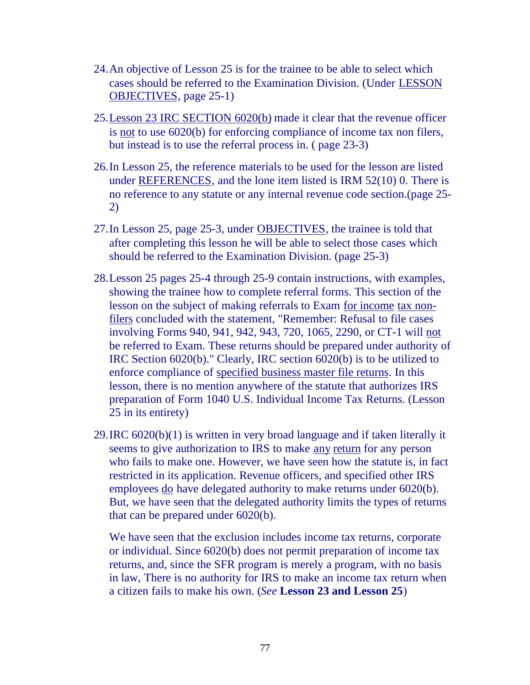- 24.An objective of Lesson 25 is for the trainee to be able to select which cases should be referred to the Examination Division. (Under LESSON OBJECTIVES, page 25-1)
- 25.Lesson 23 IRC SECTION 6020(b) made it clear that the revenue officer is not to use 6020(b) for enforcing compliance of income tax non filers, but instead is to use the referral process in. ( page 23-3)
- 26.In Lesson 25, the reference materials to be used for the lesson are listed under REFERENCES, and the lone item listed is IRM 52(10) 0. There is no reference to any statute or any internal revenue code section.(page 25- 2)
- 27.In Lesson 25, page 25-3, under OBJECTIVES, the trainee is told that after completing this lesson he will be able to select those cases which should be referred to the Examination Division. (page 25-3)
- 28.Lesson 25 pages 25-4 through 25-9 contain instructions, with examples, showing the trainee how to complete referral forms. This section of the lesson on the subject of making referrals to Exam for income tax nonfilers concluded with the statement, "Remember: Refusal to file cases involving Forms 940, 941, 942, 943, 720, 1065, 2290, or CT-1 will not be referred to Exam. These returns should be prepared under authority of IRC Section 6020(b)." Clearly, IRC section 6020(b) is to be utilized to enforce compliance of specified business master file returns. In this lesson, there is no mention anywhere of the statute that authorizes IRS preparation of Form 1040 U.S. Individual Income Tax Returns. (Lesson 25 in its entirety)
- 29.IRC 6020(b)(1) is written in very broad language and if taken literally it seems to give authorization to IRS to make any return for any person who fails to make one. However, we have seen how the statute is, in fact restricted in its application. Revenue officers, and specified other IRS employees do have delegated authority to make returns under 6020(b). But, we have seen that the delegated authority limits the types of returns that can be prepared under 6020(b).

We have seen that the exclusion includes income tax returns, corporate or individual. Since 6020(b) does not permit preparation of income tax returns, and, since the SFR program is merely a program, with no basis in law, There is no authority for IRS to make an income tax return when a citizen fails to make his own. (*See* **Lesson 23 and Lesson 25**)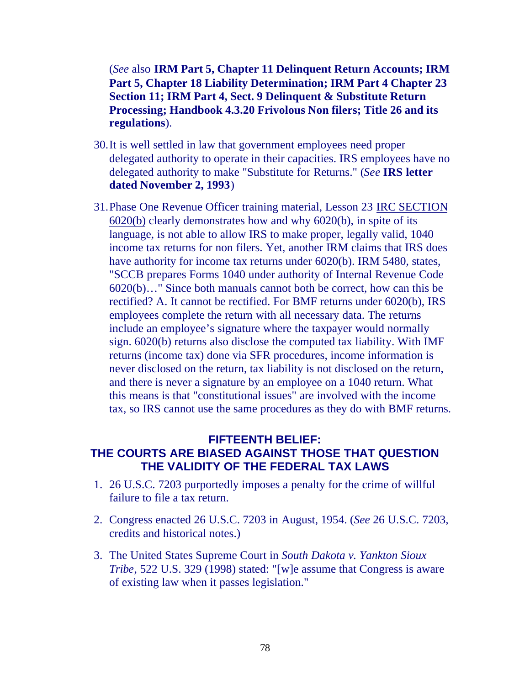(*See* also **IRM Part 5, Chapter 11 Delinquent Return Accounts; IRM Part 5, Chapter 18 Liability Determination; IRM Part 4 Chapter 23 Section 11; IRM Part 4, Sect. 9 Delinquent & Substitute Return Processing; Handbook 4.3.20 Frivolous Non filers; Title 26 and its regulations**).

- 30.It is well settled in law that government employees need proper delegated authority to operate in their capacities. IRS employees have no delegated authority to make "Substitute for Returns." (*See* **IRS letter dated November 2, 1993**)
- 31.Phase One Revenue Officer training material, Lesson 23 IRC SECTION 6020(b) clearly demonstrates how and why 6020(b), in spite of its language, is not able to allow IRS to make proper, legally valid, 1040 income tax returns for non filers. Yet, another IRM claims that IRS does have authority for income tax returns under 6020(b). IRM 5480, states, "SCCB prepares Forms 1040 under authority of Internal Revenue Code 6020(b)…" Since both manuals cannot both be correct, how can this be rectified? A. It cannot be rectified. For BMF returns under 6020(b), IRS employees complete the return with all necessary data. The returns include an employee's signature where the taxpayer would normally sign. 6020(b) returns also disclose the computed tax liability. With IMF returns (income tax) done via SFR procedures, income information is never disclosed on the return, tax liability is not disclosed on the return, and there is never a signature by an employee on a 1040 return. What this means is that "constitutional issues" are involved with the income tax, so IRS cannot use the same procedures as they do with BMF returns.

## **FIFTEENTH BELIEF: THE COURTS ARE BIASED AGAINST THOSE THAT QUESTION THE VALIDITY OF THE FEDERAL TAX LAWS**

- 1. 26 U.S.C. 7203 purportedly imposes a penalty for the crime of willful failure to file a tax return.
- 2. Congress enacted 26 U.S.C. 7203 in August, 1954. (*See* 26 U.S.C. 7203, credits and historical notes.)
- 3. The United States Supreme Court in *South Dakota v. Yankton Sioux Tribe*, 522 U.S. 329 (1998) stated: "[w]e assume that Congress is aware of existing law when it passes legislation."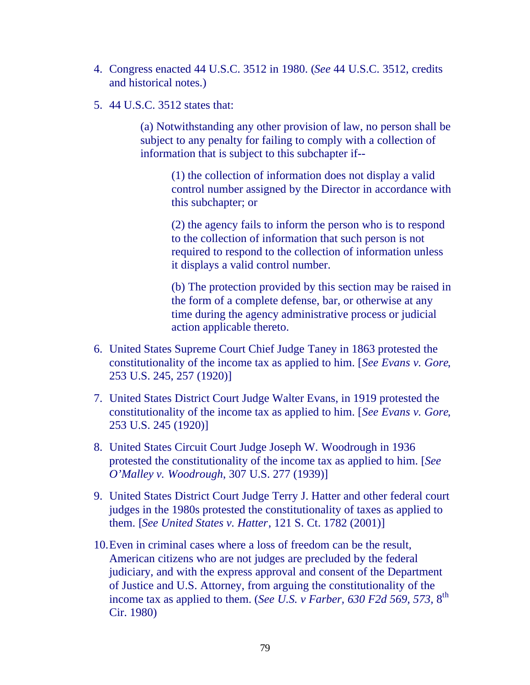- 4. Congress enacted 44 U.S.C. 3512 in 1980. (*See* 44 U.S.C. 3512, credits and historical notes.)
- 5. 44 U.S.C. 3512 states that:

(a) Notwithstanding any other provision of law, no person shall be subject to any penalty for failing to comply with a collection of information that is subject to this subchapter if--

(1) the collection of information does not display a valid control number assigned by the Director in accordance with this subchapter; or

(2) the agency fails to inform the person who is to respond to the collection of information that such person is not required to respond to the collection of information unless it displays a valid control number.

(b) The protection provided by this section may be raised in the form of a complete defense, bar, or otherwise at any time during the agency administrative process or judicial action applicable thereto.

- 6. United States Supreme Court Chief Judge Taney in 1863 protested the constitutionality of the income tax as applied to him. [*See Evans v. Gore*, 253 U.S. 245, 257 (1920)]
- 7. United States District Court Judge Walter Evans, in 1919 protested the constitutionality of the income tax as applied to him. [*See Evans v. Gore*, 253 U.S. 245 (1920)]
- 8. United States Circuit Court Judge Joseph W. Woodrough in 1936 protested the constitutionality of the income tax as applied to him. [*See O'Malley v. Woodrough*, 307 U.S. 277 (1939)]
- 9. United States District Court Judge Terry J. Hatter and other federal court judges in the 1980s protested the constitutionality of taxes as applied to them. [*See United States v. Hatter*, 121 S. Ct. 1782 (2001)]
- 10.Even in criminal cases where a loss of freedom can be the result, American citizens who are not judges are precluded by the federal judiciary, and with the express approval and consent of the Department of Justice and U.S. Attorney, from arguing the constitutionality of the income tax as applied to them. (*See U.S. v Farber, 630 F2d 569, 573,* 8 th Cir. 1980)